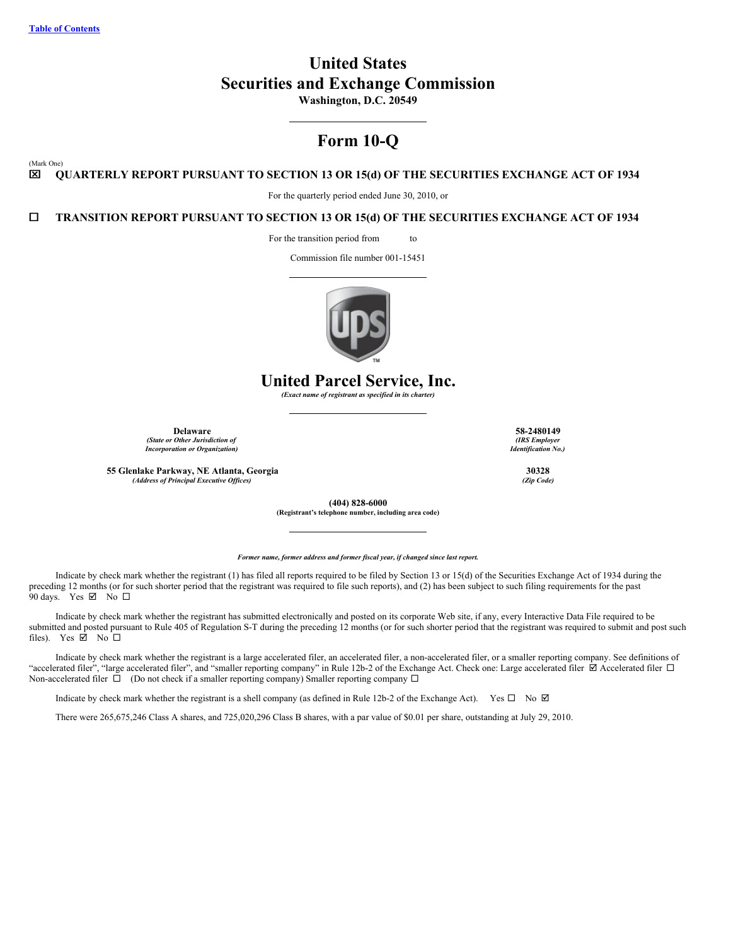# **United States Securities and Exchange Commission**

**Washington, D.C. 20549**

# **Form 10-Q**

<span id="page-0-0"></span>(Mark One)

# x **QUARTERLY REPORT PURSUANT TO SECTION 13 OR 15(d) OF THE SECURITIES EXCHANGE ACT OF 1934**

For the quarterly period ended June 30, 2010, or

### ¨ **TRANSITION REPORT PURSUANT TO SECTION 13 OR 15(d) OF THE SECURITIES EXCHANGE ACT OF 1934**

For the transition period from to

Commission file number 001-15451



# **United Parcel Service, Inc.**

*(Exact name of registrant as specified in its charter)*

**Delaware 58-2480149** *(State or Other Jurisdiction of Incorporation or Organization)*

**55 Glenlake Parkway, NE Atlanta, Georgia 30328**  $(A$ ddress of Principal *Executive* Offices)

*(IRS Employer Identification No.)*

**(404) 828-6000 (Registrant's telephone number, including area code)**

*Former name, former address and former fiscal year, if changed since last report.*

Indicate by check mark whether the registrant (1) has filed all reports required to be filed by Section 13 or 15(d) of the Securities Exchange Act of 1934 during the preceding 12 months (or for such shorter period that the registrant was required to file such reports), and (2) has been subject to such filing requirements for the past 90 days. Yes  $\boxtimes$  No  $\square$ 

Indicate by check mark whether the registrant has submitted electronically and posted on its corporate Web site, if any, every Interactive Data File required to be submitted and posted pursuant to Rule 405 of Regulation S-T during the preceding 12 months (or for such shorter period that the registrant was required to submit and post such files). Yes  $\overrightarrow{2}$  No  $\overrightarrow{ }$ 

Indicate by check mark whether the registrant is a large accelerated filer, an accelerated filer, a non-accelerated filer, or a smaller reporting company. See definitions of "accelerated filer", "large accelerated filer", and "smaller reporting company" in Rule 12b-2 of the Exchange Act. Check one: Large accelerated filer □ Accelerated filer □ Non-accelerated filer  $\Box$  (Do not check if a smaller reporting company) Smaller reporting company  $\Box$ 

Indicate by check mark whether the registrant is a shell company (as defined in Rule 12b-2 of the Exchange Act). Yes  $\Box$  No  $\Box$ 

There were 265,675,246 Class A shares, and 725,020,296 Class B shares, with a par value of \$0.01 per share, outstanding at July 29, 2010.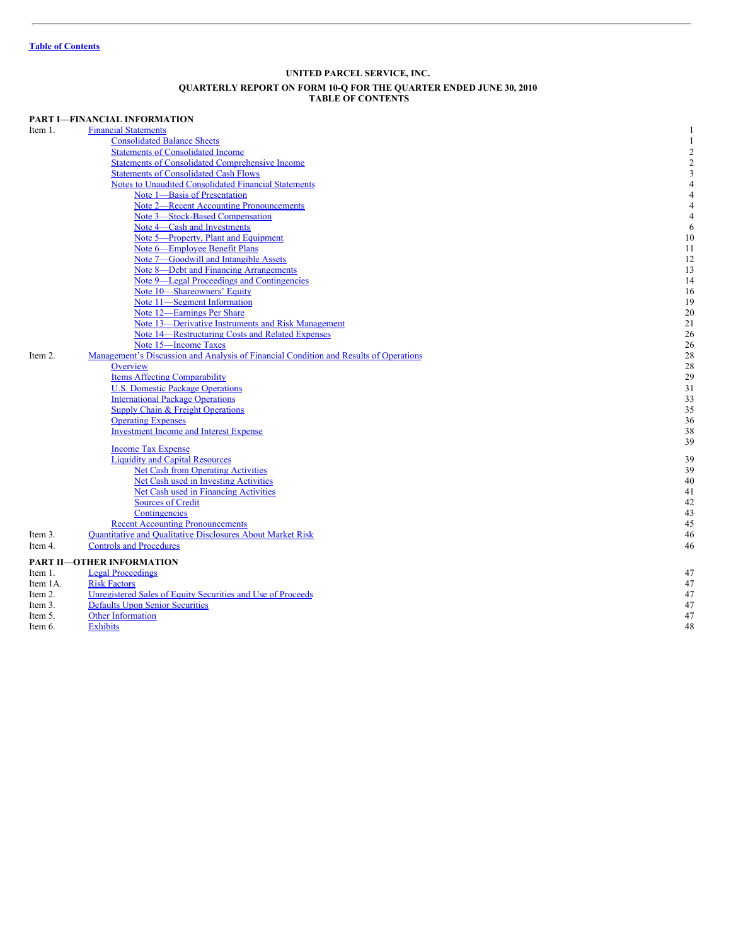# <span id="page-1-0"></span>**UNITED PARCEL SERVICE, INC.**

### **QUARTERLY REPORT ON FORM 10-Q FOR THE QUARTER ENDED JUNE 30, 2010 TABLE OF CONTENTS**

## **PART I—FINANCIAL INFORMATION**

| Item 1.  | <b>Financial Statements</b>                                                                           | $\mathbf{1}$   |
|----------|-------------------------------------------------------------------------------------------------------|----------------|
|          | <b>Consolidated Balance Sheets</b>                                                                    | $\overline{1}$ |
|          | <b>Statements of Consolidated Income</b>                                                              | $\overline{2}$ |
|          | <b>Statements of Consolidated Comprehensive Income</b>                                                | $\overline{2}$ |
|          | Statements of Consolidated Cash Flows                                                                 | 3              |
|          | <b>Notes to Unaudited Consolidated Financial Statements</b>                                           | $\overline{4}$ |
|          | Note 1-Basis of Presentation                                                                          | $\overline{4}$ |
|          | Note 2—Recent Accounting Pronouncements                                                               | $\overline{4}$ |
|          | Note 3-Stock-Based Compensation                                                                       | $\overline{4}$ |
|          | Note 4-Cash and Investments                                                                           | 6              |
|          | Note 5—Property, Plant and Equipment                                                                  | 10             |
|          | Note 6—Employee Benefit Plans                                                                         | 11             |
|          | Note 7-Goodwill and Intangible Assets                                                                 | 12             |
|          | Note 8—Debt and Financing Arrangements                                                                | 13             |
|          | Note 9—Legal Proceedings and Contingencies                                                            | 14             |
|          | Note 10—Shareowners' Equity                                                                           | 16             |
|          | Note 11-Segment Information                                                                           | 19             |
|          | Note 12-Earnings Per Share                                                                            | 20             |
|          | Note 13—Derivative Instruments and Risk Management                                                    | 21             |
|          | Note 14—Restructuring Costs and Related Expenses                                                      | 26             |
|          | Note 15-Income Taxes                                                                                  | 26             |
| Item 2.  | Management's Discussion and Analysis of Financial Condition and Results of Operations                 | 28             |
|          | Overview                                                                                              | 28             |
|          | <b>Items Affecting Comparability</b>                                                                  | 29             |
|          | <b>U.S. Domestic Package Operations</b>                                                               | 31             |
|          | <b>International Package Operations</b>                                                               | 33             |
|          | Supply Chain & Freight Operations                                                                     | 35             |
|          | <b>Operating Expenses</b>                                                                             | 36             |
|          | <b>Investment Income and Interest Expense</b>                                                         | 38             |
|          | <b>Income Tax Expense</b>                                                                             | 39             |
|          | <b>Liquidity and Capital Resources</b>                                                                | 39             |
|          | <b>Net Cash from Operating Activities</b>                                                             | 39             |
|          | Net Cash used in Investing Activities                                                                 | 40             |
|          | Net Cash used in Financing Activities                                                                 | 41             |
|          | <b>Sources of Credit</b>                                                                              | 42             |
|          | Contingencies                                                                                         | 43             |
|          | <b>Recent Accounting Pronouncements</b>                                                               | 45             |
| Item 3.  | <b>Quantitative and Qualitative Disclosures About Market Risk</b>                                     | 46             |
| Item 4.  | <b>Controls and Procedures</b>                                                                        | 46             |
|          |                                                                                                       |                |
|          | <b>PART II-OTHER INFORMATION</b>                                                                      |                |
| Item 1.  | <b>Legal Proceedings</b>                                                                              | 47             |
| Item 1A. | <b>Risk Factors</b>                                                                                   | 47             |
| Item 2.  | Unregistered Sales of Equity Securities and Use of Proceeds<br><b>Defaults Upon Senior Securities</b> | 47             |
| Item 3.  |                                                                                                       | 47<br>47       |
| Item 5.  | <b>Other Information</b>                                                                              | 48             |
| Item 6.  | <b>Exhibits</b>                                                                                       |                |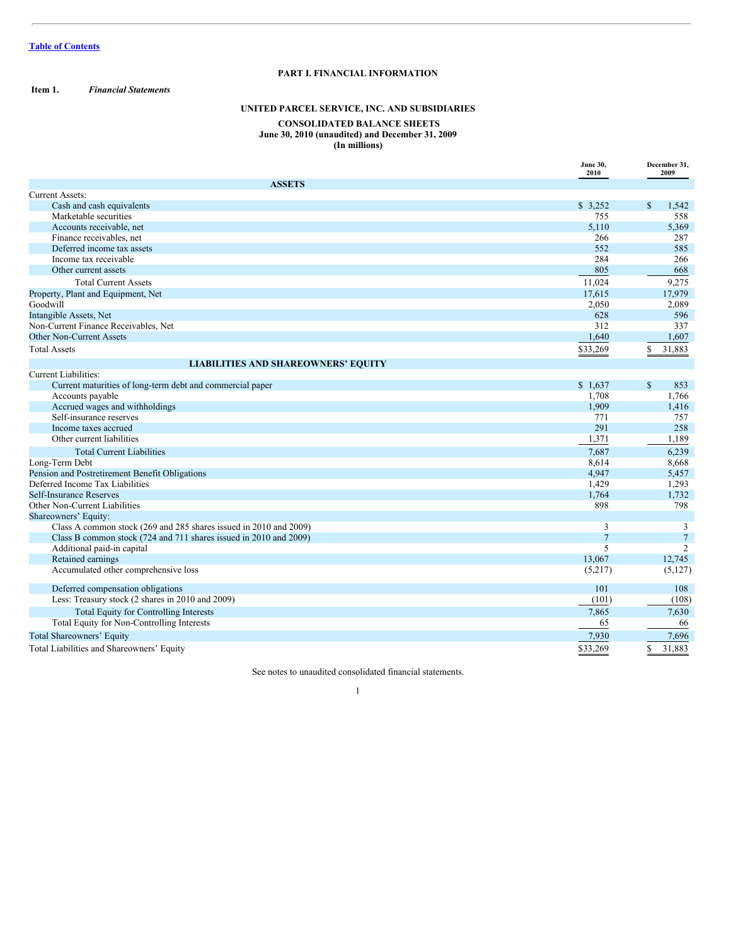# **PART I. FINANCIAL INFORMATION**

# <span id="page-2-0"></span>**Item 1.** *Financial Statements*

# <span id="page-2-1"></span>**UNITED PARCEL SERVICE, INC. AND SUBSIDIARIES CONSOLIDATED BALANCE SHEETS June 30, 2010 (unaudited) and December 31, 2009 (In millions)**

|                                                                   | <b>June 30,</b><br>2010 | December 31,<br>2009  |
|-------------------------------------------------------------------|-------------------------|-----------------------|
| <b>ASSETS</b>                                                     |                         |                       |
| <b>Current Assets:</b>                                            |                         |                       |
| Cash and cash equivalents                                         | \$3,252                 | $\mathbb{S}$<br>1,542 |
| Marketable securities                                             | 755                     | 558                   |
| Accounts receivable, net                                          | 5,110                   | 5,369                 |
| Finance receivables, net                                          | 266                     | 287                   |
| Deferred income tax assets                                        | 552                     | 585                   |
| Income tax receivable                                             | 284                     | 266                   |
| Other current assets                                              | 805                     | 668                   |
| <b>Total Current Assets</b>                                       | 11,024                  | 9,275                 |
| Property, Plant and Equipment, Net                                | 17,615                  | 17,979                |
| Goodwill                                                          | 2,050                   | 2,089                 |
| Intangible Assets, Net                                            | 628                     | 596                   |
| Non-Current Finance Receivables, Net                              | 312                     | 337                   |
| <b>Other Non-Current Assets</b>                                   | 1,640                   | 1,607                 |
| <b>Total Assets</b>                                               | \$33,269                | \$<br>31,883          |
| <b>LIABILITIES AND SHAREOWNERS' EQUITY</b>                        |                         |                       |
| Current Liabilities:                                              |                         |                       |
| Current maturities of long-term debt and commercial paper         | \$1.637                 | $\mathbb{S}$<br>853   |
| Accounts payable                                                  | 1,708                   | 1,766                 |
| Accrued wages and withholdings                                    | 1,909                   | 1,416                 |
| Self-insurance reserves                                           | 771                     | 757                   |
| Income taxes accrued                                              | 291                     | 258                   |
| Other current liabilities                                         | 1,371                   | 1,189                 |
| <b>Total Current Liabilities</b>                                  | 7,687                   | 6,239                 |
| Long-Term Debt                                                    | 8,614                   | 8,668                 |
| Pension and Postretirement Benefit Obligations                    | 4,947                   | 5,457                 |
| Deferred Income Tax Liabilities                                   | 1,429                   | 1,293                 |
| <b>Self-Insurance Reserves</b>                                    | 1,764                   | 1,732                 |
| Other Non-Current Liabilities                                     | 898                     | 798                   |
| Shareowners' Equity:                                              |                         |                       |
| Class A common stock (269 and 285 shares issued in 2010 and 2009) | 3                       | 3                     |
| Class B common stock (724 and 711 shares issued in 2010 and 2009) | $\overline{7}$          | $\overline{7}$        |
| Additional paid-in capital                                        | 5                       | 2                     |
| Retained earnings                                                 | 13,067                  | 12,745                |
| Accumulated other comprehensive loss                              | (5,217)                 | (5, 127)              |
| Deferred compensation obligations                                 | 101                     | 108                   |
| Less: Treasury stock (2 shares in 2010 and 2009)                  | (101)                   | (108)                 |
| <b>Total Equity for Controlling Interests</b>                     | 7,865                   | 7,630                 |
| Total Equity for Non-Controlling Interests                        | 65                      | 66                    |
| <b>Total Shareowners' Equity</b>                                  | 7,930                   | 7,696                 |
| Total Liabilities and Shareowners' Equity                         | \$33,269                | 31.883<br>\$          |

See notes to unaudited consolidated financial statements.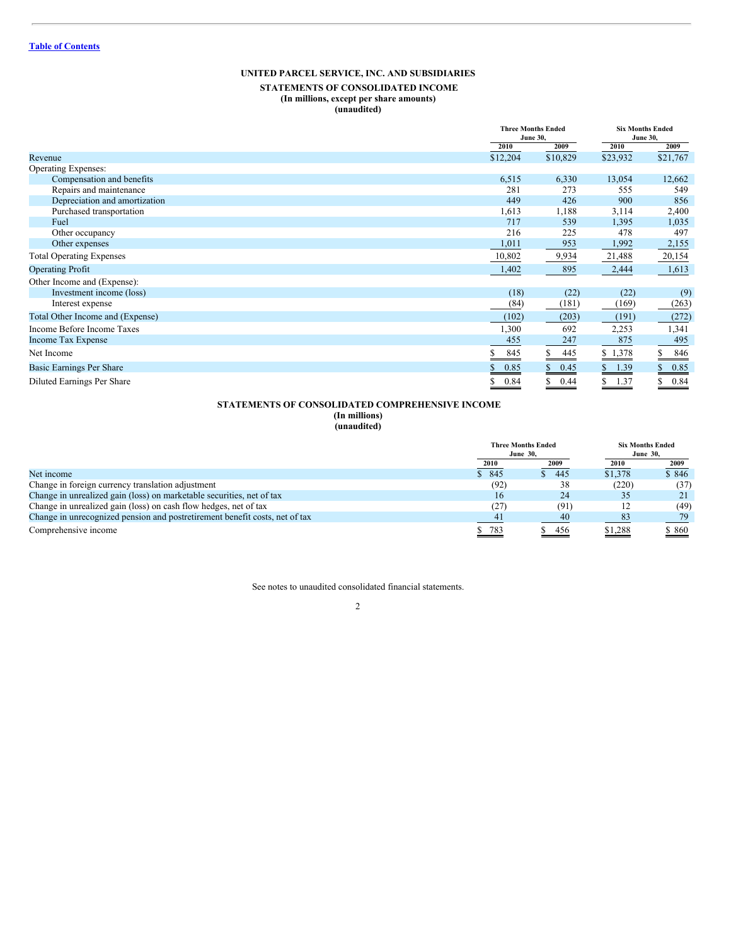### <span id="page-3-0"></span>**STATEMENTS OF CONSOLIDATED INCOME (In millions, except per share amounts) (unaudited)**

|                                  |            | <b>Three Months Ended</b> |                 | <b>Six Months Ended</b> |  |
|----------------------------------|------------|---------------------------|-----------------|-------------------------|--|
|                                  |            | June 30,                  | <b>June 30,</b> |                         |  |
|                                  | 2010       | 2009                      | 2010            | 2009                    |  |
| Revenue                          | \$12,204   | \$10,829                  | \$23,932        | \$21,767                |  |
| Operating Expenses:              |            |                           |                 |                         |  |
| Compensation and benefits        | 6,515      | 6,330                     | 13,054          | 12,662                  |  |
| Repairs and maintenance          | 281        | 273                       | 555             | 549                     |  |
| Depreciation and amortization    | 449        | 426                       | 900             | 856                     |  |
| Purchased transportation         | 1,613      | 1,188                     | 3,114           | 2,400                   |  |
| Fuel                             | 717        | 539                       | 1,395           | 1,035                   |  |
| Other occupancy                  | 216        | 225                       | 478             | 497                     |  |
| Other expenses                   | 1,011      | 953                       | 1,992           | 2,155                   |  |
| <b>Total Operating Expenses</b>  | 10,802     | 9,934                     | 21,488          | 20,154                  |  |
| <b>Operating Profit</b>          | 1,402      | 895                       | 2,444           | 1,613                   |  |
| Other Income and (Expense):      |            |                           |                 |                         |  |
| Investment income (loss)         | (18)       | (22)                      | (22)            | (9)                     |  |
| Interest expense                 | (84)       | (181)                     | (169)           | (263)                   |  |
| Total Other Income and (Expense) | (102)      | (203)                     | (191)           | (272)                   |  |
| Income Before Income Taxes       | 1,300      | 692                       | 2,253           | 1,341                   |  |
| <b>Income Tax Expense</b>        | 455        | 247                       | 875             | 495                     |  |
| Net Income                       | 845        | S<br>445                  | \$1,378         | 846<br>\$               |  |
| Basic Earnings Per Share         | 0.85       | 0.45                      | 1.39            | 0.85                    |  |
| Diluted Earnings Per Share       | \$<br>0.84 | S.<br>0.44                | \$<br>1.37      | \$<br>0.84              |  |

### <span id="page-3-1"></span>**STATEMENTS OF CONSOLIDATED COMPREHENSIVE INCOME (In millions) (unaudited)**

|                                                                             | <b>Three Months Ended</b> |      | <b>Six Months Ended</b> |       |  |
|-----------------------------------------------------------------------------|---------------------------|------|-------------------------|-------|--|
|                                                                             | <b>June 30.</b>           |      | <b>June 30,</b>         |       |  |
|                                                                             | 2010                      | 2009 | 2010                    | 2009  |  |
| Net income                                                                  | \$845                     | 445  | \$1,378                 | \$846 |  |
| Change in foreign currency translation adjustment                           | (92)                      | 38   | (220)                   | (37)  |  |
| Change in unrealized gain (loss) on marketable securities, net of tax       | 16                        | 24   | 35                      | 21    |  |
| Change in unrealized gain (loss) on cash flow hedges, net of tax            | (27)                      | (91) | 12                      | (49)  |  |
| Change in unrecognized pension and postretirement benefit costs, net of tax | 41                        | 40   | 83                      | 79    |  |
| Comprehensive income                                                        | \$783                     | 456  | \$1,288                 | \$860 |  |

See notes to unaudited consolidated financial statements.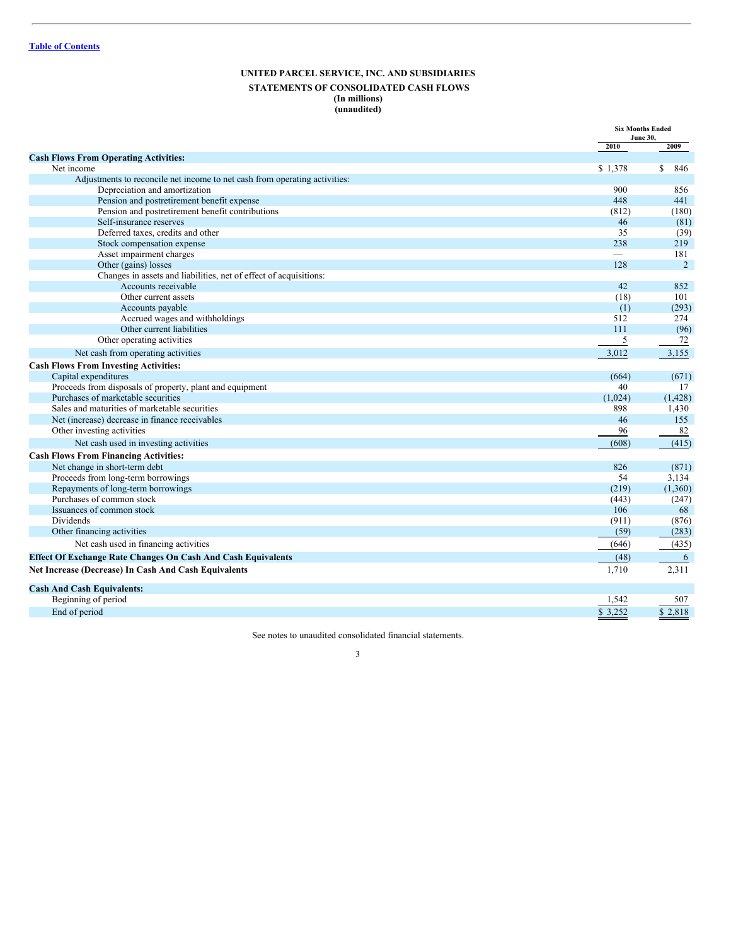# <span id="page-4-0"></span>**UNITED PARCEL SERVICE, INC. AND SUBSIDIARIES STATEMENTS OF CONSOLIDATED CASH FLOWS (In millions) (unaudited)**

|                                                                            |                          | <b>Six Months Ended</b><br><b>June 30,</b> |
|----------------------------------------------------------------------------|--------------------------|--------------------------------------------|
|                                                                            | 2010                     | 2009                                       |
| <b>Cash Flows From Operating Activities:</b>                               |                          |                                            |
| Net income                                                                 | \$1,378                  | \$<br>846                                  |
| Adjustments to reconcile net income to net cash from operating activities: |                          |                                            |
| Depreciation and amortization                                              | 900                      | 856                                        |
| Pension and postretirement benefit expense                                 | 448                      | 441                                        |
| Pension and postretirement benefit contributions                           | (812)                    | (180)                                      |
| Self-insurance reserves                                                    | 46                       | (81)                                       |
| Deferred taxes, credits and other                                          | 35                       | (39)                                       |
| Stock compensation expense                                                 | 238                      | 219                                        |
| Asset impairment charges                                                   | $\overline{\phantom{0}}$ | 181                                        |
| Other (gains) losses                                                       | 128                      | 2                                          |
| Changes in assets and liabilities, net of effect of acquisitions:          |                          |                                            |
| Accounts receivable                                                        | 42                       | 852                                        |
| Other current assets                                                       | (18)                     | 101                                        |
| Accounts payable                                                           | (1)                      | (293)                                      |
| Accrued wages and withholdings                                             | 512                      | 274                                        |
| Other current liabilities                                                  | 111                      | (96)                                       |
| Other operating activities                                                 | 5                        | 72                                         |
| Net cash from operating activities                                         | 3,012                    | 3,155                                      |
| <b>Cash Flows From Investing Activities:</b>                               |                          |                                            |
| Capital expenditures                                                       | (664)                    | (671)                                      |
| Proceeds from disposals of property, plant and equipment                   | 40                       | 17                                         |
| Purchases of marketable securities                                         | (1,024)                  | (1, 428)                                   |
| Sales and maturities of marketable securities                              | 898                      | 1,430                                      |
| Net (increase) decrease in finance receivables                             | 46                       | 155                                        |
| Other investing activities                                                 | 96                       | 82                                         |
| Net cash used in investing activities                                      | (608)                    | (415)                                      |
| <b>Cash Flows From Financing Activities:</b>                               |                          |                                            |
| Net change in short-term debt                                              | 826                      | (871)                                      |
| Proceeds from long-term borrowings                                         | 54                       | 3,134                                      |
| Repayments of long-term borrowings                                         | (219)                    | (1,360)                                    |
| Purchases of common stock                                                  | (443)                    | (247)                                      |
| Issuances of common stock                                                  | 106                      | 68                                         |
| <b>Dividends</b>                                                           | (911)                    | (876)                                      |
| Other financing activities                                                 | (59)                     | (283)                                      |
| Net cash used in financing activities                                      | (646)                    | (435)                                      |
| <b>Effect Of Exchange Rate Changes On Cash And Cash Equivalents</b>        | (48)                     | 6                                          |
| Net Increase (Decrease) In Cash And Cash Equivalents                       | 1,710                    | 2.311                                      |
| <b>Cash And Cash Equivalents:</b>                                          |                          |                                            |
| Beginning of period                                                        | 1,542                    | 507                                        |
| End of period                                                              | \$3.252                  | \$2.818                                    |
|                                                                            |                          |                                            |

See notes to unaudited consolidated financial statements.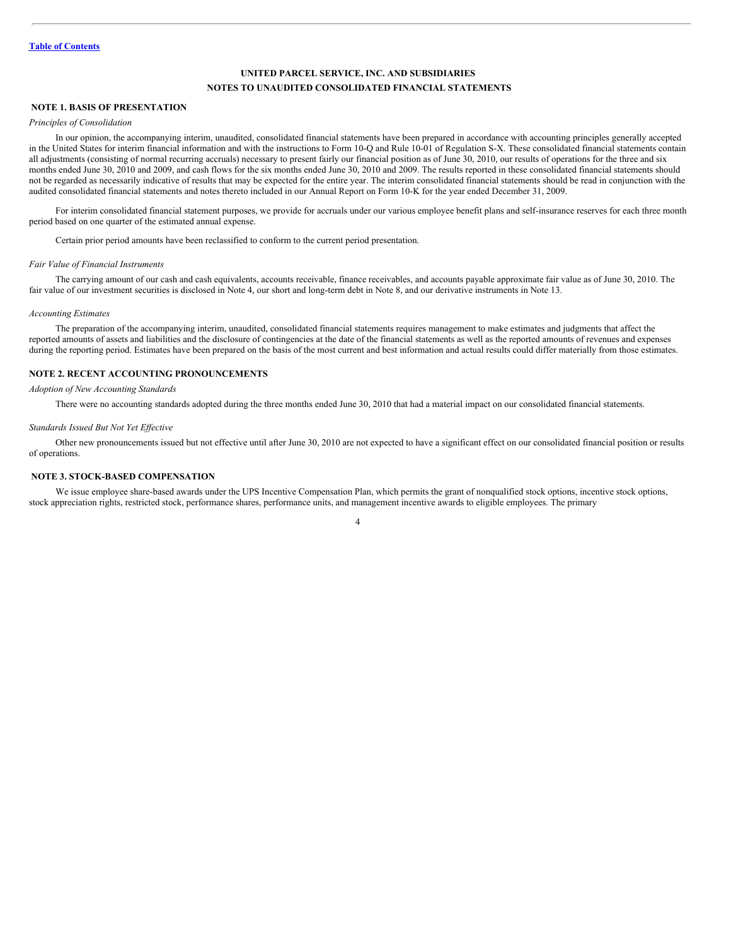## <span id="page-5-0"></span>**NOTES TO UNAUDITED CONSOLIDATED FINANCIAL STATEMENTS**

### <span id="page-5-1"></span>**NOTE 1. BASIS OF PRESENTATION**

#### *Principles of Consolidation*

In our opinion, the accompanying interim, unaudited, consolidated financial statements have been prepared in accordance with accounting principles generally accepted in the United States for interim financial information and with the instructions to Form 10-Q and Rule 10-01 of Regulation S-X. These consolidated financial statements contain all adjustments (consisting of normal recurring accruals) necessary to present fairly our financial position as of June 30, 2010, our results of operations for the three and six months ended June 30, 2010 and 2009, and cash flows for the six months ended June 30, 2010 and 2009. The results reported in these consolidated financial statements should not be regarded as necessarily indicative of results that may be expected for the entire year. The interim consolidated financial statements should be read in conjunction with the audited consolidated financial statements and notes thereto included in our Annual Report on Form 10-K for the year ended December 31, 2009.

For interim consolidated financial statement purposes, we provide for accruals under our various employee benefit plans and self-insurance reserves for each three month period based on one quarter of the estimated annual expense.

Certain prior period amounts have been reclassified to conform to the current period presentation.

#### *Fair Value of Financial Instruments*

The carrying amount of our cash and cash equivalents, accounts receivable, finance receivables, and accounts payable approximate fair value as of June 30, 2010. The fair value of our investment securities is disclosed in Note 4, our short and long-term debt in Note 8, and our derivative instruments in Note 13.

#### *Accounting Estimates*

The preparation of the accompanying interim, unaudited, consolidated financial statements requires management to make estimates and judgments that affect the reported amounts of assets and liabilities and the disclosure of contingencies at the date of the financial statements as well as the reported amounts of revenues and expenses during the reporting period. Estimates have been prepared on the basis of the most current and best information and actual results could differ materially from those estimates.

#### **NOTE 2. RECENT ACCOUNTING PRONOUNCEMENTS**

*Adoption of New Accounting Standards*

There were no accounting standards adopted during the three months ended June 30, 2010 that had a material impact on our consolidated financial statements.

#### *Standards Issued But Not Yet Ef ective*

Other new pronouncements issued but not effective until after June 30, 2010 are not expected to have a significant effect on our consolidated financial position or results of operations.

#### <span id="page-5-2"></span>**NOTE 3. STOCK-BASED COMPENSATION**

We issue employee share-based awards under the UPS Incentive Compensation Plan, which permits the grant of nonqualified stock options, incentive stock options, stock appreciation rights, restricted stock, performance shares, performance units, and management incentive awards to eligible employees. The primary

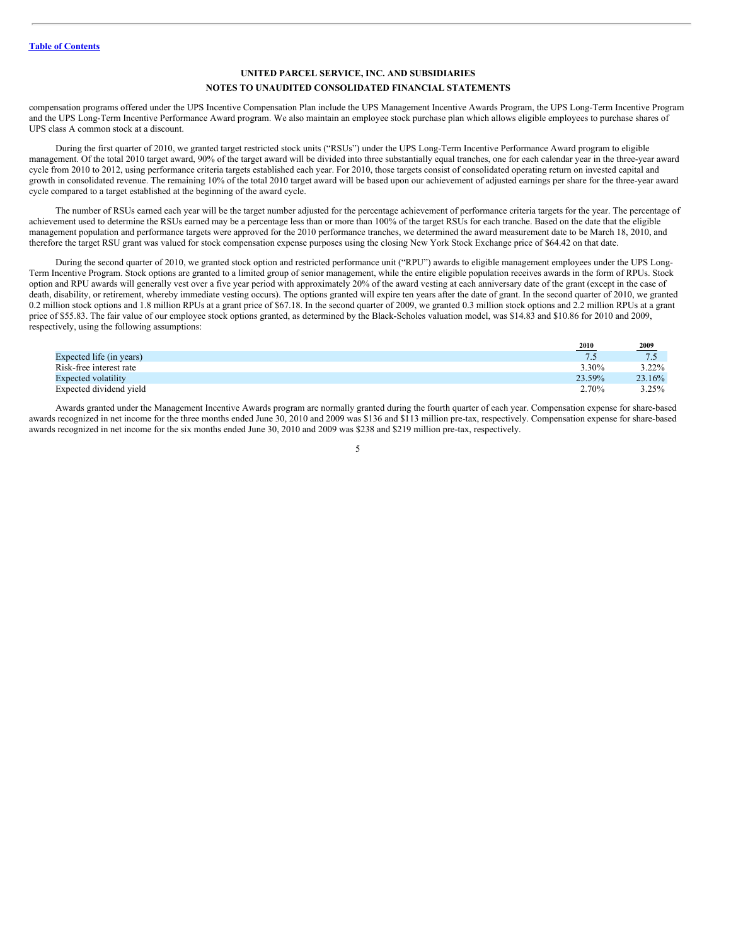compensation programs offered under the UPS Incentive Compensation Plan include the UPS Management Incentive Awards Program, the UPS Long-Term Incentive Program and the UPS Long-Term Incentive Performance Award program. We also maintain an employee stock purchase plan which allows eligible employees to purchase shares of UPS class A common stock at a discount.

During the first quarter of 2010, we granted target restricted stock units ("RSUs") under the UPS Long-Term Incentive Performance Award program to eligible management. Of the total 2010 target award, 90% of the target award will be divided into three substantially equal tranches, one for each calendar year in the three-year award cycle from 2010 to 2012, using performance criteria targets established each year. For 2010, those targets consist of consolidated operating return on invested capital and growth in consolidated revenue. The remaining 10% of the total 2010 target award will be based upon our achievement of adjusted earnings per share for the three-year award cycle compared to a target established at the beginning of the award cycle.

The number of RSUs earned each year will be the target number adjusted for the percentage achievement of performance criteria targets for the year. The percentage of achievement used to determine the RSUs earned may be a percentage less than or more than 100% of the target RSUs for each tranche. Based on the date that the eligible management population and performance targets were approved for the 2010 performance tranches, we determined the award measurement date to be March 18, 2010, and therefore the target RSU grant was valued for stock compensation expense purposes using the closing New York Stock Exchange price of \$64.42 on that date.

During the second quarter of 2010, we granted stock option and restricted performance unit ("RPU") awards to eligible management employees under the UPS Long-Term Incentive Program. Stock options are granted to a limited group of senior management, while the entire eligible population receives awards in the form of RPUs. Stock option and RPU awards will generally vest over a five year period with approximately 20% of the award vesting at each anniversary date of the grant (except in the case of death, disability, or retirement, whereby immediate vesting occurs). The options granted will expire ten years after the date of grant. In the second quarter of 2010, we granted 0.2 million stock options and 1.8 million RPUs at a grant price of \$67.18. In the second quarter of 2009, we granted 0.3 million stock options and 2.2 million RPUs at a grant price of \$55.83. The fair value of our employee stock options granted, as determined by the Black-Scholes valuation model, was \$14.83 and \$10.86 for 2010 and 2009, respectively, using the following assumptions:

|                          | 2010   |                    |
|--------------------------|--------|--------------------|
| Expected life (in years) | .      | $\frac{2009}{7.5}$ |
| Risk-free interest rate  | 3.30%  | $3.22\%$           |
| Expected volatility      | 23.59% | 23.16%             |
| Expected dividend yield  | 2.70%  | $3.25\%$           |

Awards granted under the Management Incentive Awards program are normally granted during the fourth quarter of each year. Compensation expense for share-based awards recognized in net income for the three months ended June 30, 2010 and 2009 was \$136 and \$113 million pre-tax, respectively. Compensation expense for share-based awards recognized in net income for the six months ended June 30, 2010 and 2009 was \$238 and \$219 million pre-tax, respectively.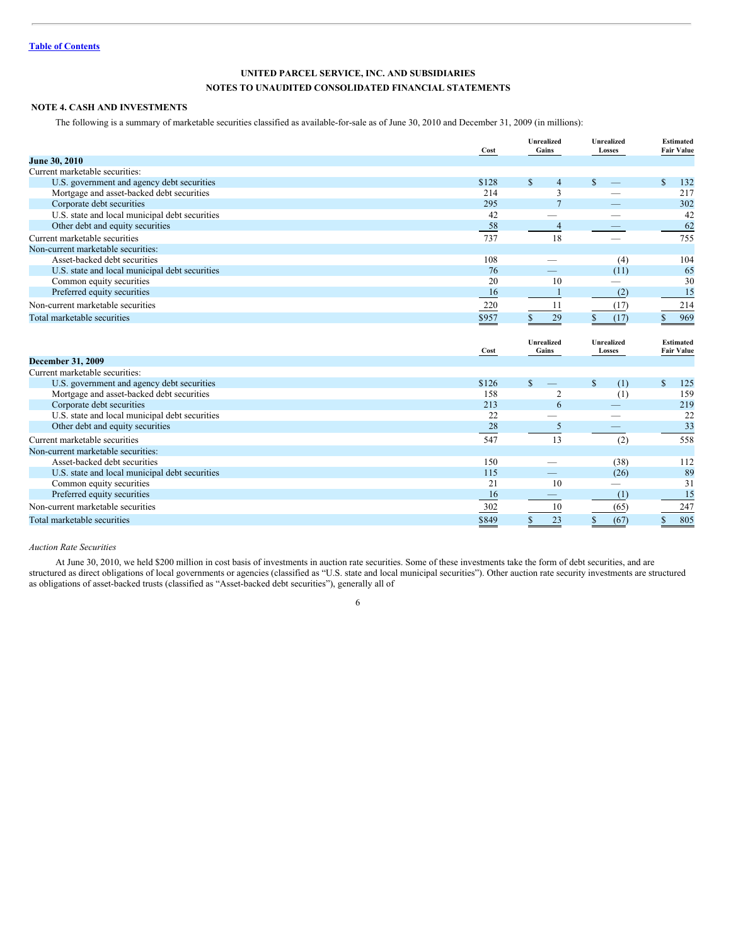# <span id="page-7-0"></span>**NOTE 4. CASH AND INVESTMENTS**

The following is a summary of marketable securities classified as available-for-sale as of June 30, 2010 and December 31, 2009 (in millions):

|                                                | Cost  | <b>Unrealized</b><br>Gains     | <b>Unrealized</b><br>Losses | <b>Estimated</b><br><b>Fair Value</b> |  |
|------------------------------------------------|-------|--------------------------------|-----------------------------|---------------------------------------|--|
| June 30, 2010                                  |       |                                |                             |                                       |  |
| Current marketable securities:                 |       |                                |                             |                                       |  |
| U.S. government and agency debt securities     | \$128 | $\mathbb{S}$<br>$\overline{4}$ | \$                          | $\mathbb{S}$<br>132                   |  |
| Mortgage and asset-backed debt securities      | 214   | 3                              |                             | 217                                   |  |
| Corporate debt securities                      | 295   | $\overline{7}$                 |                             | 302                                   |  |
| U.S. state and local municipal debt securities | 42    |                                |                             | 42                                    |  |
| Other debt and equity securities               | 58    | $\overline{4}$                 |                             | 62                                    |  |
| Current marketable securities                  | 737   | 18                             |                             | 755                                   |  |
| Non-current marketable securities:             |       |                                |                             |                                       |  |
| Asset-backed debt securities                   | 108   |                                | (4)                         | 104                                   |  |
| U.S. state and local municipal debt securities | 76    |                                | (11)                        | 65                                    |  |
| Common equity securities                       | 20    | 10                             | $\overline{\phantom{0}}$    | 30                                    |  |
| Preferred equity securities                    | 16    |                                | (2)                         | 15                                    |  |
| Non-current marketable securities              | 220   | 11                             | (17)                        | 214                                   |  |
| Total marketable securities                    | \$957 | 29                             | (17)                        | 969<br>\$                             |  |
|                                                |       |                                |                             |                                       |  |
|                                                | Cost  | Unrealized<br>Gains            | <b>Unrealized</b><br>Losses | <b>Estimated</b><br><b>Fair Value</b> |  |
| <b>December 31, 2009</b>                       |       |                                |                             |                                       |  |
| Current marketable securities:                 |       |                                |                             |                                       |  |
| U.S. government and agency debt securities     | \$126 | $\mathbb{S}$                   | $\mathsf{\$}$<br>(1)        | \$<br>125                             |  |
| Mortgage and asset-backed debt securities      | 158   | 2                              | (1)                         | 159                                   |  |
| Corporate debt securities                      | 213   | 6                              |                             | 219                                   |  |
| U.S. state and local municipal debt securities | 22    |                                |                             | 22                                    |  |
| Other debt and equity securities               | 28    | 5                              |                             | 33                                    |  |
| Current marketable securities                  | 547   | 13                             | (2)                         | 558                                   |  |
| Non-current marketable securities:             |       |                                |                             |                                       |  |
| Asset-backed debt securities                   | 150   |                                | (38)                        | 112                                   |  |
| U.S. state and local municipal debt securities | 115   | $\overline{\phantom{0}}$       | (26)                        | 89                                    |  |
| Common equity securities                       | 21    | 10                             |                             | 31                                    |  |
| Preferred equity securities                    | 16    | $\overline{\phantom{0}}$       | (1)                         | 15                                    |  |
| Non-current marketable securities              | 302   | 10                             | (65)                        | 247                                   |  |

#### *Auction Rate Securities*

At June 30, 2010, we held \$200 million in cost basis of investments in auction rate securities. Some of these investments take the form of debt securities, and are structured as direct obligations of local governments or agencies (classified as "U.S. state and local municipal securities"). Other auction rate security investments are structured as obligations of asset-backed trusts (classified as "Asset-backed debt securities"), generally all of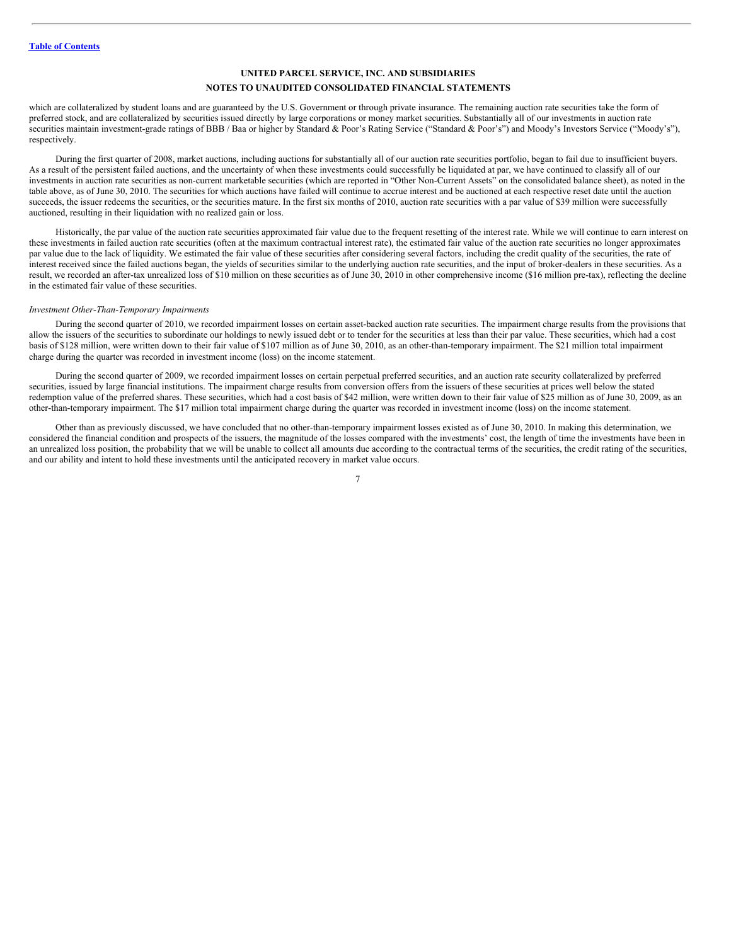which are collateralized by student loans and are guaranteed by the U.S. Government or through private insurance. The remaining auction rate securities take the form of preferred stock, and are collateralized by securities issued directly by large corporations or money market securities. Substantially all of our investments in auction rate securities maintain investment-grade ratings of BBB / Baa or higher by Standard & Poor's Rating Service ("Standard & Poor's") and Moody's Investors Service ("Moody's"), respectively.

During the first quarter of 2008, market auctions, including auctions for substantially all of our auction rate securities portfolio, began to fail due to insufficient buyers. As a result of the persistent failed auctions, and the uncertainty of when these investments could successfully be liquidated at par, we have continued to classify all of our investments in auction rate securities as non-current marketable securities (which are reported in "Other Non-Current Assets" on the consolidated balance sheet), as noted in the table above, as of June 30, 2010. The securities for which auctions have failed will continue to accrue interest and be auctioned at each respective reset date until the auction succeeds, the issuer redeems the securities, or the securities mature. In the first six months of 2010, auction rate securities with a par value of \$39 million were successfully auctioned, resulting in their liquidation with no realized gain or loss.

Historically, the par value of the auction rate securities approximated fair value due to the frequent resetting of the interest rate. While we will continue to earn interest on these investments in failed auction rate securities (often at the maximum contractual interest rate), the estimated fair value of the auction rate securities no longer approximates par value due to the lack of liquidity. We estimated the fair value of these securities after considering several factors, including the credit quality of the securities, the rate of interest received since the failed auctions began, the yields of securities similar to the underlying auction rate securities, and the input of broker-dealers in these securities. As a result, we recorded an after-tax unrealized loss of \$10 million on these securities as of June 30, 2010 in other comprehensive income (\$16 million pre-tax), reflecting the decline in the estimated fair value of these securities.

#### *Investment Other-Than-Temporary Impairments*

During the second quarter of 2010, we recorded impairment losses on certain asset-backed auction rate securities. The impairment charge results from the provisions that allow the issuers of the securities to subordinate our holdings to newly issued debt or to tender for the securities at less than their par value. These securities, which had a cost basis of \$128 million, were written down to their fair value of \$107 million as of June 30, 2010, as an other-than-temporary impairment. The \$21 million total impairment charge during the quarter was recorded in investment income (loss) on the income statement.

During the second quarter of 2009, we recorded impairment losses on certain perpetual preferred securities, and an auction rate security collateralized by preferred securities, issued by large financial institutions. The impairment charge results from conversion offers from the issuers of these securities at prices well below the stated redemption value of the preferred shares. These securities, which had a cost basis of \$42 million, were written down to their fair value of \$25 million as of June 30, 2009, as an other-than-temporary impairment. The \$17 million total impairment charge during the quarter was recorded in investment income (loss) on the income statement.

Other than as previously discussed, we have concluded that no other-than-temporary impairment losses existed as of June 30, 2010. In making this determination, we considered the financial condition and prospects of the issuers, the magnitude of the losses compared with the investments' cost, the length of time the investments have been in an unrealized loss position, the probability that we will be unable to collect all amounts due according to the contractual terms of the securities, the credit rating of the securities, and our ability and intent to hold these investments until the anticipated recovery in market value occurs.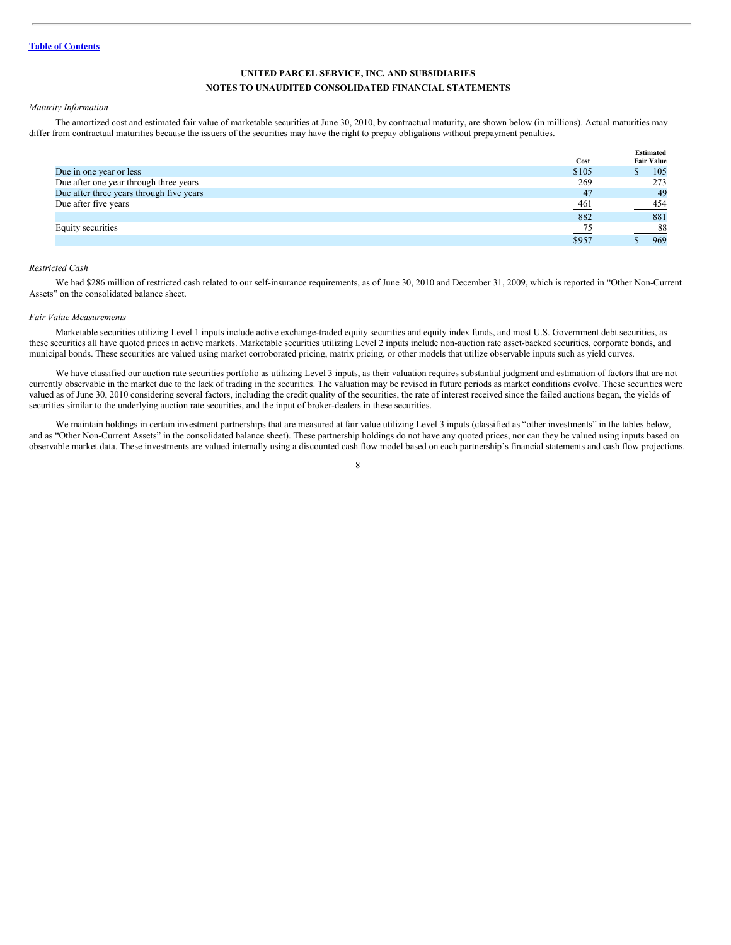### *Maturity Information*

The amortized cost and estimated fair value of marketable securities at June 30, 2010, by contractual maturity, are shown below (in millions). Actual maturities may differ from contractual maturities because the issuers of the securities may have the right to prepay obligations without prepayment penalties.

|                                          |                   | Estimated         |
|------------------------------------------|-------------------|-------------------|
|                                          | <b>Cost</b>       | <b>Fair Value</b> |
| Due in one year or less                  | $\overline{$105}$ | 105               |
| Due after one year through three years   | 269               | 273               |
| Due after three years through five years | 47                | 49                |
| Due after five years                     | $-461$            | 454               |
|                                          | 882               | 881               |
| Equity securities                        |                   | 88                |
|                                          | \$957             | 969               |
|                                          |                   |                   |

### *Restricted Cash*

We had \$286 million of restricted cash related to our self-insurance requirements, as of June 30, 2010 and December 31, 2009, which is reported in "Other Non-Current Assets" on the consolidated balance sheet.

#### *Fair Value Measurements*

Marketable securities utilizing Level 1 inputs include active exchange-traded equity securities and equity index funds, and most U.S. Government debt securities, as these securities all have quoted prices in active markets. Marketable securities utilizing Level 2 inputs include non-auction rate asset-backed securities, corporate bonds, and municipal bonds. These securities are valued using market corroborated pricing, matrix pricing, or other models that utilize observable inputs such as yield curves.

We have classified our auction rate securities portfolio as utilizing Level 3 inputs, as their valuation requires substantial judgment and estimation of factors that are not currently observable in the market due to the lack of trading in the securities. The valuation may be revised in future periods as market conditions evolve. These securities were valued as of June 30, 2010 considering several factors, including the credit quality of the securities, the rate of interest received since the failed auctions began, the yields of securities similar to the underlying auction rate securities, and the input of broker-dealers in these securities.

We maintain holdings in certain investment partnerships that are measured at fair value utilizing Level 3 inputs (classified as "other investments" in the tables below, and as "Other Non-Current Assets" in the consolidated balance sheet). These partnership holdings do not have any quoted prices, nor can they be valued using inputs based on observable market data. These investments are valued internally using a discounted cash flow model based on each partnership's financial statements and cash flow projections.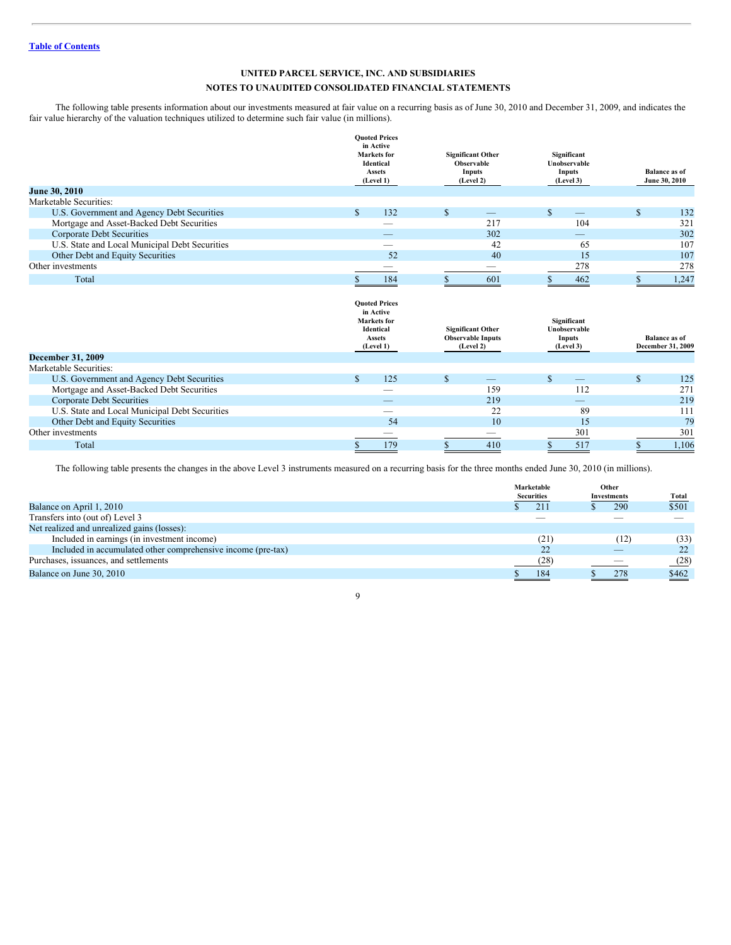The following table presents information about our investments measured at fair value on a recurring basis as of June 30, 2010 and December 31, 2009, and indicates the fair value hierarchy of the valuation techniques utilized to determine such fair value (in millions).

|                                                | <b>Quoted Prices</b><br>in Active<br><b>Markets</b> for<br><b>Identical</b><br><b>Assets</b><br>(Level 1) |              | <b>Significant Other</b><br><b>Observable</b><br><b>Inputs</b><br>(Level 2) | Significant<br>Unobservable<br><b>Inputs</b><br>(Level 3) | <b>Balance as of</b><br>June 30, 2010     |
|------------------------------------------------|-----------------------------------------------------------------------------------------------------------|--------------|-----------------------------------------------------------------------------|-----------------------------------------------------------|-------------------------------------------|
| June 30, 2010                                  |                                                                                                           |              |                                                                             |                                                           |                                           |
| Marketable Securities:                         |                                                                                                           |              |                                                                             |                                                           |                                           |
| U.S. Government and Agency Debt Securities     | $\mathbb{S}$<br>132                                                                                       | $\mathbf S$  |                                                                             | $\mathbf S$                                               | $\mathbb{S}$<br>132                       |
| Mortgage and Asset-Backed Debt Securities      | -                                                                                                         |              | 217                                                                         | 104                                                       | 321                                       |
| <b>Corporate Debt Securities</b>               |                                                                                                           |              | 302                                                                         |                                                           | 302                                       |
| U.S. State and Local Municipal Debt Securities | -                                                                                                         |              | 42                                                                          | 65                                                        | 107                                       |
| Other Debt and Equity Securities               | 52                                                                                                        |              | 40                                                                          | 15                                                        | 107                                       |
| Other investments                              |                                                                                                           |              |                                                                             | 278                                                       | 278                                       |
| Total                                          | 184                                                                                                       | S.           | 601                                                                         | 462                                                       | 1,247                                     |
|                                                | <b>Ouoted Prices</b><br>in Active<br><b>Markets</b> for<br>Identical<br><b>Assets</b><br>(Level 1)        |              | <b>Significant Other</b><br><b>Observable Inputs</b><br>(Level 2)           | Significant<br>Unobservable<br><b>Inputs</b><br>(Level 3) | <b>Balance as of</b><br>December 31, 2009 |
| <b>December 31, 2009</b>                       |                                                                                                           |              |                                                                             |                                                           |                                           |
| Marketable Securities:                         |                                                                                                           |              |                                                                             |                                                           |                                           |
| U.S. Government and Agency Debt Securities     | $\mathbb{S}$<br>125                                                                                       | $\mathbb{S}$ |                                                                             | $\mathbb{S}$                                              | $\mathsf{\$}$<br>125                      |
| Mortgage and Asset-Backed Debt Securities      |                                                                                                           |              | 159                                                                         | 112                                                       | 271                                       |
| <b>Corporate Debt Securities</b>               |                                                                                                           |              | 219                                                                         |                                                           | 219                                       |
| U.S. State and Local Municipal Debt Securities | -                                                                                                         |              | 22                                                                          | 89                                                        | 111                                       |
| Other Debt and Equity Securities               | 54                                                                                                        |              | 10                                                                          | 15                                                        | 79                                        |
| Other investments                              |                                                                                                           |              | _                                                                           | 301                                                       | 301                                       |
| Total                                          | 179<br>$\mathbb{S}$                                                                                       | $\mathbb{S}$ | 410                                                                         | \$<br>517                                                 | \$<br>1,106                               |

The following table presents the changes in the above Level 3 instruments measured on a recurring basis for the three months ended June 30, 2010 (in millions).

|                                                              | Marketable        | Other       |       |
|--------------------------------------------------------------|-------------------|-------------|-------|
|                                                              | <b>Securities</b> | Investments | Total |
| Balance on April 1, 2010                                     | 211               | 290         | \$501 |
| Transfers into (out of) Level 3                              |                   |             |       |
| Net realized and unrealized gains (losses):                  |                   |             |       |
| Included in earnings (in investment income)                  | (21)              | (12)        | (33)  |
| Included in accumulated other comprehensive income (pre-tax) | 22                |             | 22    |
| Purchases, issuances, and settlements                        | (28)              | $\sim$      | (28)  |
| Balance on June 30, 2010                                     | 184               | 278         | 6462  |
|                                                              |                   |             |       |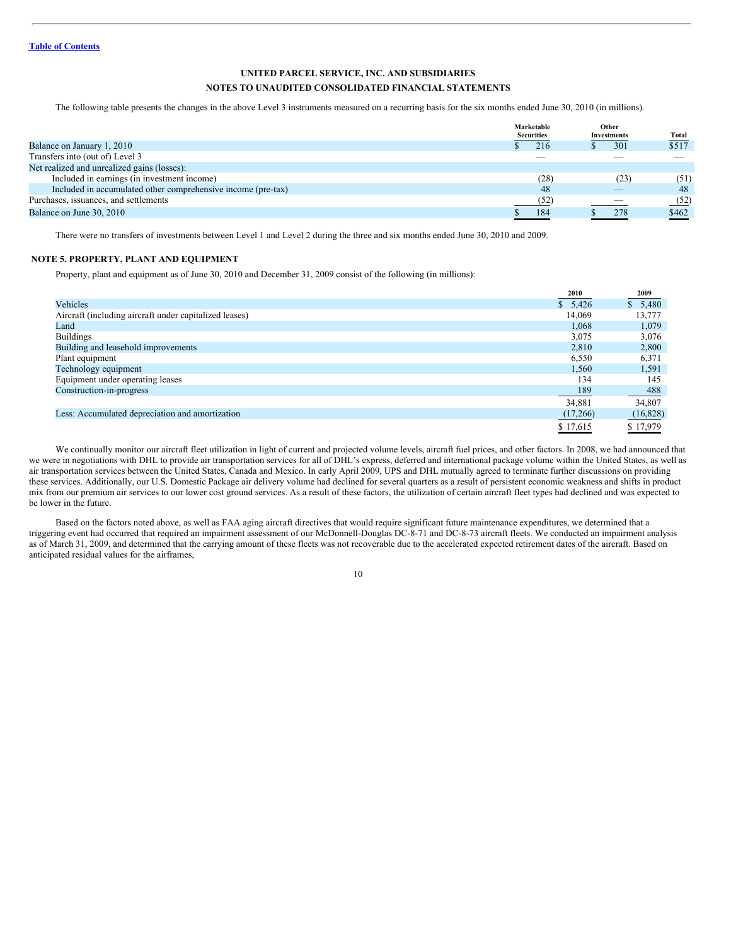The following table presents the changes in the above Level 3 instruments measured on a recurring basis for the six months ended June 30, 2010 (in millions).

|                                                              | Marketable<br><b>Securities</b> |                          | Other<br>Investments     | Total           |
|--------------------------------------------------------------|---------------------------------|--------------------------|--------------------------|-----------------|
| Balance on January 1, 2010                                   |                                 | 216                      | 301                      | \$517           |
| Transfers into (out of) Level 3                              |                                 | $\overline{\phantom{a}}$ | $\overline{\phantom{a}}$ |                 |
| Net realized and unrealized gains (losses):                  |                                 |                          |                          |                 |
| Included in earnings (in investment income)                  |                                 | (28)                     | (23)                     | (51)            |
| Included in accumulated other comprehensive income (pre-tax) |                                 | 48                       | $\overline{\phantom{a}}$ | 48              |
| Purchases, issuances, and settlements                        |                                 | (52)                     |                          | (52)            |
| Balance on June 30, 2010                                     |                                 | 184                      | 278                      | \$462<br>$\sim$ |
|                                                              |                                 |                          |                          |                 |

There were no transfers of investments between Level 1 and Level 2 during the three and six months ended June 30, 2010 and 2009.

### <span id="page-11-0"></span>**NOTE 5. PROPERTY, PLANT AND EQUIPMENT**

Property, plant and equipment as of June 30, 2010 and December 31, 2009 consist of the following (in millions):

|                                                        | 2010     | 2009     |
|--------------------------------------------------------|----------|----------|
| Vehicles                                               | \$5,426  | \$5,480  |
| Aircraft (including aircraft under capitalized leases) | 14.069   | 13,777   |
| Land                                                   | 1,068    | 1,079    |
| <b>Buildings</b>                                       | 3,075    | 3,076    |
| Building and leasehold improvements                    | 2,810    | 2,800    |
| Plant equipment                                        | 6,550    | 6,371    |
| Technology equipment                                   | 1,560    | 1,591    |
| Equipment under operating leases                       | 134      | 145      |
| Construction-in-progress                               | 189      | 488      |
|                                                        | 34.881   | 34,807   |
| Less: Accumulated depreciation and amortization        | (17,266) | (16,828) |
|                                                        | \$17,615 | \$17,979 |
|                                                        |          |          |

We continually monitor our aircraft fleet utilization in light of current and projected volume levels, aircraft fuel prices, and other factors. In 2008, we had announced that we were in negotiations with DHL to provide air transportation services for all of DHL's express, deferred and international package volume within the United States, as well as air transportation services between the United States, Canada and Mexico. In early April 2009, UPS and DHL mutually agreed to terminate further discussions on providing these services. Additionally, our U.S. Domestic Package air delivery volume had declined for several quarters as a result of persistent economic weakness and shifts in product mix from our premium air services to our lower cost ground services. As a result of these factors, the utilization of certain aircraft fleet types had declined and was expected to be lower in the future.

Based on the factors noted above, as well as FAA aging aircraft directives that would require significant future maintenance expenditures, we determined that a triggering event had occurred that required an impairment assessment of our McDonnell-Douglas DC-8-71 and DC-8-73 aircraft fleets. We conducted an impairment analysis as of March 31, 2009, and determined that the carrying amount of these fleets was not recoverable due to the accelerated expected retirement dates of the aircraft. Based on anticipated residual values for the airframes,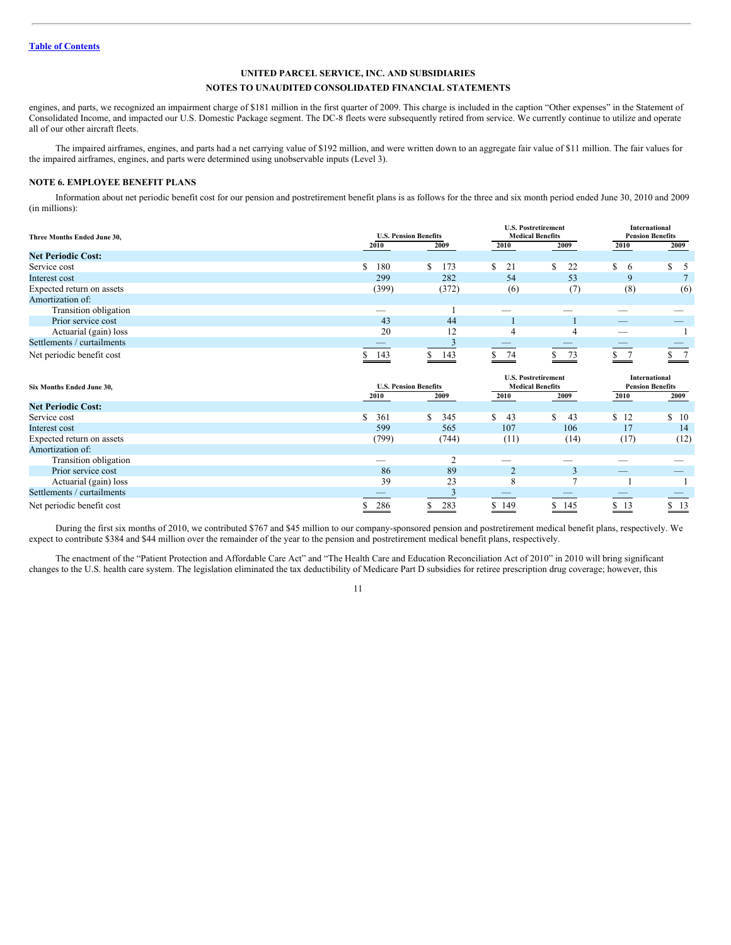### **NOTES TO UNAUDITED CONSOLIDATED FINANCIAL STATEMENTS**

engines, and parts, we recognized an impairment charge of \$181 million in the first quarter of 2009. This charge is included in the caption "Other expenses" in the Statement of Consolidated Income, and impacted our U.S. Domestic Package segment. The DC-8 fleets were subsequently retired from service. We currently continue to utilize and operate all of our other aircraft fleets.

The impaired airframes, engines, and parts had a net carrying value of \$192 million, and were written down to an aggregate fair value of \$11 million. The fair values for the impaired airframes, engines, and parts were determined using unobservable inputs (Level 3).

### **NOTE 6. EMPLOYEE BENEFIT PLANS**

Information about net periodic benefit cost for our pension and postretirement benefit plans is as follows for the three and six month period ended June 30, 2010 and 2009 (in millions):

|                             |       |                              | <b>U.S. Postretirement</b> |                         | <b>International</b>     |                    |
|-----------------------------|-------|------------------------------|----------------------------|-------------------------|--------------------------|--------------------|
| Three Months Ended June 30, |       | <b>U.S. Pension Benefits</b> |                            | <b>Medical Benefits</b> | <b>Pension Benefits</b>  |                    |
|                             | 2010  | 2009                         | 2010                       | 2009                    | 2010                     | 2009               |
| <b>Net Periodic Cost:</b>   |       |                              |                            |                         |                          |                    |
| Service cost                | 180   | \$<br>173                    | \$<br>21                   | 22<br>S.                | \$<br>$\theta$           | $\mathbb{C}$<br>-5 |
| Interest cost               | 299   | 282                          | 54                         | 53                      | Q                        |                    |
| Expected return on assets   | (399) | (372)                        | (6)                        | (7)                     | (8)                      | (6)                |
| Amortization of:            |       |                              |                            |                         |                          |                    |
| Transition obligation       | __    |                              |                            |                         |                          |                    |
| Prior service cost          | 43    | 44                           |                            |                         | $\overline{\phantom{a}}$ |                    |
| Actuarial (gain) loss       | 20    | 12                           | 4                          | 4                       | $\overline{\phantom{a}}$ |                    |
| Settlements / curtailments  |       |                              |                            |                         |                          |                    |
| Net periodic benefit cost   | \$143 | - 143<br>S.                  | -74                        | - 73                    |                          |                    |

|                            |           |                              |                         | <b>U.S. Postretirement</b> |                          | <b>International</b> |
|----------------------------|-----------|------------------------------|-------------------------|----------------------------|--------------------------|----------------------|
| Six Months Ended June 30,  |           | <b>U.S. Pension Benefits</b> | <b>Medical Benefits</b> |                            | <b>Pension Benefits</b>  |                      |
|                            | 2010      | 2009                         | 2010                    | 2009                       | 2010                     | 2009                 |
| <b>Net Periodic Cost:</b>  |           |                              |                         |                            |                          |                      |
| Service cost               | 361<br>\$ | 345<br>S.                    | S.<br>-43               | 43<br>S.                   | \$12                     | \$10                 |
| Interest cost              | 599       | 565                          | 107                     | 106                        | 17                       | 14                   |
| Expected return on assets  | (799)     | (744)                        | (11)                    | (14)                       | (17)                     | (12)                 |
| Amortization of:           |           |                              |                         |                            |                          |                      |
| Transition obligation      | _         | $\sim$                       |                         |                            |                          |                      |
| Prior service cost         | 86        | 89                           | $\sim$                  |                            | $\overline{\phantom{a}}$ |                      |
| Actuarial (gain) loss      | 39        | 23                           | 8                       | -                          |                          |                      |
| Settlements / curtailments |           |                              |                         |                            |                          |                      |
| Net periodic benefit cost  | \$286     | 283<br>\$                    | \$149<br>______         | \$145                      | \$13                     | \$13                 |

During the first six months of 2010, we contributed \$767 and \$45 million to our company-sponsored pension and postretirement medical benefit plans, respectively. We expect to contribute \$384 and \$44 million over the remainder of the year to the pension and postretirement medical benefit plans, respectively.

The enactment of the "Patient Protection and Affordable Care Act" and "The Health Care and Education Reconciliation Act of 2010" in 2010 will bring significant changes to the U.S. health care system. The legislation eliminated the tax deductibility of Medicare Part D subsidies for retiree prescription drug coverage; however, this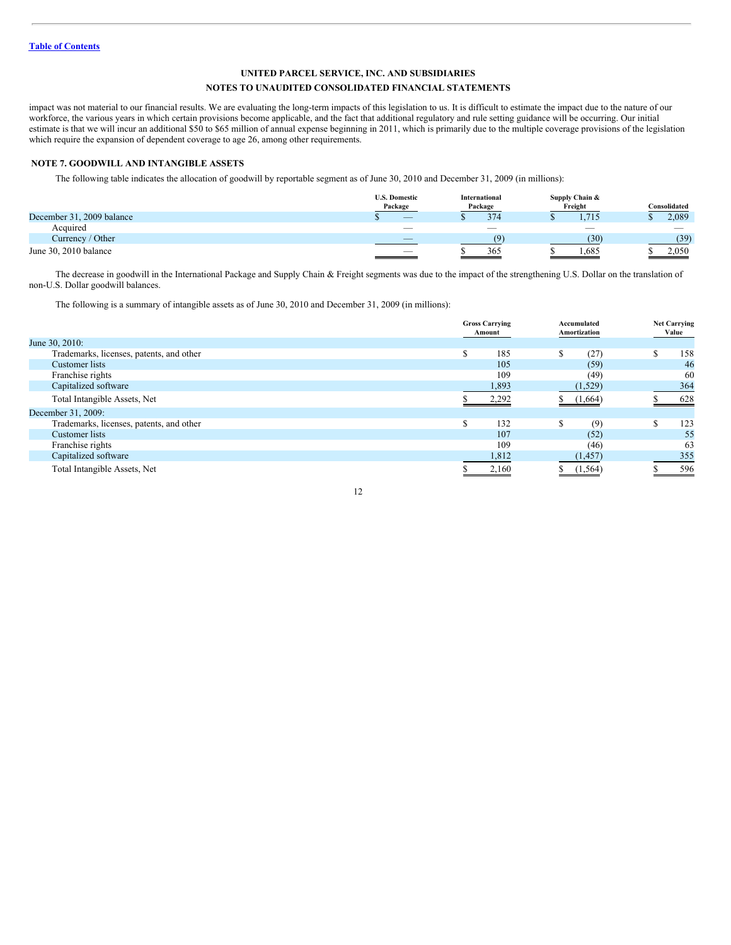### **NOTES TO UNAUDITED CONSOLIDATED FINANCIAL STATEMENTS**

impact was not material to our financial results. We are evaluating the long-term impacts of this legislation to us. It is difficult to estimate the impact due to the nature of our workforce, the various years in which certain provisions become applicable, and the fact that additional regulatory and rule setting guidance will be occurring. Our initial estimate is that we will incur an additional \$50 to \$65 million of annual expense beginning in 2011, which is primarily due to the multiple coverage provisions of the legislation which require the expansion of dependent coverage to age 26, among other requirements.

### <span id="page-13-0"></span>**NOTE 7. GOODWILL AND INTANGIBLE ASSETS**

The following table indicates the allocation of goodwill by reportable segment as of June 30, 2010 and December 31, 2009 (in millions):

|                           | <b>U.S. Domestic</b><br>Package | International<br>Package | Supply Chain &<br>Freight | Consolidated |
|---------------------------|---------------------------------|--------------------------|---------------------------|--------------|
| December 31, 2009 balance | $\overline{\phantom{a}}$        | 374                      |                           | 2,089        |
| Acquired                  |                                 | __                       |                           |              |
| Currency / Other          |                                 |                          | (30)                      | (39)         |
| June 30, 2010 balance     |                                 | 365                      | .685                      | 2.050        |

The decrease in goodwill in the International Package and Supply Chain & Freight segments was due to the impact of the strengthening U.S. Dollar on the translation of non-U.S. Dollar goodwill balances.

The following is a summary of intangible assets as of June 30, 2010 and December 31, 2009 (in millions):

|                                          |   | <b>Gross Carrying</b><br>Amount |                  | Accumulated<br>Amortization |         | <b>Net Carrying</b><br>Value |
|------------------------------------------|---|---------------------------------|------------------|-----------------------------|---------|------------------------------|
| June 30, 2010:                           |   |                                 |                  |                             |         |                              |
| Trademarks, licenses, patents, and other |   | 185                             | $\triangle$<br>ъ | (27)                        | ¢<br>ה. | 158                          |
| Customer lists                           |   | 105                             |                  | (59)                        |         | 46                           |
| Franchise rights                         |   | 109                             |                  | (49)                        |         | 60                           |
| Capitalized software                     |   | 1,893                           |                  | (1,529)                     |         | 364                          |
| Total Intangible Assets, Net             |   | 2,292                           |                  | (1,664)                     |         | 628                          |
| December 31, 2009:                       |   |                                 |                  |                             |         |                              |
| Trademarks, licenses, patents, and other | ጦ | 132                             | $\triangle$      | (9)                         | ¢       | 123                          |
| Customer lists                           |   | 107                             |                  | (52)                        |         | 55                           |
| Franchise rights                         |   | 109                             |                  | (46)                        |         | 63                           |
| Capitalized software                     |   | 1,812                           |                  | (1, 457)                    |         | 355                          |
| Total Intangible Assets, Net             |   | 2,160                           |                  | (1, 564)                    |         | 596                          |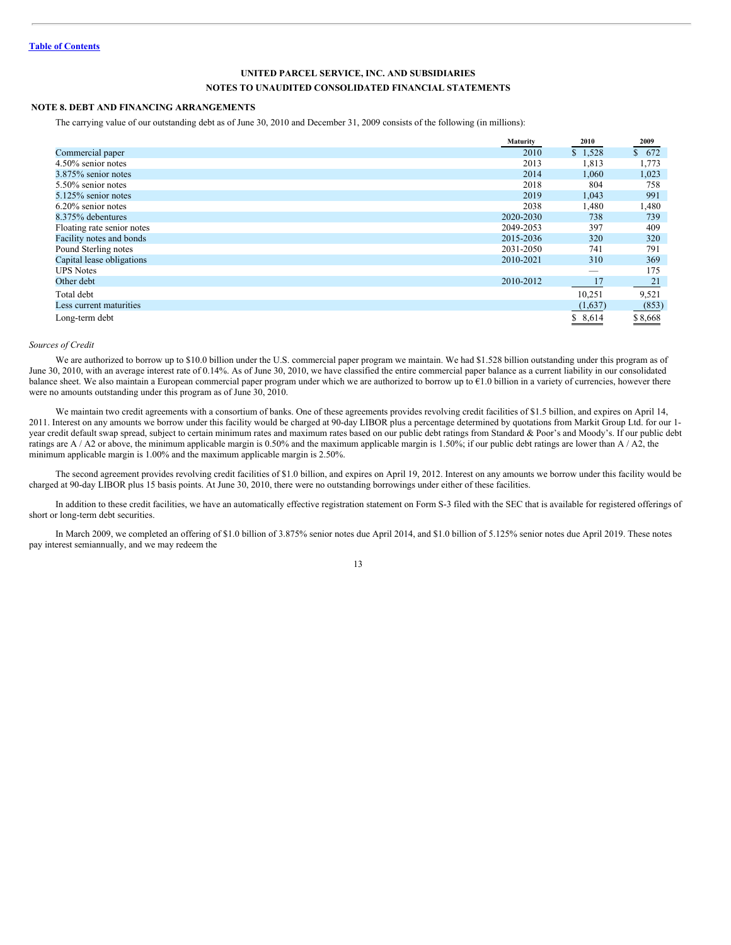### <span id="page-14-0"></span>**NOTE 8. DEBT AND FINANCING ARRANGEMENTS**

The carrying value of our outstanding debt as of June 30, 2010 and December 31, 2009 consists of the following (in millions):

|                            | Maturity  | 2010    | 2009    |
|----------------------------|-----------|---------|---------|
| Commercial paper           | 2010      | \$1,528 | \$672   |
| 4.50% senior notes         | 2013      | 1,813   | 1,773   |
| 3.875% senior notes        | 2014      | 1,060   | 1,023   |
| 5.50% senior notes         | 2018      | 804     | 758     |
| 5.125% senior notes        | 2019      | 1,043   | 991     |
| $6.20\%$ senior notes      | 2038      | 1,480   | 1,480   |
| 8.375% debentures          | 2020-2030 | 738     | 739     |
| Floating rate senior notes | 2049-2053 | 397     | 409     |
| Facility notes and bonds   | 2015-2036 | 320     | 320     |
| Pound Sterling notes       | 2031-2050 | 741     | 791     |
| Capital lease obligations  | 2010-2021 | 310     | 369     |
| <b>UPS Notes</b>           |           | --      | 175     |
| Other debt                 | 2010-2012 | 17      | 21      |
| Total debt                 |           | 10,251  | 9,521   |
| Less current maturities    |           | (1,637) | (853)   |
| Long-term debt             |           | \$8,614 | \$8,668 |

#### *Sources of Credit*

We are authorized to borrow up to \$10.0 billion under the U.S. commercial paper program we maintain. We had \$1.528 billion outstanding under this program as of June 30, 2010, with an average interest rate of 0.14%. As of June 30, 2010, we have classified the entire commercial paper balance as a current liability in our consolidated balance sheet. We also maintain a European commercial paper program under which we are authorized to borrow up to €1.0 billion in a variety of currencies, however there were no amounts outstanding under this program as of June 30, 2010.

We maintain two credit agreements with a consortium of banks. One of these agreements provides revolving credit facilities of \$1.5 billion, and expires on April 14, 2011. Interest on any amounts we borrow under this facility would be charged at 90-day LIBOR plus a percentage determined by quotations from Markit Group Ltd. for our 1 year credit default swap spread, subject to certain minimum rates and maximum rates based on our public debt ratings from Standard & Poor's and Moody's. If our public debt ratings are A / A2 or above, the minimum applicable margin is 0.50% and the maximum applicable margin is 1.50%; if our public debt ratings are lower than A / A2, the minimum applicable margin is 1.00% and the maximum applicable margin is 2.50%.

The second agreement provides revolving credit facilities of \$1.0 billion, and expires on April 19, 2012. Interest on any amounts we borrow under this facility would be charged at 90-day LIBOR plus 15 basis points. At June 30, 2010, there were no outstanding borrowings under either of these facilities.

In addition to these credit facilities, we have an automatically effective registration statement on Form S-3 filed with the SEC that is available for registered offerings of short or long-term debt securities.

In March 2009, we completed an offering of \$1.0 billion of 3.875% senior notes due April 2014, and \$1.0 billion of 5.125% senior notes due April 2019. These notes pay interest semiannually, and we may redeem the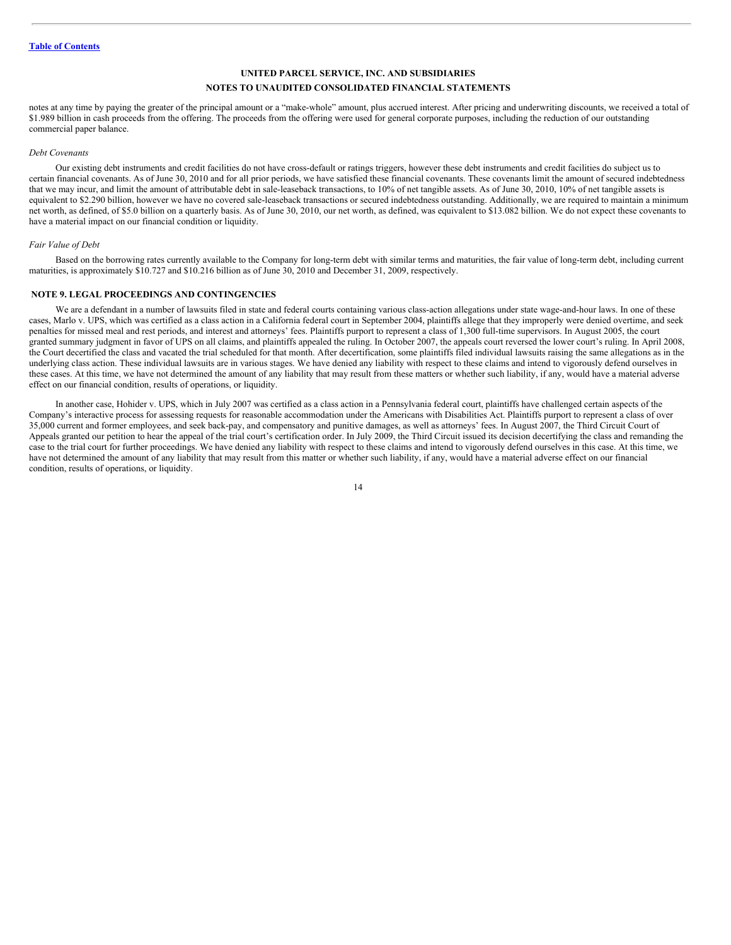notes at any time by paying the greater of the principal amount or a "make-whole" amount, plus accrued interest. After pricing and underwriting discounts, we received a total of \$1.989 billion in cash proceeds from the offering. The proceeds from the offering were used for general corporate purposes, including the reduction of our outstanding commercial paper balance.

#### *Debt Covenants*

Our existing debt instruments and credit facilities do not have cross-default or ratings triggers, however these debt instruments and credit facilities do subject us to certain financial covenants. As of June 30, 2010 and for all prior periods, we have satisfied these financial covenants. These covenants limit the amount of secured indebtedness that we may incur, and limit the amount of attributable debt in sale-leaseback transactions, to 10% of net tangible assets. As of June 30, 2010, 10% of net tangible assets is equivalent to \$2.290 billion, however we have no covered sale-leaseback transactions or secured indebtedness outstanding. Additionally, we are required to maintain a minimum net worth, as defined, of \$5.0 billion on a quarterly basis. As of June 30, 2010, our net worth, as defined, was equivalent to \$13.082 billion. We do not expect these covenants to have a material impact on our financial condition or liquidity.

#### *Fair Value of Debt*

Based on the borrowing rates currently available to the Company for long-term debt with similar terms and maturities, the fair value of long-term debt, including current maturities, is approximately \$10.727 and \$10.216 billion as of June 30, 2010 and December 31, 2009, respectively.

### <span id="page-15-0"></span>**NOTE 9. LEGAL PROCEEDINGS AND CONTINGENCIES**

We are a defendant in a number of lawsuits filed in state and federal courts containing various class-action allegations under state wage-and-hour laws. In one of these cases, Marlo v. UPS, which was certified as a class action in a California federal court in September 2004, plaintiffs allege that they improperly were denied overtime, and seek penalties for missed meal and rest periods, and interest and attorneys' fees. Plaintiffs purport to represent a class of 1,300 full-time supervisors. In August 2005, the court granted summary judgment in favor of UPS on all claims, and plaintiffs appealed the ruling. In October 2007, the appeals court reversed the lower court's ruling. In April 2008, the Court decertified the class and vacated the trial scheduled for that month. After decertification, some plaintiffs filed individual lawsuits raising the same allegations as in the underlying class action. These individual lawsuits are in various stages. We have denied any liability with respect to these claims and intend to vigorously defend ourselves in these cases. At this time, we have not determined the amount of any liability that may result from these matters or whether such liability, if any, would have a material adverse effect on our financial condition, results of operations, or liquidity.

In another case, Hohider v. UPS, which in July 2007 was certified as a class action in a Pennsylvania federal court, plaintiffs have challenged certain aspects of the Company's interactive process for assessing requests for reasonable accommodation under the Americans with Disabilities Act. Plaintiffs purport to represent a class of over 35,000 current and former employees, and seek back-pay, and compensatory and punitive damages, as well as attorneys' fees. In August 2007, the Third Circuit Court of Appeals granted our petition to hear the appeal of the trial court's certification order. In July 2009, the Third Circuit issued its decision decertifying the class and remanding the case to the trial court for further proceedings. We have denied any liability with respect to these claims and intend to vigorously defend ourselves in this case. At this time, we have not determined the amount of any liability that may result from this matter or whether such liability, if any, would have a material adverse effect on our financial condition, results of operations, or liquidity.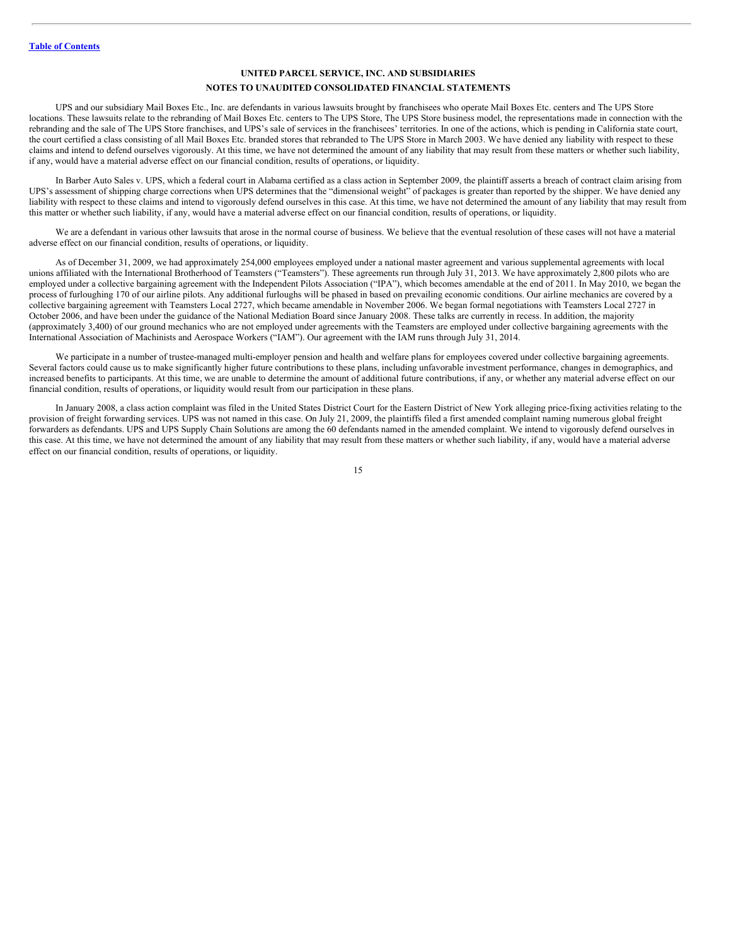UPS and our subsidiary Mail Boxes Etc., Inc. are defendants in various lawsuits brought by franchisees who operate Mail Boxes Etc. centers and The UPS Store locations. These lawsuits relate to the rebranding of Mail Boxes Etc. centers to The UPS Store, The UPS Store business model, the representations made in connection with the rebranding and the sale of The UPS Store franchises, and UPS's sale of services in the franchisees' territories. In one of the actions, which is pending in California state court, the court certified a class consisting of all Mail Boxes Etc. branded stores that rebranded to The UPS Store in March 2003. We have denied any liability with respect to these claims and intend to defend ourselves vigorously. At this time, we have not determined the amount of any liability that may result from these matters or whether such liability, if any, would have a material adverse effect on our financial condition, results of operations, or liquidity.

In Barber Auto Sales v. UPS, which a federal court in Alabama certified as a class action in September 2009, the plaintiff asserts a breach of contract claim arising from UPS's assessment of shipping charge corrections when UPS determines that the "dimensional weight" of packages is greater than reported by the shipper. We have denied any liability with respect to these claims and intend to vigorously defend ourselves in this case. At this time, we have not determined the amount of any liability that may result from this matter or whether such liability, if any, would have a material adverse effect on our financial condition, results of operations, or liquidity.

We are a defendant in various other lawsuits that arose in the normal course of business. We believe that the eventual resolution of these cases will not have a material adverse effect on our financial condition, results of operations, or liquidity.

As of December 31, 2009, we had approximately 254,000 employees employed under a national master agreement and various supplemental agreements with local unions affiliated with the International Brotherhood of Teamsters ("Teamsters"). These agreements run through July 31, 2013. We have approximately 2,800 pilots who are employed under a collective bargaining agreement with the Independent Pilots Association ("IPA"), which becomes amendable at the end of 2011. In May 2010, we began the process of furloughing 170 of our airline pilots. Any additional furloughs will be phased in based on prevailing economic conditions. Our airline mechanics are covered by a collective bargaining agreement with Teamsters Local 2727, which became amendable in November 2006. We began formal negotiations with Teamsters Local 2727 in October 2006, and have been under the guidance of the National Mediation Board since January 2008. These talks are currently in recess. In addition, the majority (approximately 3,400) of our ground mechanics who are not employed under agreements with the Teamsters are employed under collective bargaining agreements with the International Association of Machinists and Aerospace Workers ("IAM"). Our agreement with the IAM runs through July 31, 2014.

We participate in a number of trustee-managed multi-employer pension and health and welfare plans for employees covered under collective bargaining agreements. Several factors could cause us to make significantly higher future contributions to these plans, including unfavorable investment performance, changes in demographics, and increased benefits to participants. At this time, we are unable to determine the amount of additional future contributions, if any, or whether any material adverse effect on our financial condition, results of operations, or liquidity would result from our participation in these plans.

In January 2008, a class action complaint was filed in the United States District Court for the Eastern District of New York alleging price-fixing activities relating to the provision of freight forwarding services. UPS was not named in this case. On July 21, 2009, the plaintiffs filed a first amended complaint naming numerous global freight forwarders as defendants. UPS and UPS Supply Chain Solutions are among the 60 defendants named in the amended complaint. We intend to vigorously defend ourselves in this case. At this time, we have not determined the amount of any liability that may result from these matters or whether such liability, if any, would have a material adverse effect on our financial condition, results of operations, or liquidity.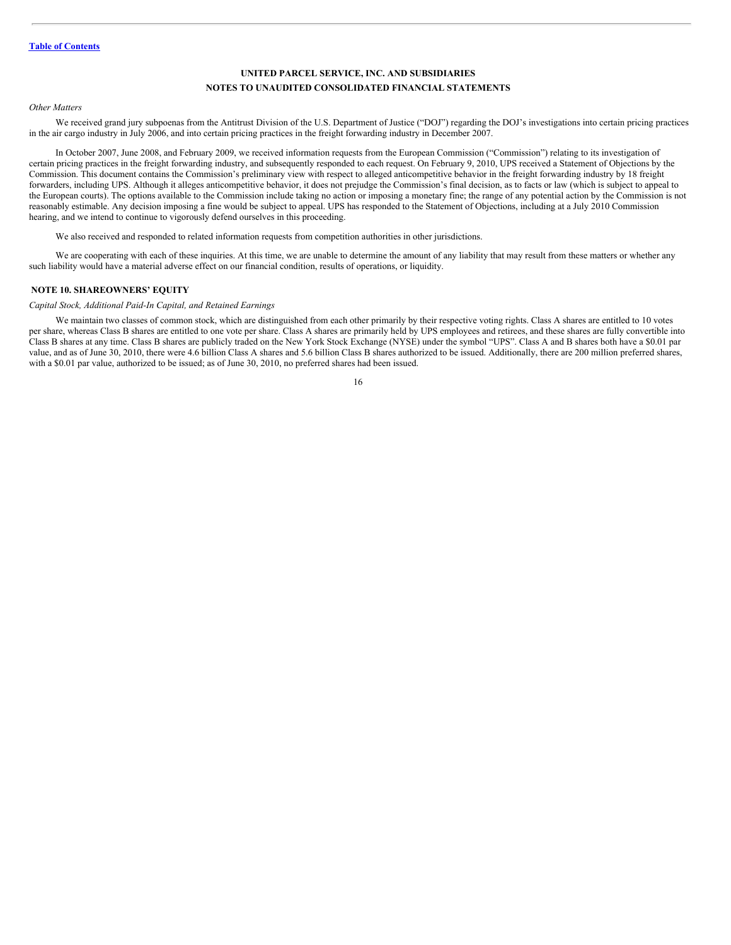#### *Other Matters*

We received grand jury subpoenas from the Antitrust Division of the U.S. Department of Justice ("DOJ") regarding the DOJ's investigations into certain pricing practices in the air cargo industry in July 2006, and into certain pricing practices in the freight forwarding industry in December 2007.

In October 2007, June 2008, and February 2009, we received information requests from the European Commission ("Commission") relating to its investigation of certain pricing practices in the freight forwarding industry, and subsequently responded to each request. On February 9, 2010, UPS received a Statement of Objections by the Commission. This document contains the Commission's preliminary view with respect to alleged anticompetitive behavior in the freight forwarding industry by 18 freight forwarders, including UPS. Although it alleges anticompetitive behavior, it does not prejudge the Commission's final decision, as to facts or law (which is subject to appeal to the European courts). The options available to the Commission include taking no action or imposing a monetary fine; the range of any potential action by the Commission is not reasonably estimable. Any decision imposing a fine would be subject to appeal. UPS has responded to the Statement of Objections, including at a July 2010 Commission hearing, and we intend to continue to vigorously defend ourselves in this proceeding.

We also received and responded to related information requests from competition authorities in other jurisdictions.

We are cooperating with each of these inquiries. At this time, we are unable to determine the amount of any liability that may result from these matters or whether any such liability would have a material adverse effect on our financial condition, results of operations, or liquidity.

#### <span id="page-17-0"></span>**NOTE 10. SHAREOWNERS' EQUITY**

#### *Capital Stock, Additional Paid-In Capital, and Retained Earnings*

We maintain two classes of common stock, which are distinguished from each other primarily by their respective voting rights. Class A shares are entitled to 10 votes per share, whereas Class B shares are entitled to one vote per share. Class A shares are primarily held by UPS employees and retirees, and these shares are fully convertible into Class B shares at any time. Class B shares are publicly traded on the New York Stock Exchange (NYSE) under the symbol "UPS". Class A and B shares both have a \$0.01 par value, and as of June 30, 2010, there were 4.6 billion Class A shares and 5.6 billion Class B shares authorized to be issued. Additionally, there are 200 million preferred shares, with a \$0.01 par value, authorized to be issued; as of June 30, 2010, no preferred shares had been issued.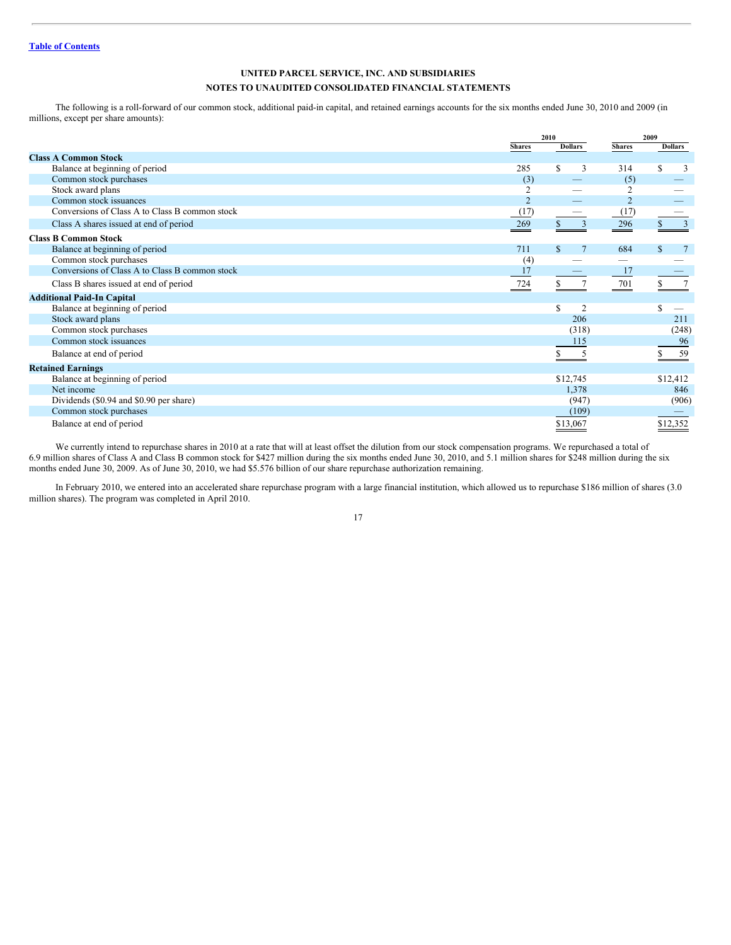The following is a roll-forward of our common stock, additional paid-in capital, and retained earnings accounts for the six months ended June 30, 2010 and 2009 (in millions, except per share amounts):

|                                                | 2010            |                         | 2009            |                |
|------------------------------------------------|-----------------|-------------------------|-----------------|----------------|
|                                                | <b>Shares</b>   | <b>Dollars</b>          | <b>Shares</b>   | <b>Dollars</b> |
| <b>Class A Common Stock</b>                    |                 |                         |                 |                |
| Balance at beginning of period                 | 285             | S<br>3                  | 314             | \$<br>3        |
| Common stock purchases                         | (3)             |                         | (5)             |                |
| Stock award plans                              | $\overline{2}$  |                         | $\overline{2}$  |                |
| Common stock issuances                         | $\overline{2}$  |                         | $\overline{2}$  |                |
| Conversions of Class A to Class B common stock | (17)            |                         | (17)            |                |
| Class A shares issued at end of period         | $\frac{269}{2}$ | $\overline{\mathbf{3}}$ | $\frac{296}{2}$ |                |
| <b>Class B Common Stock</b>                    |                 |                         |                 |                |
| Balance at beginning of period                 | 711             | <sup>\$</sup>           | 684             | $\mathbf{s}$   |
| Common stock purchases                         | (4)             |                         |                 |                |
| Conversions of Class A to Class B common stock | 17              |                         | 17              |                |
| Class B shares issued at end of period         | 724             |                         | $\frac{701}{2}$ |                |
| <b>Additional Paid-In Capital</b>              |                 |                         |                 |                |
| Balance at beginning of period                 |                 | <sup>\$</sup><br>2      |                 | \$             |
| Stock award plans                              |                 | 206                     |                 | 211            |
| Common stock purchases                         |                 | (318)                   |                 | (248)          |
| Common stock issuances                         |                 | 115                     |                 | 96             |
| Balance at end of period                       |                 |                         |                 | $\frac{59}{2}$ |
| <b>Retained Earnings</b>                       |                 |                         |                 |                |
| Balance at beginning of period                 |                 | \$12,745                |                 | \$12,412       |
| Net income                                     |                 | 1,378                   |                 | 846            |
| Dividends (\$0.94 and \$0.90 per share)        |                 | (947)                   |                 | (906)          |
| Common stock purchases                         |                 | (109)                   |                 |                |
| Balance at end of period                       |                 | \$13,067                |                 | \$12,352       |

We currently intend to repurchase shares in 2010 at a rate that will at least offset the dilution from our stock compensation programs. We repurchased a total of 6.9 million shares of Class A and Class B common stock for \$427 million during the six months ended June 30, 2010, and 5.1 million shares for \$248 million during the six months ended June 30, 2009. As of June 30, 2010, we had \$5.576 billion of our share repurchase authorization remaining.

In February 2010, we entered into an accelerated share repurchase program with a large financial institution, which allowed us to repurchase \$186 million of shares (3.0 million shares). The program was completed in April 2010.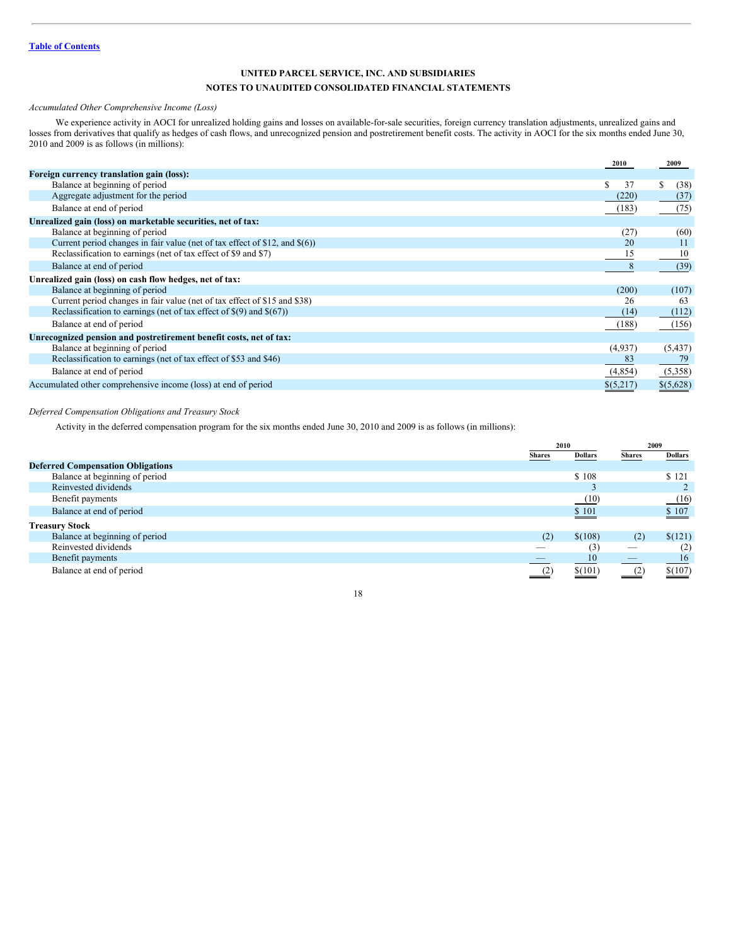### *Accumulated Other Comprehensive Income (Loss)*

We experience activity in AOCI for unrealized holding gains and losses on available-for-sale securities, foreign currency translation adjustments, unrealized gains and losses from derivatives that qualify as hedges of cash flows, and unrecognized pension and postretirement benefit costs. The activity in AOCI for the six months ended June 30, 2010 and 2009 is as follows (in millions):

|                                                                                  | 2010      | 2009       |
|----------------------------------------------------------------------------------|-----------|------------|
| Foreign currency translation gain (loss):                                        |           |            |
| Balance at beginning of period                                                   | 37        | \$<br>(38) |
| Aggregate adjustment for the period                                              | (220)     | (37)       |
| Balance at end of period                                                         | (183)     | (75)       |
| Unrealized gain (loss) on marketable securities, net of tax:                     |           |            |
| Balance at beginning of period                                                   | (27)      | (60)       |
| Current period changes in fair value (net of tax effect of \$12, and $\$(6)\)$ ) | 20        | 11         |
| Reclassification to earnings (net of tax effect of \$9 and \$7)                  | 15        | 10         |
| Balance at end of period                                                         | 8         | (39)       |
| Unrealized gain (loss) on cash flow hedges, net of tax:                          |           |            |
| Balance at beginning of period                                                   | (200)     | (107)      |
| Current period changes in fair value (net of tax effect of \$15 and \$38)        | 26        | -63        |
| Reclassification to earnings (net of tax effect of $\S(9)$ ) and $\S(67)$ )      | (14)      | (112)      |
| Balance at end of period                                                         | (188)     | (156)      |
| Unrecognized pension and postretirement benefit costs, net of tax:               |           |            |
| Balance at beginning of period                                                   | (4,937)   | (5, 437)   |
| Reclassification to earnings (net of tax effect of \$53 and \$46)                | 83        | 79         |
| Balance at end of period                                                         | (4,854)   | (5,358)    |
| Accumulated other comprehensive income (loss) at end of period                   | \$(5,217) | \$(5,628)  |

### *Deferred Compensation Obligations and Treasury Stock*

Activity in the deferred compensation program for the six months ended June 30, 2010 and 2009 is as follows (in millions):

|                                          |               | 2010           |                                 | 2009           |
|------------------------------------------|---------------|----------------|---------------------------------|----------------|
|                                          | <b>Shares</b> | <b>Dollars</b> | <b>Shares</b>                   | <b>Dollars</b> |
| <b>Deferred Compensation Obligations</b> |               |                |                                 |                |
| Balance at beginning of period           |               | \$108          |                                 | \$121          |
| Reinvested dividends                     |               |                |                                 |                |
| Benefit payments                         |               | (10)           |                                 | (16)           |
| Balance at end of period                 |               | \$101          |                                 | \$107          |
| <b>Treasury Stock</b>                    |               |                |                                 |                |
| Balance at beginning of period           | (2)           | \$(108)        | (2)                             | \$(121)        |
| Reinvested dividends                     | __            | (3)            | $\hspace{0.1mm}-\hspace{0.1mm}$ | (2)            |
| Benefit payments                         |               | 10             | $\qquad \qquad -$               | 16             |
| Balance at end of period                 |               | \$(101)        |                                 | \$(107)        |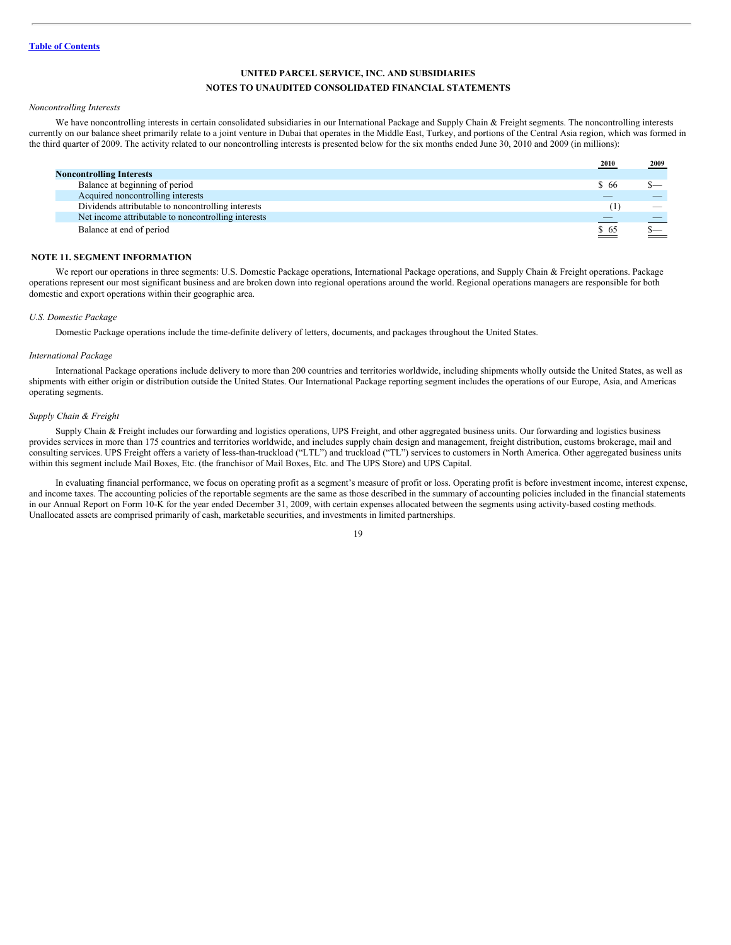### *Noncontrolling Interests*

We have noncontrolling interests in certain consolidated subsidiaries in our International Package and Supply Chain & Freight segments. The noncontrolling interests currently on our balance sheet primarily relate to a joint venture in Dubai that operates in the Middle East, Turkey, and portions of the Central Asia region, which was formed in the third quarter of 2009. The activity related to our noncontrolling interests is presented below for the six months ended June 30, 2010 and 2009 (in millions):

|                                                     | 2010 | 2009              |
|-----------------------------------------------------|------|-------------------|
| <b>Noncontrolling Interests</b>                     |      |                   |
| Balance at beginning of period                      | \$66 | `-                |
| Acquired noncontrolling interests                   |      |                   |
| Dividends attributable to noncontrolling interests  | П.   |                   |
| Net income attributable to noncontrolling interests |      |                   |
| Balance at end of period                            | 65   | $\frac{s-1}{s-1}$ |

#### <span id="page-20-0"></span>**NOTE 11. SEGMENT INFORMATION**

We report our operations in three segments: U.S. Domestic Package operations, International Package operations, and Supply Chain & Freight operations. Package operations represent our most significant business and are broken down into regional operations around the world. Regional operations managers are responsible for both domestic and export operations within their geographic area.

#### *U.S. Domestic Package*

Domestic Package operations include the time-definite delivery of letters, documents, and packages throughout the United States.

#### *International Package*

International Package operations include delivery to more than 200 countries and territories worldwide, including shipments wholly outside the United States, as well as shipments with either origin or distribution outside the United States. Our International Package reporting segment includes the operations of our Europe, Asia, and Americas operating segments.

#### *Supply Chain & Freight*

Supply Chain & Freight includes our forwarding and logistics operations, UPS Freight, and other aggregated business units. Our forwarding and logistics business provides services in more than 175 countries and territories worldwide, and includes supply chain design and management, freight distribution, customs brokerage, mail and consulting services. UPS Freight offers a variety of less-than-truckload ("LTL") and truckload ("TL") services to customers in North America. Other aggregated business units within this segment include Mail Boxes, Etc. (the franchisor of Mail Boxes, Etc. and The UPS Store) and UPS Capital.

In evaluating financial performance, we focus on operating profit as a segment's measure of profit or loss. Operating profit is before investment income, interest expense, and income taxes. The accounting policies of the reportable segments are the same as those described in the summary of accounting policies included in the financial statements in our Annual Report on Form 10-K for the year ended December 31, 2009, with certain expenses allocated between the segments using activity-based costing methods. Unallocated assets are comprised primarily of cash, marketable securities, and investments in limited partnerships.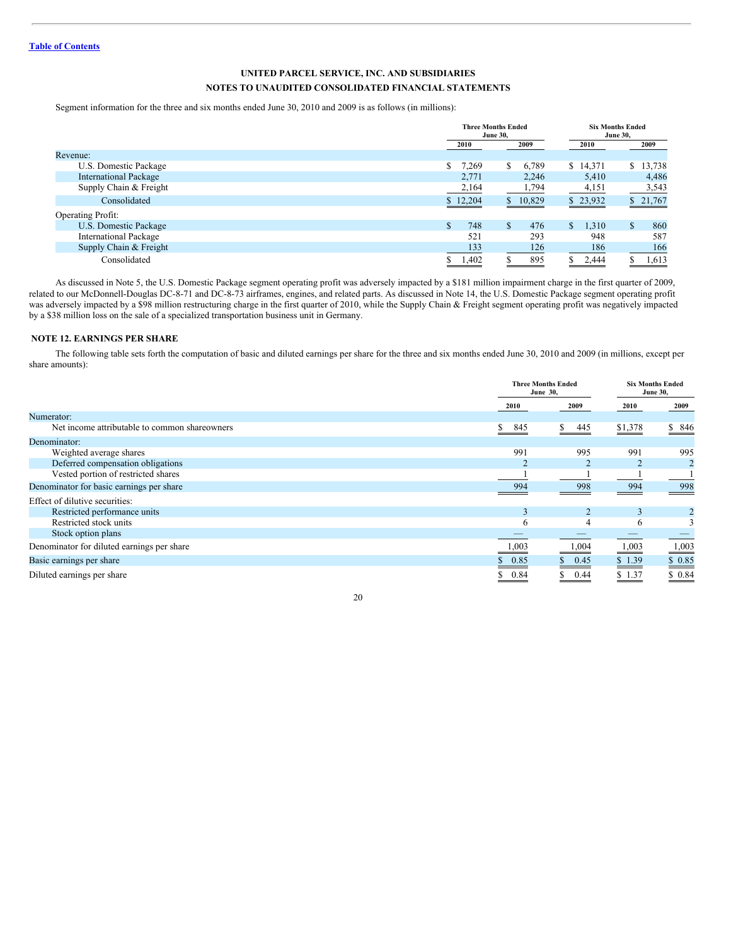Segment information for the three and six months ended June 30, 2010 and 2009 is as follows (in millions):

|                              | <b>Three Months Ended</b><br><b>June 30,</b> |                        | <b>Six Months Ended</b><br><b>June 30,</b> |                          |  |
|------------------------------|----------------------------------------------|------------------------|--------------------------------------------|--------------------------|--|
|                              | 2010                                         | 2009                   | 2010                                       | 2009                     |  |
| Revenue:                     |                                              |                        |                                            |                          |  |
| U.S. Domestic Package        | \$<br>7,269                                  | S.<br>6,789            | \$14,371                                   | 13,738<br>S <sub>1</sub> |  |
| <b>International Package</b> | 2,771                                        | 2,246                  | 5.410                                      | 4,486                    |  |
| Supply Chain & Freight       | 2,164                                        | 1,794                  | 4,151                                      | 3,543                    |  |
| Consolidated                 | \$12,204                                     | 10,829<br>$\mathbf{s}$ | \$23,932                                   | \$21,767                 |  |
| <b>Operating Profit:</b>     |                                              |                        |                                            |                          |  |
| U.S. Domestic Package        | 748                                          | S.<br>476              | $\mathbb{S}$<br>1,310                      | $\mathbb{S}$<br>860      |  |
| <b>International Package</b> | 521                                          | 293                    | 948                                        | 587                      |  |
| Supply Chain & Freight       | 133                                          | 126                    | 186                                        | 166                      |  |
| Consolidated                 | 1,402                                        | 895                    | 2,444<br>S                                 | 1,613                    |  |

As discussed in Note 5, the U.S. Domestic Package segment operating profit was adversely impacted by a \$181 million impairment charge in the first quarter of 2009, related to our McDonnell-Douglas DC-8-71 and DC-8-73 airframes, engines, and related parts. As discussed in Note 14, the U.S. Domestic Package segment operating profit was adversely impacted by a \$98 million restructuring charge in the first quarter of 2010, while the Supply Chain & Freight segment operating profit was negatively impacted by a \$38 million loss on the sale of a specialized transportation business unit in Germany.

### <span id="page-21-0"></span>**NOTE 12. EARNINGS PER SHARE**

The following table sets forth the computation of basic and diluted earnings per share for the three and six months ended June 30, 2010 and 2009 (in millions, except per share amounts):

|                                               |           | <b>Three Months Ended</b><br><b>June 30,</b> |         | <b>Six Months Ended</b><br><b>June 30,</b> |
|-----------------------------------------------|-----------|----------------------------------------------|---------|--------------------------------------------|
|                                               | 2010      | 2009                                         | 2010    | 2009                                       |
| Numerator:                                    |           |                                              |         |                                            |
| Net income attributable to common shareowners | 845<br>S. | 445                                          | \$1,378 | \$846                                      |
| Denominator:                                  |           |                                              |         |                                            |
| Weighted average shares                       | 991       | 995                                          | 991     | 995                                        |
| Deferred compensation obligations             |           |                                              |         | $\overline{2}$                             |
| Vested portion of restricted shares           |           |                                              |         |                                            |
| Denominator for basic earnings per share      | 994       | 998                                          | 994     | 998                                        |
| Effect of dilutive securities:                |           |                                              |         |                                            |
| Restricted performance units                  | 3         | $\overline{2}$                               | 3       | $\overline{2}$                             |
| Restricted stock units                        | 6         | 4                                            | 6       |                                            |
| Stock option plans                            |           |                                              |         |                                            |
| Denominator for diluted earnings per share    | 1,003     | 1,004                                        | 1,003   | 1,003                                      |
| Basic earnings per share                      | \$0.85    | 0.45                                         | \$1.39  | \$0.85                                     |
| Diluted earnings per share                    | \$0.84    | 0.44<br>\$                                   | \$1.37  | \$0.84                                     |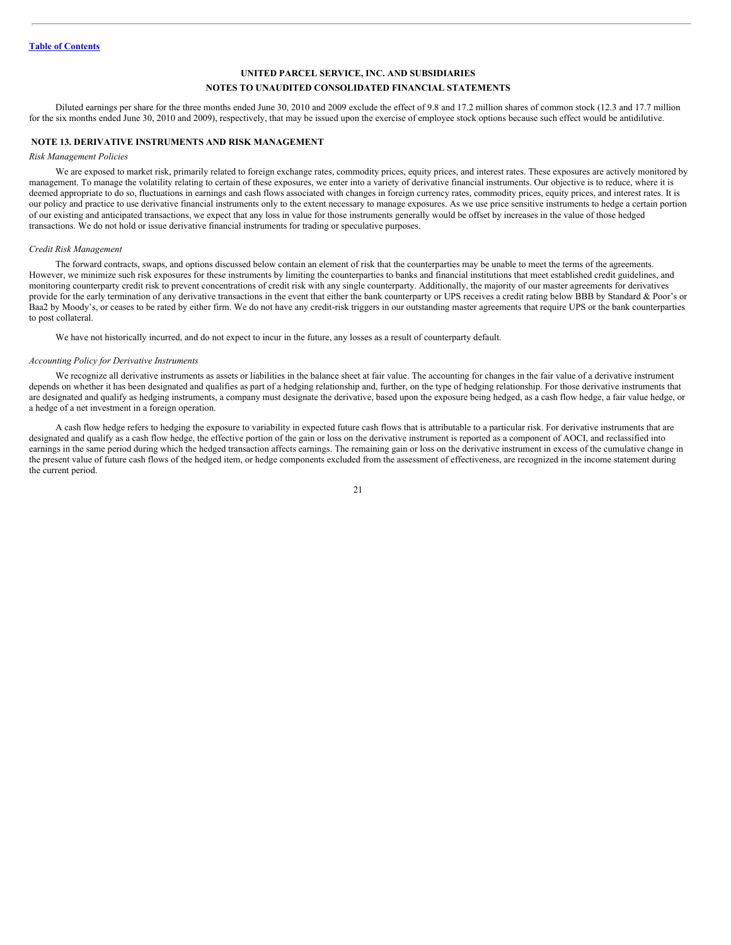Diluted earnings per share for the three months ended June 30, 2010 and 2009 exclude the effect of 9.8 and 17.2 million shares of common stock (12.3 and 17.7 million for the six months ended June 30, 2010 and 2009), respectively, that may be issued upon the exercise of employee stock options because such effect would be antidilutive.

### <span id="page-22-0"></span>**NOTE 13. DERIVATIVE INSTRUMENTS AND RISK MANAGEMENT**

### *Risk Management Policies*

We are exposed to market risk, primarily related to foreign exchange rates, commodity prices, equity prices, and interest rates. These exposures are actively monitored by management. To manage the volatility relating to certain of these exposures, we enter into a variety of derivative financial instruments. Our objective is to reduce, where it is deemed appropriate to do so, fluctuations in earnings and cash flows associated with changes in foreign currency rates, commodity prices, equity prices, and interest rates. It is our policy and practice to use derivative financial instruments only to the extent necessary to manage exposures. As we use price sensitive instruments to hedge a certain portion of our existing and anticipated transactions, we expect that any loss in value for those instruments generally would be offset by increases in the value of those hedged transactions. We do not hold or issue derivative financial instruments for trading or speculative purposes.

#### *Credit Risk Management*

The forward contracts, swaps, and options discussed below contain an element of risk that the counterparties may be unable to meet the terms of the agreements. However, we minimize such risk exposures for these instruments by limiting the counterparties to banks and financial institutions that meet established credit guidelines, and monitoring counterparty credit risk to prevent concentrations of credit risk with any single counterparty. Additionally, the majority of our master agreements for derivatives provide for the early termination of any derivative transactions in the event that either the bank counterparty or UPS receives a credit rating below BBB by Standard & Poor's or Baa2 by Moody's, or ceases to be rated by either firm. We do not have any credit-risk triggers in our outstanding master agreements that require UPS or the bank counterparties to post collateral.

We have not historically incurred, and do not expect to incur in the future, any losses as a result of counterparty default.

#### *Accounting Policy for Derivative Instruments*

We recognize all derivative instruments as assets or liabilities in the balance sheet at fair value. The accounting for changes in the fair value of a derivative instrument depends on whether it has been designated and qualifies as part of a hedging relationship and, further, on the type of hedging relationship. For those derivative instruments that are designated and qualify as hedging instruments, a company must designate the derivative, based upon the exposure being hedged, as a cash flow hedge, a fair value hedge, or a hedge of a net investment in a foreign operation.

A cash flow hedge refers to hedging the exposure to variability in expected future cash flows that is attributable to a particular risk. For derivative instruments that are designated and qualify as a cash flow hedge, the effective portion of the gain or loss on the derivative instrument is reported as a component of AOCI, and reclassified into earnings in the same period during which the hedged transaction affects earnings. The remaining gain or loss on the derivative instrument in excess of the cumulative change in the present value of future cash flows of the hedged item, or hedge components excluded from the assessment of effectiveness, are recognized in the income statement during the current period.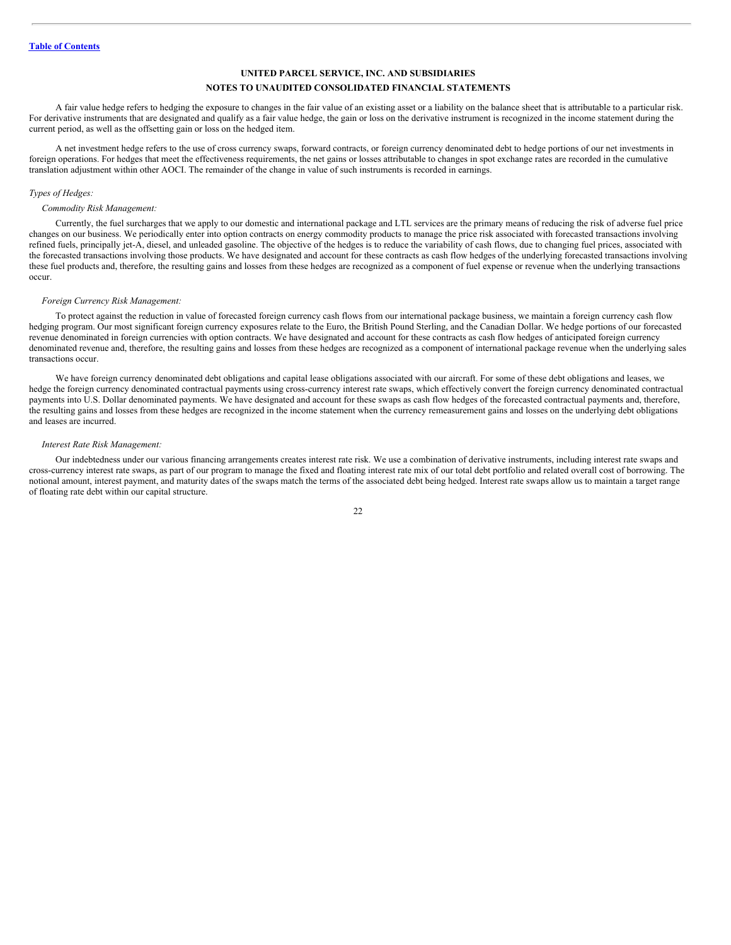# **NOTES TO UNAUDITED CONSOLIDATED FINANCIAL STATEMENTS**

A fair value hedge refers to hedging the exposure to changes in the fair value of an existing asset or a liability on the balance sheet that is attributable to a particular risk. For derivative instruments that are designated and qualify as a fair value hedge, the gain or loss on the derivative instrument is recognized in the income statement during the current period, as well as the offsetting gain or loss on the hedged item.

A net investment hedge refers to the use of cross currency swaps, forward contracts, or foreign currency denominated debt to hedge portions of our net investments in foreign operations. For hedges that meet the effectiveness requirements, the net gains or losses attributable to changes in spot exchange rates are recorded in the cumulative translation adjustment within other AOCI. The remainder of the change in value of such instruments is recorded in earnings.

#### *Types of Hedges:*

### *Commodity Risk Management:*

Currently, the fuel surcharges that we apply to our domestic and international package and LTL services are the primary means of reducing the risk of adverse fuel price changes on our business. We periodically enter into option contracts on energy commodity products to manage the price risk associated with forecasted transactions involving refined fuels, principally jet-A, diesel, and unleaded gasoline. The objective of the hedges is to reduce the variability of cash flows, due to changing fuel prices, associated with the forecasted transactions involving those products. We have designated and account for these contracts as cash flow hedges of the underlying forecasted transactions involving these fuel products and, therefore, the resulting gains and losses from these hedges are recognized as a component of fuel expense or revenue when the underlying transactions occur.

#### *Foreign Currency Risk Management:*

To protect against the reduction in value of forecasted foreign currency cash flows from our international package business, we maintain a foreign currency cash flow hedging program. Our most significant foreign currency exposures relate to the Euro, the British Pound Sterling, and the Canadian Dollar. We hedge portions of our forecasted revenue denominated in foreign currencies with option contracts. We have designated and account for these contracts as cash flow hedges of anticipated foreign currency denominated revenue and, therefore, the resulting gains and losses from these hedges are recognized as a component of international package revenue when the underlying sales transactions occur.

We have foreign currency denominated debt obligations and capital lease obligations associated with our aircraft. For some of these debt obligations and leases, we hedge the foreign currency denominated contractual payments using cross-currency interest rate swaps, which effectively convert the foreign currency denominated contractual payments into U.S. Dollar denominated payments. We have designated and account for these swaps as cash flow hedges of the forecasted contractual payments and, therefore, the resulting gains and losses from these hedges are recognized in the income statement when the currency remeasurement gains and losses on the underlying debt obligations and leases are incurred.

#### *Interest Rate Risk Management:*

Our indebtedness under our various financing arrangements creates interest rate risk. We use a combination of derivative instruments, including interest rate swaps and cross-currency interest rate swaps, as part of our program to manage the fixed and floating interest rate mix of our total debt portfolio and related overall cost of borrowing. The notional amount, interest payment, and maturity dates of the swaps match the terms of the associated debt being hedged. Interest rate swaps allow us to maintain a target range of floating rate debt within our capital structure.

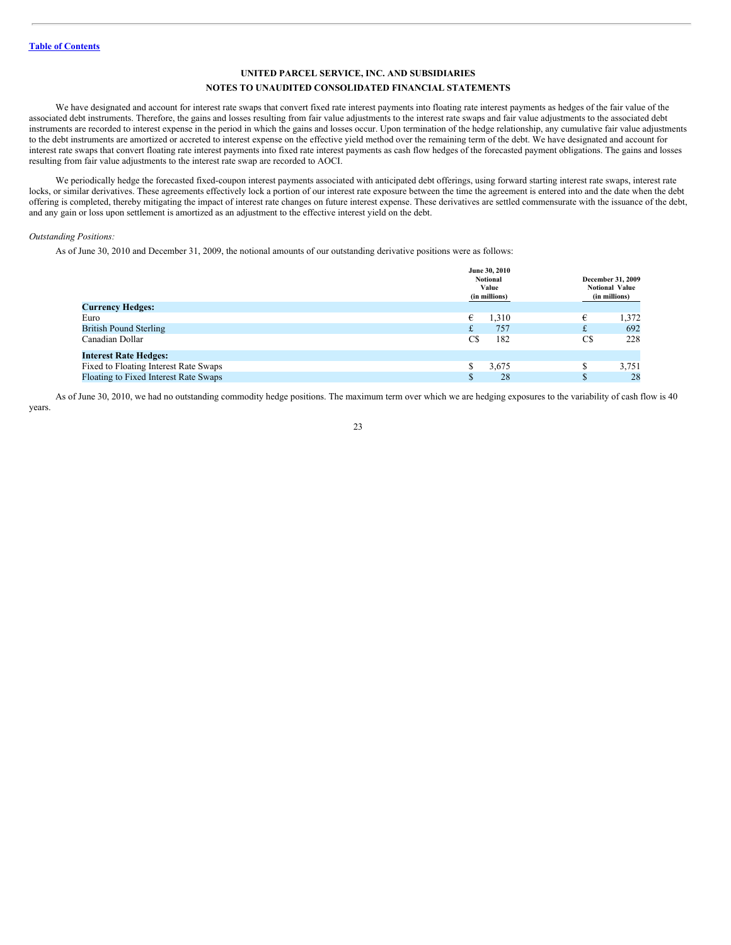### **NOTES TO UNAUDITED CONSOLIDATED FINANCIAL STATEMENTS**

We have designated and account for interest rate swaps that convert fixed rate interest payments into floating rate interest payments as hedges of the fair value of the associated debt instruments. Therefore, the gains and losses resulting from fair value adjustments to the interest rate swaps and fair value adjustments to the associated debt instruments are recorded to interest expense in the period in which the gains and losses occur. Upon termination of the hedge relationship, any cumulative fair value adjustments to the debt instruments are amortized or accreted to interest expense on the effective yield method over the remaining term of the debt. We have designated and account for interest rate swaps that convert floating rate interest payments into fixed rate interest payments as cash flow hedges of the forecasted payment obligations. The gains and losses resulting from fair value adjustments to the interest rate swap are recorded to AOCI.

We periodically hedge the forecasted fixed-coupon interest payments associated with anticipated debt offerings, using forward starting interest rate swaps, interest rate locks, or similar derivatives. These agreements effectively lock a portion of our interest rate exposure between the time the agreement is entered into and the date when the debt offering is completed, thereby mitigating the impact of interest rate changes on future interest expense. These derivatives are settled commensurate with the issuance of the debt, and any gain or loss upon settlement is amortized as an adjustment to the effective interest yield on the debt.

### *Outstanding Positions:*

As of June 30, 2010 and December 31, 2009, the notional amounts of our outstanding derivative positions were as follows:

|                                       | June 30, 2010<br><b>Notional</b><br>Value<br>(in millions) | December 31, 2009<br><b>Notional Value</b><br>(in millions) |
|---------------------------------------|------------------------------------------------------------|-------------------------------------------------------------|
| <b>Currency Hedges:</b>               |                                                            |                                                             |
| Euro                                  | €<br>1,310                                                 | 1,372<br>€                                                  |
| <b>British Pound Sterling</b>         | 757<br>£.                                                  | 692<br>£                                                    |
| Canadian Dollar                       | $\mathbf{C}\mathbf{S}$<br>182                              | 228<br>$\mathbf{C}$                                         |
| <b>Interest Rate Hedges:</b>          |                                                            |                                                             |
| Fixed to Floating Interest Rate Swaps | 3.675                                                      | 3,751                                                       |
| Floating to Fixed Interest Rate Swaps | 28                                                         | 28<br>Φ                                                     |

As of June 30, 2010, we had no outstanding commodity hedge positions. The maximum term over which we are hedging exposures to the variability of cash flow is 40 years.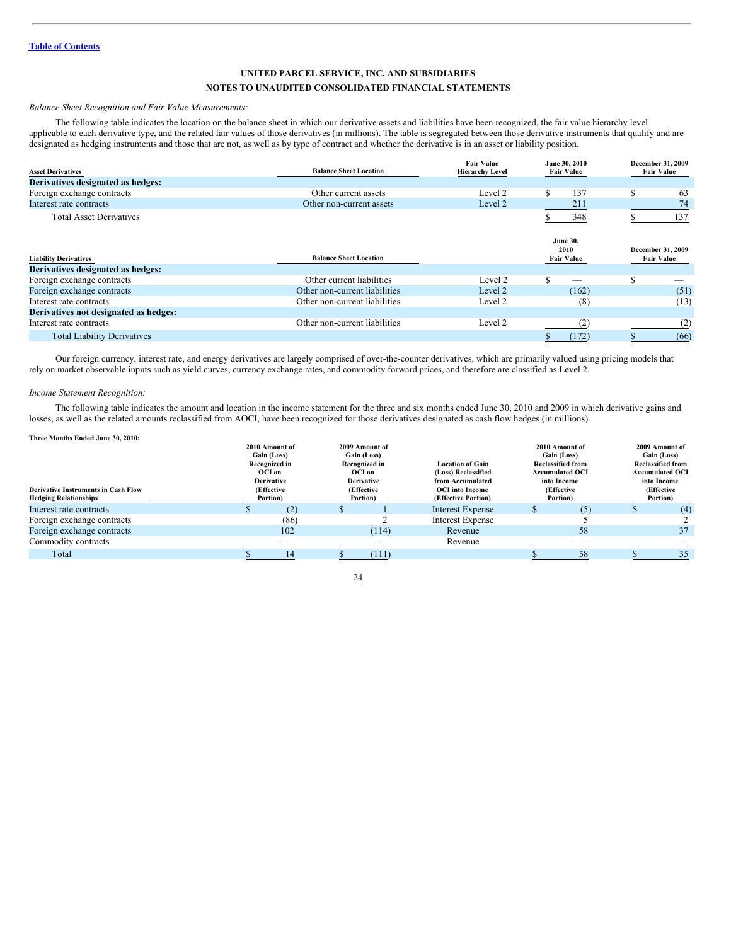#### *Balance Sheet Recognition and Fair Value Measurements:*

The following table indicates the location on the balance sheet in which our derivative assets and liabilities have been recognized, the fair value hierarchy level applicable to each derivative type, and the related fair values of those derivatives (in millions). The table is segregated between those derivative instruments that qualify and are designated as hedging instruments and those that are not, as well as by type of contract and whether the derivative is in an asset or liability position.

| <b>Asset Derivatives</b>              | <b>Balance Sheet Location</b> | <b>Fair Value</b><br><b>Hierarchy Level</b> | June 30, 2010<br><b>Fair Value</b>           | December 31, 2009<br><b>Fair Value</b> |
|---------------------------------------|-------------------------------|---------------------------------------------|----------------------------------------------|----------------------------------------|
| Derivatives designated as hedges:     |                               |                                             |                                              |                                        |
| Foreign exchange contracts            | Other current assets          | Level 2                                     | 137<br>S                                     | \$<br>63                               |
| Interest rate contracts               | Other non-current assets      | Level 2                                     | 211                                          | 74                                     |
| <b>Total Asset Derivatives</b>        |                               |                                             | 348                                          | 137                                    |
| <b>Liability Derivatives</b>          | <b>Balance Sheet Location</b> |                                             | <b>June 30,</b><br>2010<br><b>Fair Value</b> | December 31, 2009<br><b>Fair Value</b> |
| Derivatives designated as hedges:     |                               |                                             |                                              |                                        |
| Foreign exchange contracts            | Other current liabilities     | Level 2                                     | \$.                                          | \$                                     |
| Foreign exchange contracts            | Other non-current liabilities | Level 2                                     | (162)                                        | (51)                                   |
| Interest rate contracts               | Other non-current liabilities | Level 2                                     | (8)                                          | (13)                                   |
| Derivatives not designated as hedges: |                               |                                             |                                              |                                        |
| Interest rate contracts               | Other non-current liabilities | Level 2                                     | (2)                                          | (2)                                    |
| <b>Total Liability Derivatives</b>    |                               |                                             | (172)                                        | (66)                                   |

Our foreign currency, interest rate, and energy derivatives are largely comprised of over-the-counter derivatives, which are primarily valued using pricing models that rely on market observable inputs such as yield curves, currency exchange rates, and commodity forward prices, and therefore are classified as Level 2.

#### *Income Statement Recognition:*

The following table indicates the amount and location in the income statement for the three and six months ended June 30, 2010 and 2009 in which derivative gains and losses, as well as the related amounts reclassified from AOCI, have been recognized for those derivatives designated as cash flow hedges (in millions).

#### **Three Months Ended June 30, 2010:**

| <b>Derivative Instruments in Cash Flow</b><br><b>Hedging Relationships</b> | 2010 Amount of<br>Gain (Loss)<br>Recognized in<br>OCI on<br><b>Derivative</b><br><b>(Effective</b><br>Portion) | 2009 Amount of<br>Gain (Loss)<br>Recognized in<br>OCI on<br><b>Derivative</b><br><b>(Effective</b><br>Portion) | <b>Location of Gain</b><br>(Loss) Reclassified<br>from Accumulated<br><b>OCI</b> into Income<br>(Effective Portion) | 2010 Amount of<br>Gain (Loss)<br><b>Reclassified from</b><br><b>Accumulated OCI</b><br>into Income<br><b>(Effective</b><br>Portion) | 2009 Amount of<br>Gain (Loss)<br><b>Reclassified from</b><br><b>Accumulated OCI</b><br>into Income<br>(Effective<br>Portion) |
|----------------------------------------------------------------------------|----------------------------------------------------------------------------------------------------------------|----------------------------------------------------------------------------------------------------------------|---------------------------------------------------------------------------------------------------------------------|-------------------------------------------------------------------------------------------------------------------------------------|------------------------------------------------------------------------------------------------------------------------------|
| Interest rate contracts                                                    | (2)                                                                                                            |                                                                                                                | <b>Interest Expense</b>                                                                                             | (5)                                                                                                                                 | (4)                                                                                                                          |
| Foreign exchange contracts                                                 | (86)                                                                                                           |                                                                                                                | <b>Interest Expense</b>                                                                                             |                                                                                                                                     |                                                                                                                              |
| Foreign exchange contracts                                                 | 102                                                                                                            | (114)                                                                                                          | Revenue                                                                                                             | 58                                                                                                                                  | 37                                                                                                                           |
| Commodity contracts                                                        |                                                                                                                |                                                                                                                | Revenue                                                                                                             |                                                                                                                                     |                                                                                                                              |
| Total                                                                      |                                                                                                                | (111)                                                                                                          |                                                                                                                     | 58                                                                                                                                  | 35                                                                                                                           |

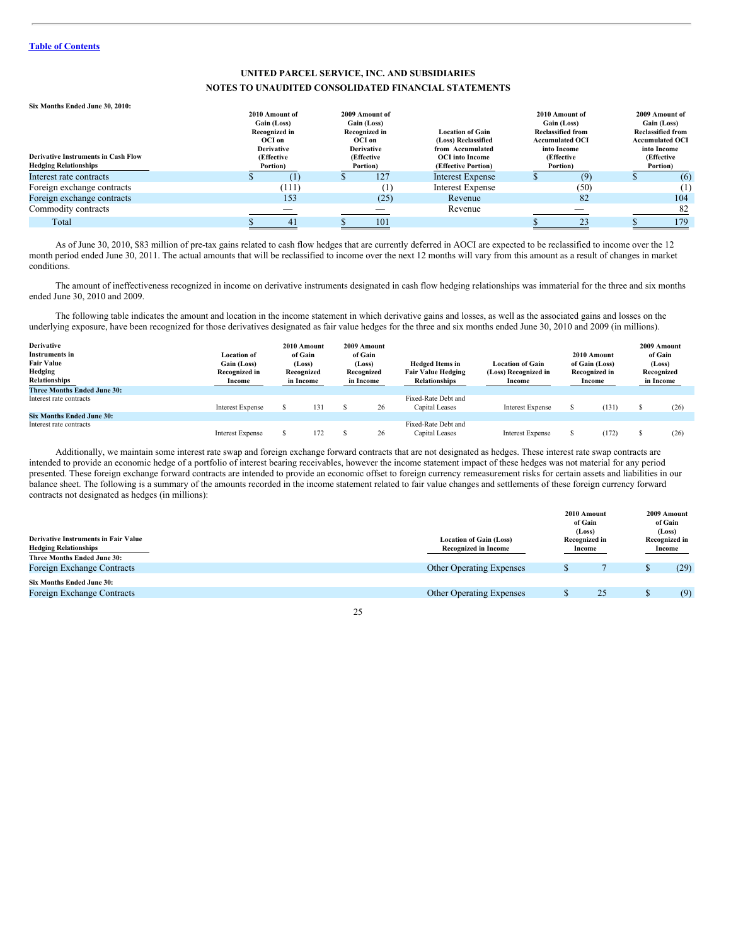#### **Six Months Ended June 30, 2010:**

| Derivative Instruments in Cash Flow<br><b>Hedging Relationships</b> | 2010 Amount of<br>Gain (Loss)<br>Recognized in<br>OCI on<br><b>Derivative</b><br>(Effective<br>Portion) | 2009 Amount of<br>Gain (Loss)<br>Recognized in<br>OCI on<br><b>Derivative</b><br>(Effective<br>Portion) | <b>Location of Gain</b><br>(Loss) Reclassified<br>from Accumulated<br><b>OCI</b> into Income<br>(Effective Portion) | 2010 Amount of<br>Gain (Loss)<br><b>Reclassified from</b><br><b>Accumulated OCI</b><br>into Income<br>(Effective<br>Portion) | 2009 Amount of<br>Gain (Loss)<br><b>Reclassified from</b><br><b>Accumulated OCI</b><br>into Income<br>(Effective<br>Portion) |
|---------------------------------------------------------------------|---------------------------------------------------------------------------------------------------------|---------------------------------------------------------------------------------------------------------|---------------------------------------------------------------------------------------------------------------------|------------------------------------------------------------------------------------------------------------------------------|------------------------------------------------------------------------------------------------------------------------------|
| Interest rate contracts                                             | (1)                                                                                                     | 127                                                                                                     | <b>Interest Expense</b>                                                                                             | (9)                                                                                                                          | (6)                                                                                                                          |
| Foreign exchange contracts                                          | (111)                                                                                                   | $^{(1)}$                                                                                                | <b>Interest Expense</b>                                                                                             | (50)                                                                                                                         | Œ                                                                                                                            |
| Foreign exchange contracts                                          | 153                                                                                                     | (25)                                                                                                    | Revenue                                                                                                             | 82                                                                                                                           | 104                                                                                                                          |
| Commodity contracts                                                 |                                                                                                         |                                                                                                         | Revenue                                                                                                             |                                                                                                                              | 82                                                                                                                           |
| Total                                                               | 41                                                                                                      | 101                                                                                                     |                                                                                                                     | 23                                                                                                                           | 179                                                                                                                          |

As of June 30, 2010, \$83 million of pre-tax gains related to cash flow hedges that are currently deferred in AOCI are expected to be reclassified to income over the 12 month period ended June 30, 2011. The actual amounts that will be reclassified to income over the next 12 months will vary from this amount as a result of changes in market conditions.

The amount of ineffectiveness recognized in income on derivative instruments designated in cash flow hedging relationships was immaterial for the three and six months ended June 30, 2010 and 2009.

The following table indicates the amount and location in the income statement in which derivative gains and losses, as well as the associated gains and losses on the underlying exposure, have been recognized for those derivatives designated as fair value hedges for the three and six months ended June 30, 2010 and 2009 (in millions).

| <b>Derivative</b><br>Instruments in<br><b>Fair Value</b><br>Hedging<br><b>Relationships</b><br><b>Three Months Ended June 30:</b> | <b>Location of</b><br>Gain (Loss)<br>Recognized in<br>Income | 2010 Amount<br>of Gain<br>(Loss)<br>Recognized<br>in Income |     | 2009 Amount<br>of Gain<br>(Loss)<br>Recognized<br>in Income |    | <b>Hedged Items in</b><br><b>Fair Value Hedging</b><br><b>Relationships</b> | <b>Location of Gain</b><br>(Loss) Recognized in<br>Income | 2010 Amount<br>of Gain (Loss)<br>Recognized in<br>Income | 2009 Amount<br>of Gain<br>(Loss)<br>Recognized<br>in Income |
|-----------------------------------------------------------------------------------------------------------------------------------|--------------------------------------------------------------|-------------------------------------------------------------|-----|-------------------------------------------------------------|----|-----------------------------------------------------------------------------|-----------------------------------------------------------|----------------------------------------------------------|-------------------------------------------------------------|
| Interest rate contracts                                                                                                           | <b>Interest Expense</b>                                      |                                                             | 131 |                                                             | 26 | Fixed-Rate Debt and<br>Capital Leases                                       | <b>Interest Expense</b>                                   | (131)                                                    | (26)                                                        |
| <b>Six Months Ended June 30:</b>                                                                                                  |                                                              |                                                             |     |                                                             |    |                                                                             |                                                           |                                                          |                                                             |
| Interest rate contracts                                                                                                           | <b>Interest Expense</b>                                      |                                                             | 172 |                                                             | 26 | Fixed-Rate Debt and<br>Capital Leases                                       | Interest Expense                                          | (172)                                                    | (26)                                                        |

Additionally, we maintain some interest rate swap and foreign exchange forward contracts that are not designated as hedges. These interest rate swap contracts are intended to provide an economic hedge of a portfolio of interest bearing receivables, however the income statement impact of these hedges was not material for any period presented. These foreign exchange forward contracts are intended to provide an economic offset to foreign currency remeasurement risks for certain assets and liabilities in our balance sheet. The following is a summary of the amounts recorded in the income statement related to fair value changes and settlements of these foreign currency forward contracts not designated as hedges (in millions):

| <b>Derivative Instruments in Fair Value</b><br><b>Hedging Relationships</b> | <b>Location of Gain (Loss)</b><br><b>Recognized in Income</b> | of Gain | 2010 Amount<br>(Loss)<br>Recognized in<br>Income | 2009 Amount<br>of Gain<br>(Loss)<br><b>Recognized in</b><br>Income |
|-----------------------------------------------------------------------------|---------------------------------------------------------------|---------|--------------------------------------------------|--------------------------------------------------------------------|
| Three Months Ended June 30:                                                 |                                                               |         |                                                  |                                                                    |
| Foreign Exchange Contracts                                                  | <b>Other Operating Expenses</b>                               |         |                                                  | (29)                                                               |
| <b>Six Months Ended June 30:</b>                                            |                                                               |         |                                                  |                                                                    |
| <b>Foreign Exchange Contracts</b>                                           | <b>Other Operating Expenses</b>                               | ۰υ      | 25                                               | (9)                                                                |
|                                                                             |                                                               |         |                                                  |                                                                    |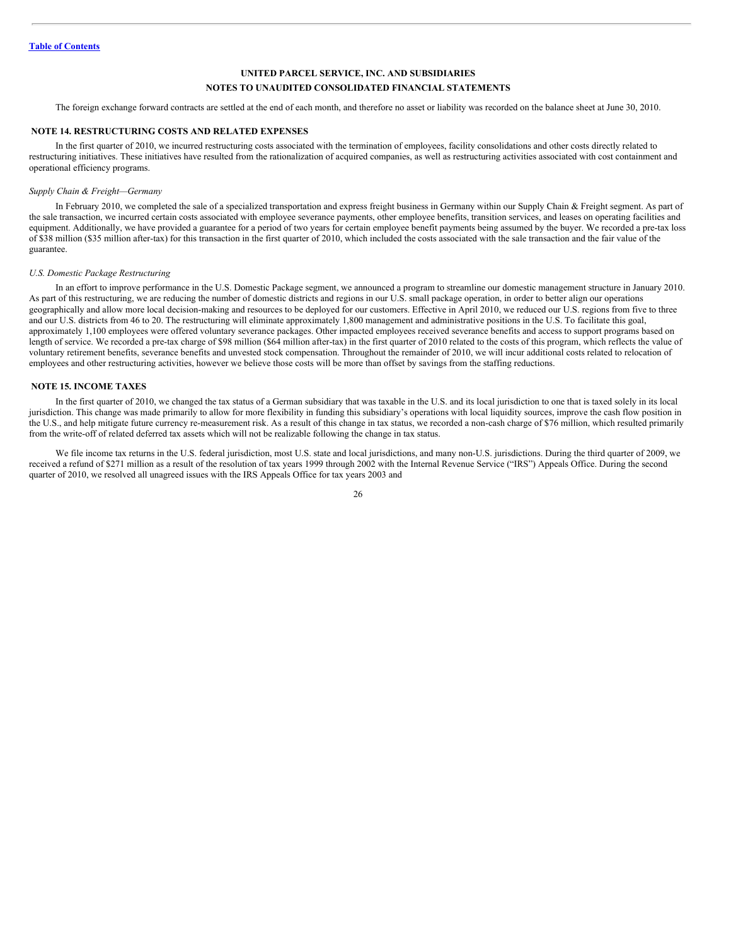The foreign exchange forward contracts are settled at the end of each month, and therefore no asset or liability was recorded on the balance sheet at June 30, 2010.

#### <span id="page-27-0"></span>**NOTE 14. RESTRUCTURING COSTS AND RELATED EXPENSES**

In the first quarter of 2010, we incurred restructuring costs associated with the termination of employees, facility consolidations and other costs directly related to restructuring initiatives. These initiatives have resulted from the rationalization of acquired companies, as well as restructuring activities associated with cost containment and operational efficiency programs.

#### *Supply Chain & Freight—Germany*

In February 2010, we completed the sale of a specialized transportation and express freight business in Germany within our Supply Chain & Freight segment. As part of the sale transaction, we incurred certain costs associated with employee severance payments, other employee benefits, transition services, and leases on operating facilities and equipment. Additionally, we have provided a guarantee for a period of two years for certain employee benefit payments being assumed by the buyer. We recorded a pre-tax loss of \$38 million (\$35 million after-tax) for this transaction in the first quarter of 2010, which included the costs associated with the sale transaction and the fair value of the guarantee.

#### *U.S. Domestic Package Restructuring*

In an effort to improve performance in the U.S. Domestic Package segment, we announced a program to streamline our domestic management structure in January 2010. As part of this restructuring, we are reducing the number of domestic districts and regions in our U.S. small package operation, in order to better align our operations geographically and allow more local decision-making and resources to be deployed for our customers. Effective in April 2010, we reduced our U.S. regions from five to three and our U.S. districts from 46 to 20. The restructuring will eliminate approximately 1,800 management and administrative positions in the U.S. To facilitate this goal, approximately 1,100 employees were offered voluntary severance packages. Other impacted employees received severance benefits and access to support programs based on length of service. We recorded a pre-tax charge of \$98 million (\$64 million after-tax) in the first quarter of 2010 related to the costs of this program, which reflects the value of voluntary retirement benefits, severance benefits and unvested stock compensation. Throughout the remainder of 2010, we will incur additional costs related to relocation of employees and other restructuring activities, however we believe those costs will be more than offset by savings from the staffing reductions.

### <span id="page-27-1"></span>**NOTE 15. INCOME TAXES**

In the first quarter of 2010, we changed the tax status of a German subsidiary that was taxable in the U.S. and its local jurisdiction to one that is taxed solely in its local jurisdiction. This change was made primarily to allow for more flexibility in funding this subsidiary's operations with local liquidity sources, improve the cash flow position in the U.S., and help mitigate future currency re-measurement risk. As a result of this change in tax status, we recorded a non-cash charge of \$76 million, which resulted primarily from the write-off of related deferred tax assets which will not be realizable following the change in tax status.

We file income tax returns in the U.S. federal jurisdiction, most U.S. state and local jurisdictions, and many non-U.S. jurisdictions. During the third quarter of 2009, we received a refund of \$271 million as a result of the resolution of tax years 1999 through 2002 with the Internal Revenue Service ("IRS") Appeals Office. During the second quarter of 2010, we resolved all unagreed issues with the IRS Appeals Office for tax years 2003 and

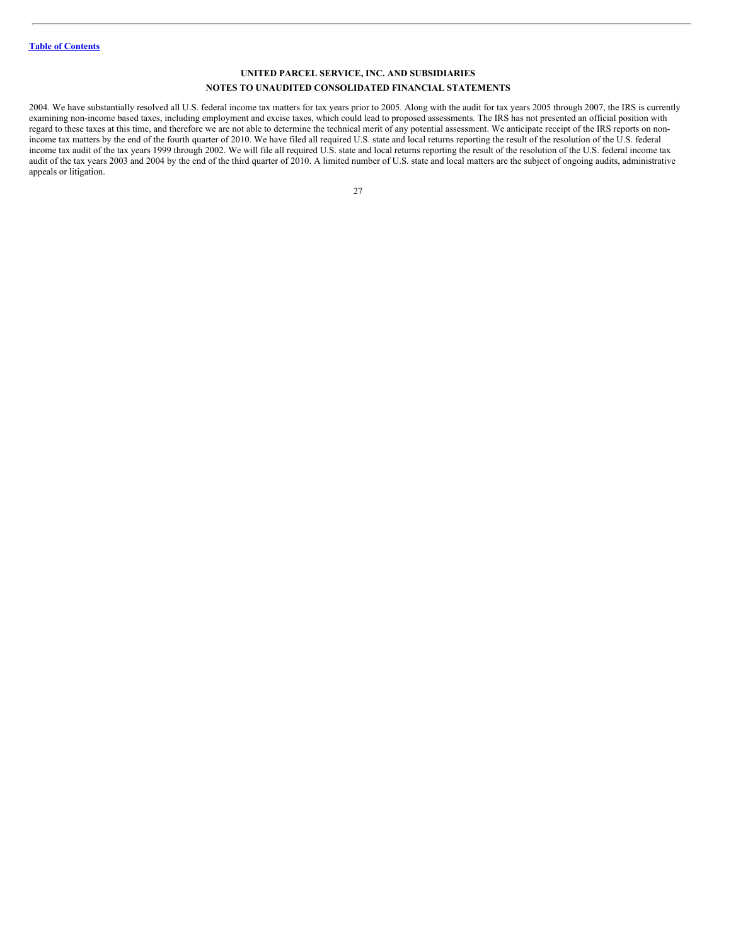#### **NOTES TO UNAUDITED CONSOLIDATED FINANCIAL STATEMENTS**

2004. We have substantially resolved all U.S. federal income tax matters for tax years prior to 2005. Along with the audit for tax years 2005 through 2007, the IRS is currently examining non-income based taxes, including employment and excise taxes, which could lead to proposed assessments. The IRS has not presented an official position with regard to these taxes at this time, and therefore we are not able to determine the technical merit of any potential assessment. We anticipate receipt of the IRS reports on nonincome tax matters by the end of the fourth quarter of 2010. We have filed all required U.S. state and local returns reporting the result of the resolution of the U.S. federal income tax audit of the tax years 1999 through 2002. We will file all required U.S. state and local returns reporting the result of the resolution of the U.S. federal income tax audit of the tax years 2003 and 2004 by the end of the third quarter of 2010. A limited number of U.S. state and local matters are the subject of ongoing audits, administrative appeals or litigation.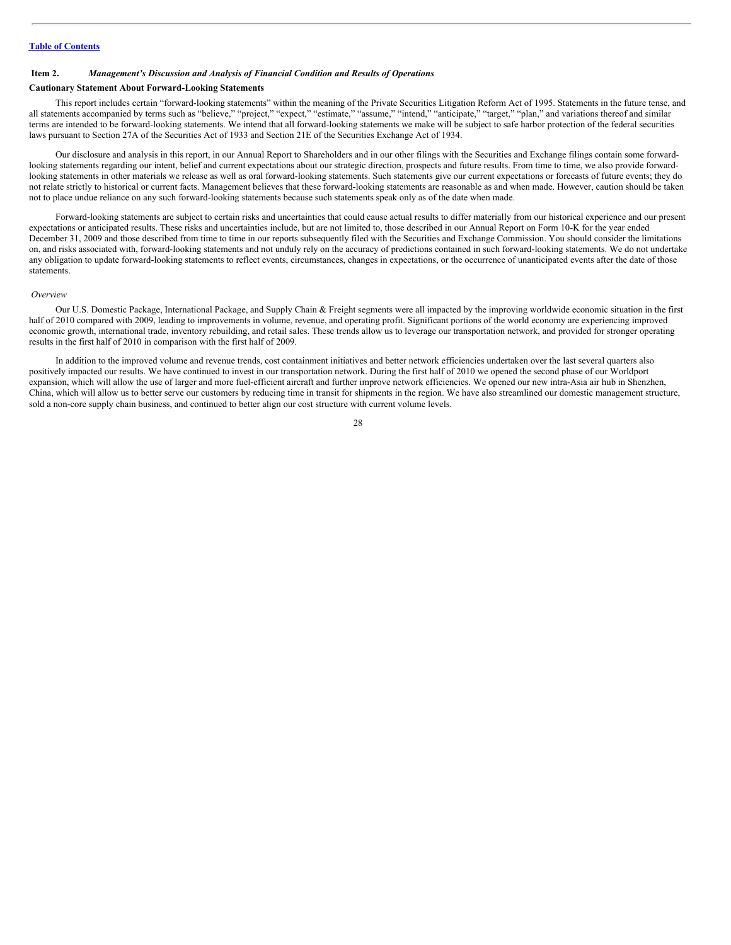#### <span id="page-29-0"></span>**Item 2.** *Management's Discussion and Analysis of Financial Condition and Results of Operations*

#### **Cautionary Statement About Forward-Looking Statements**

This report includes certain "forward-looking statements" within the meaning of the Private Securities Litigation Reform Act of 1995. Statements in the future tense, and all statements accompanied by terms such as "believe," "project," "expect," "estimate," "assume," "intend," "anticipate," "target," "plan," and variations thereof and similar terms are intended to be forward-looking statements. We intend that all forward-looking statements we make will be subject to safe harbor protection of the federal securities laws pursuant to Section 27A of the Securities Act of 1933 and Section 21E of the Securities Exchange Act of 1934.

Our disclosure and analysis in this report, in our Annual Report to Shareholders and in our other filings with the Securities and Exchange filings contain some forwardlooking statements regarding our intent, belief and current expectations about our strategic direction, prospects and future results. From time to time, we also provide forwardlooking statements in other materials we release as well as oral forward-looking statements. Such statements give our current expectations or forecasts of future events; they do not relate strictly to historical or current facts. Management believes that these forward-looking statements are reasonable as and when made. However, caution should be taken not to place undue reliance on any such forward-looking statements because such statements speak only as of the date when made.

Forward-looking statements are subject to certain risks and uncertainties that could cause actual results to differ materially from our historical experience and our present expectations or anticipated results. These risks and uncertainties include, but are not limited to, those described in our Annual Report on Form 10-K for the year ended December 31, 2009 and those described from time to time in our reports subsequently filed with the Securities and Exchange Commission. You should consider the limitations on, and risks associated with, forward-looking statements and not unduly rely on the accuracy of predictions contained in such forward-looking statements. We do not undertake any obligation to update forward-looking statements to reflect events, circumstances, changes in expectations, or the occurrence of unanticipated events after the date of those statements.

#### <span id="page-29-1"></span>*Overview*

Our U.S. Domestic Package, International Package, and Supply Chain & Freight segments were all impacted by the improving worldwide economic situation in the first half of 2010 compared with 2009, leading to improvements in volume, revenue, and operating profit. Significant portions of the world economy are experiencing improved economic growth, international trade, inventory rebuilding, and retail sales. These trends allow us to leverage our transportation network, and provided for stronger operating results in the first half of 2010 in comparison with the first half of 2009.

In addition to the improved volume and revenue trends, cost containment initiatives and better network efficiencies undertaken over the last several quarters also positively impacted our results. We have continued to invest in our transportation network. During the first half of 2010 we opened the second phase of our Worldport expansion, which will allow the use of larger and more fuel-efficient aircraft and further improve network efficiencies. We opened our new intra-Asia air hub in Shenzhen, China, which will allow us to better serve our customers by reducing time in transit for shipments in the region. We have also streamlined our domestic management structure, sold a non-core supply chain business, and continued to better align our cost structure with current volume levels.

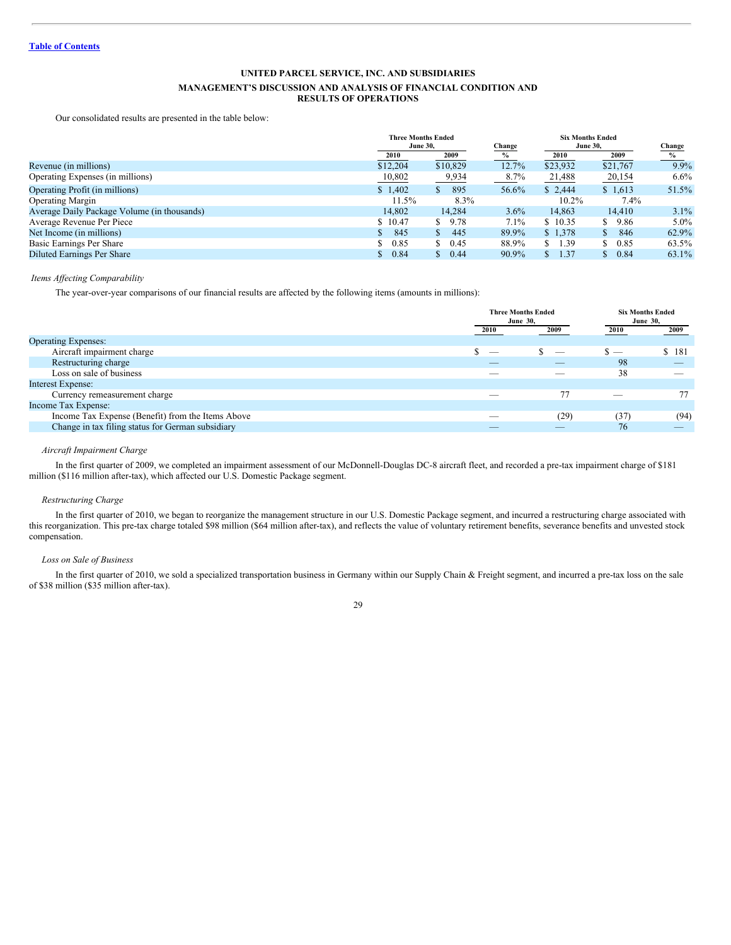Our consolidated results are presented in the table below:

|                                             |          | <b>Three Months Ended</b><br><b>June 30,</b> |         | <b>Six Months Ended</b><br><b>June 30,</b><br>Change |            |                |
|---------------------------------------------|----------|----------------------------------------------|---------|------------------------------------------------------|------------|----------------|
|                                             | 2010     | 2009                                         | $\%$    | 2010                                                 | 2009       | Change<br>$\%$ |
| Revenue (in millions)                       | \$12,204 | \$10,829                                     | 12.7%   | \$23,932                                             | \$21,767   | $9.9\%$        |
| Operating Expenses (in millions)            | 10,802   | <u>9,934</u>                                 | $8.7\%$ | 21,488                                               | 20,154     | 6.6%           |
| Operating Profit (in millions)              | \$1,402  | 895<br>S.                                    | 56.6%   | \$2,444                                              | \$1,613    | 51.5%          |
| <b>Operating Margin</b>                     | 11.5%    | 8.3%                                         |         | $10.2\%$                                             | $7.4\%$    |                |
| Average Daily Package Volume (in thousands) | 14,802   | 14.284                                       | 3.6%    | 14.863                                               | 14.410     | 3.1%           |
| Average Revenue Per Piece                   | \$10.47  | \$9.78                                       | 7.1%    | \$10.35                                              | 9.86       | $5.0\%$        |
| Net Income (in millions)                    | 845      | 445<br>\$.                                   | 89.9%   | \$1,378                                              | 846<br>\$. | 62.9%          |
| Basic Earnings Per Share                    | 0.85     | \$0.45                                       | 88.9%   | 1.39<br>S.                                           | 0.85       | 63.5%          |
| Diluted Earnings Per Share                  | 0.84     | 0.44                                         | 90.9%   | 1.37                                                 | 0.84       | 63.1%          |

### <span id="page-30-0"></span>*Items Af ecting Comparability*

The year-over-year comparisons of our financial results are affected by the following items (amounts in millions):

| <b>Three Months Ended</b><br>June 30, |      | <b>Six Months Ended</b><br><b>June 30,</b> |       |
|---------------------------------------|------|--------------------------------------------|-------|
| 2010                                  | 2009 | 2010                                       | 2009  |
|                                       |      |                                            |       |
| $\overline{\phantom{a}}$              |      | s —                                        | \$181 |
|                                       |      | 98                                         |       |
|                                       |      | 38                                         |       |
|                                       |      |                                            |       |
|                                       | 77   |                                            |       |
|                                       |      |                                            |       |
|                                       | (29) | (37                                        | (94)  |
|                                       |      | 76                                         |       |
|                                       |      |                                            |       |

### *Aircraft Impairment Charge*

In the first quarter of 2009, we completed an impairment assessment of our McDonnell-Douglas DC-8 aircraft fleet, and recorded a pre-tax impairment charge of \$181 million (\$116 million after-tax), which affected our U.S. Domestic Package segment.

#### *Restructuring Charge*

In the first quarter of 2010, we began to reorganize the management structure in our U.S. Domestic Package segment, and incurred a restructuring charge associated with this reorganization. This pre-tax charge totaled \$98 million (\$64 million after-tax), and reflects the value of voluntary retirement benefits, severance benefits and unvested stock compensation.

#### *Loss on Sale of Business*

In the first quarter of 2010, we sold a specialized transportation business in Germany within our Supply Chain & Freight segment, and incurred a pre-tax loss on the sale of \$38 million (\$35 million after-tax).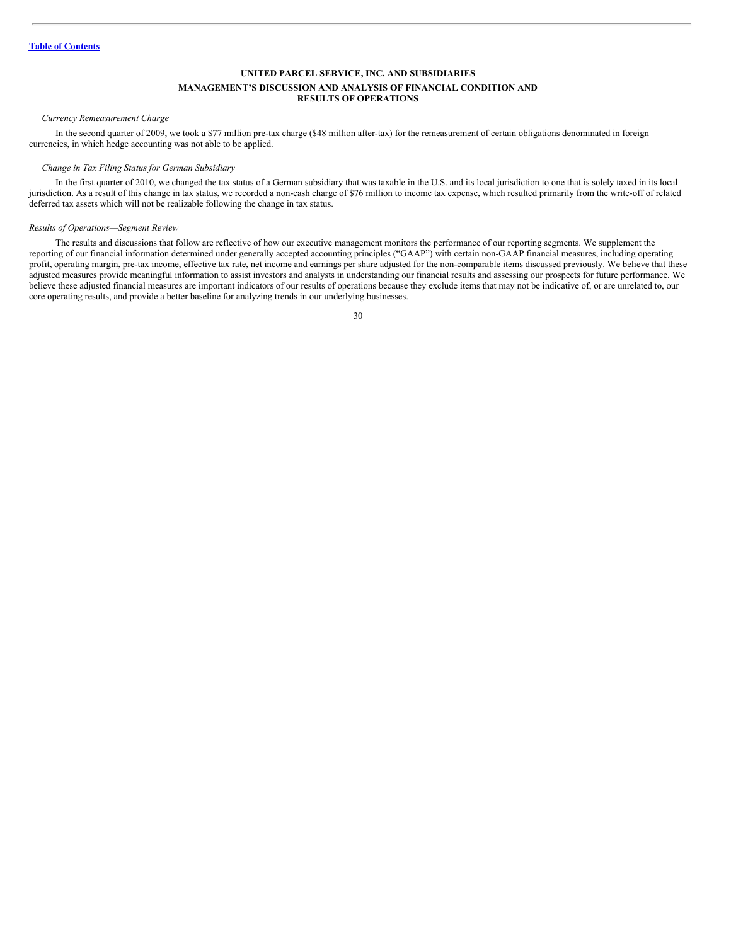### *Currency Remeasurement Charge*

In the second quarter of 2009, we took a \$77 million pre-tax charge (\$48 million after-tax) for the remeasurement of certain obligations denominated in foreign currencies, in which hedge accounting was not able to be applied.

#### *Change in Tax Filing Status for German Subsidiary*

In the first quarter of 2010, we changed the tax status of a German subsidiary that was taxable in the U.S. and its local jurisdiction to one that is solely taxed in its local jurisdiction. As a result of this change in tax status, we recorded a non-cash charge of \$76 million to income tax expense, which resulted primarily from the write-off of related deferred tax assets which will not be realizable following the change in tax status.

### *Results of Operations—Segment Review*

The results and discussions that follow are reflective of how our executive management monitors the performance of our reporting segments. We supplement the reporting of our financial information determined under generally accepted accounting principles ("GAAP") with certain non-GAAP financial measures, including operating profit, operating margin, pre-tax income, effective tax rate, net income and earnings per share adjusted for the non-comparable items discussed previously. We believe that these adjusted measures provide meaningful information to assist investors and analysts in understanding our financial results and assessing our prospects for future performance. We believe these adjusted financial measures are important indicators of our results of operations because they exclude items that may not be indicative of, or are unrelated to, our core operating results, and provide a better baseline for analyzing trends in our underlying businesses.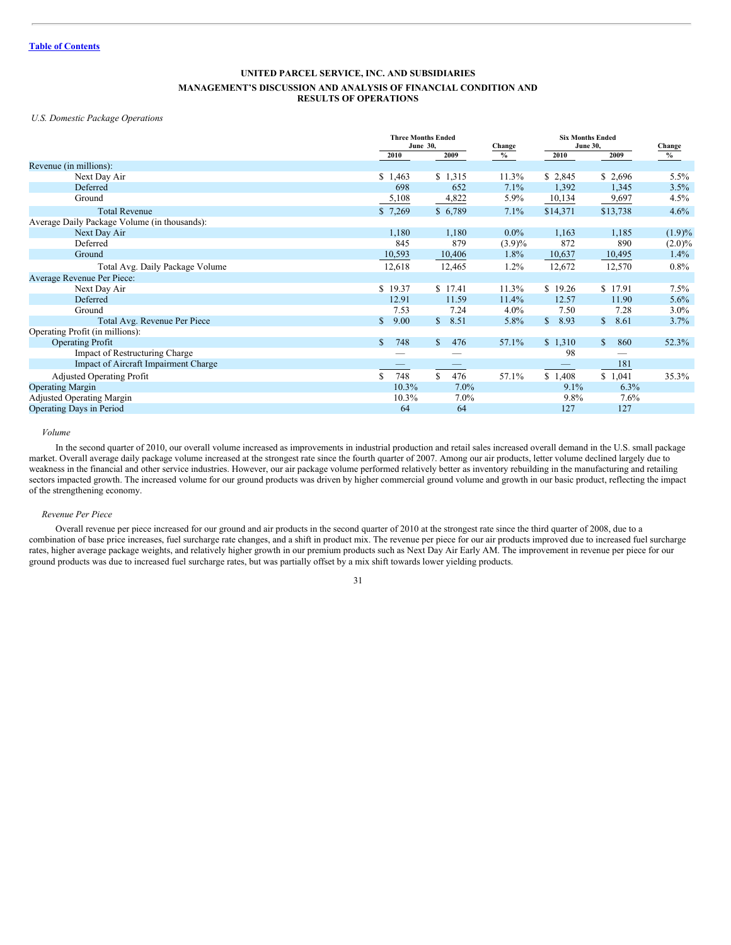<span id="page-32-0"></span>*U.S. Domestic Package Operations*

|                                              |                     | <b>Three Months Ended</b><br>June 30,<br>Change |               | <b>Six Months Ended</b><br><b>June 30,</b> |                        | Change        |
|----------------------------------------------|---------------------|-------------------------------------------------|---------------|--------------------------------------------|------------------------|---------------|
|                                              | 2010                | 2009                                            | $\frac{0}{0}$ | 2010                                       | 2009                   | $\frac{0}{0}$ |
| Revenue (in millions):                       |                     |                                                 |               |                                            |                        |               |
| Next Day Air                                 | \$1,463             | \$1,315                                         | 11.3%         | \$2,845                                    | \$2,696                | 5.5%          |
| Deferred                                     | 698                 | 652                                             | 7.1%          | 1,392                                      | 1,345                  | 3.5%          |
| Ground                                       | 5,108               | 4,822                                           | 5.9%          | 10,134                                     | 9,697                  | 4.5%          |
| <b>Total Revenue</b>                         | \$7,269             | \$6,789                                         | 7.1%          | \$14,371                                   | \$13,738               | 4.6%          |
| Average Daily Package Volume (in thousands): |                     |                                                 |               |                                            |                        |               |
| Next Day Air                                 | 1,180               | 1,180                                           | $0.0\%$       | 1,163                                      | 1,185                  | $(1.9)\%$     |
| Deferred                                     | 845                 | 879                                             | $(3.9)\%$     | 872                                        | 890                    | $(2.0)\%$     |
| Ground                                       | 10,593              | 10,406                                          | $1.8\%$       | 10,637                                     | 10,495                 | $1.4\%$       |
| Total Avg. Daily Package Volume              | 12,618              | 12,465                                          | 1.2%          | 12,672                                     | 12,570                 | 0.8%          |
| Average Revenue Per Piece:                   |                     |                                                 |               |                                            |                        |               |
| Next Day Air                                 | \$19.37             | \$17.41                                         | 11.3%         | \$19.26                                    | \$17.91                | $7.5\%$       |
| Deferred                                     | 12.91               | 11.59                                           | 11.4%         | 12.57                                      | 11.90                  | 5.6%          |
| Ground                                       | 7.53                | 7.24                                            | $4.0\%$       | 7.50                                       | 7.28                   | $3.0\%$       |
| Total Avg. Revenue Per Piece                 | \$<br>9.00          | $\mathbf{s}$<br>8.51                            | 5.8%          | 8.93<br>$\mathbb{S}$                       | 8.61<br>$\mathbb{S}^-$ | 3.7%          |
| Operating Profit (in millions):              |                     |                                                 |               |                                            |                        |               |
| <b>Operating Profit</b>                      | $\mathbb{S}$<br>748 | $\mathbf{s}$<br>476                             | 57.1%         | \$1,310                                    | $\mathbb{S}$<br>860    | 52.3%         |
| <b>Impact of Restructuring Charge</b>        |                     |                                                 |               | 98                                         |                        |               |
| Impact of Aircraft Impairment Charge         |                     | _                                               |               |                                            | 181                    |               |
| <b>Adjusted Operating Profit</b>             | \$<br>748           | \$<br>476                                       | 57.1%         | \$1,408                                    | \$1,041                | 35.3%         |
| <b>Operating Margin</b>                      | $10.3\%$            | 7.0%                                            |               | $9.1\%$                                    | 6.3%                   |               |
| <b>Adjusted Operating Margin</b>             | $10.3\%$            | $7.0\%$                                         |               | 9.8%                                       | 7.6%                   |               |
| Operating Days in Period                     | 64                  | 64                                              |               | 127                                        | 127                    |               |

### *Volume*

In the second quarter of 2010, our overall volume increased as improvements in industrial production and retail sales increased overall demand in the U.S. small package market. Overall average daily package volume increased at the strongest rate since the fourth quarter of 2007. Among our air products, letter volume declined largely due to weakness in the financial and other service industries. However, our air package volume performed relatively better as inventory rebuilding in the manufacturing and retailing sectors impacted growth. The increased volume for our ground products was driven by higher commercial ground volume and growth in our basic product, reflecting the impact of the strengthening economy.

### *Revenue Per Piece*

Overall revenue per piece increased for our ground and air products in the second quarter of 2010 at the strongest rate since the third quarter of 2008, due to a combination of base price increases, fuel surcharge rate changes, and a shift in product mix. The revenue per piece for our air products improved due to increased fuel surcharge rates, higher average package weights, and relatively higher growth in our premium products such as Next Day Air Early AM. The improvement in revenue per piece for our ground products was due to increased fuel surcharge rates, but was partially offset by a mix shift towards lower yielding products.

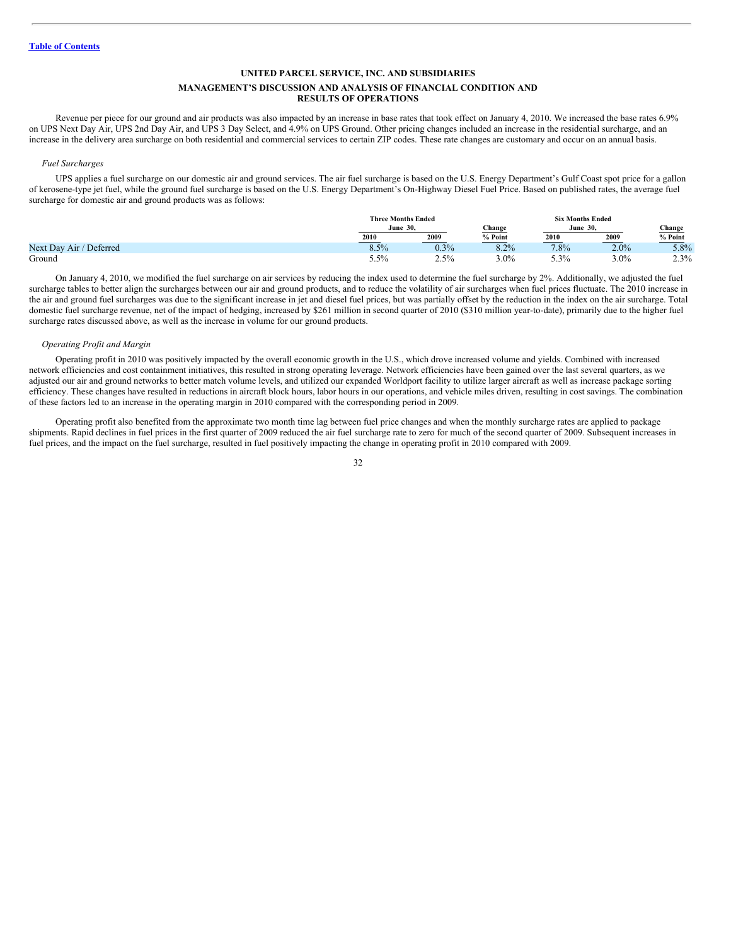### **MANAGEMENT'S DISCUSSION AND ANALYSIS OF FINANCIAL CONDITION AND RESULTS OF OPERATIONS**

Revenue per piece for our ground and air products was also impacted by an increase in base rates that took effect on January 4, 2010. We increased the base rates 6.9% on UPS Next Day Air, UPS 2nd Day Air, and UPS 3 Day Select, and 4.9% on UPS Ground. Other pricing changes included an increase in the residential surcharge, and an increase in the delivery area surcharge on both residential and commercial services to certain ZIP codes. These rate changes are customary and occur on an annual basis.

#### *Fuel Surcharges*

UPS applies a fuel surcharge on our domestic air and ground services. The air fuel surcharge is based on the U.S. Energy Department's Gulf Coast spot price for a gallon of kerosene-type jet fuel, while the ground fuel surcharge is based on the U.S. Energy Department's On-Highway Diesel Fuel Price. Based on published rates, the average fuel surcharge for domestic air and ground products was as follows:

|                         | <b>Three Months Ended</b>                          |      |         | <b>Six Months Ended</b> |         |         |  |
|-------------------------|----------------------------------------------------|------|---------|-------------------------|---------|---------|--|
|                         | <b>June 30.</b>                                    |      | Change  | <b>June 30.</b>         |         | Change  |  |
|                         | 2010<br><b>Contract Contract Contract Contract</b> | 2009 | % Point | 2010                    | 2009    | % Point |  |
| Next Day Air / Deferred | 8.5%                                               | 0.3% | 8.2%    | 7.8%                    | 2.0%    | 5.8%    |  |
| Ground                  | 5.5%                                               | 2.5% | $3.0\%$ | 5.3%                    | $3.0\%$ | $2.3\%$ |  |

On January 4, 2010, we modified the fuel surcharge on air services by reducing the index used to determine the fuel surcharge by 2%. Additionally, we adjusted the fuel surcharge tables to better align the surcharges between our air and ground products, and to reduce the volatility of air surcharges when fuel prices fluctuate. The 2010 increase in the air and ground fuel surcharges was due to the significant increase in jet and diesel fuel prices, but was partially offset by the reduction in the index on the air surcharge. Total domestic fuel surcharge revenue, net of the impact of hedging, increased by \$261 million in second quarter of 2010 (\$310 million year-to-date), primarily due to the higher fuel surcharge rates discussed above, as well as the increase in volume for our ground products.

#### *Operating Profit and Margin*

Operating profit in 2010 was positively impacted by the overall economic growth in the U.S., which drove increased volume and yields. Combined with increased network efficiencies and cost containment initiatives, this resulted in strong operating leverage. Network efficiencies have been gained over the last several quarters, as we adjusted our air and ground networks to better match volume levels, and utilized our expanded Worldport facility to utilize larger aircraft as well as increase package sorting efficiency. These changes have resulted in reductions in aircraft block hours, labor hours in our operations, and vehicle miles driven, resulting in cost savings. The combination of these factors led to an increase in the operating margin in 2010 compared with the corresponding period in 2009.

Operating profit also benefited from the approximate two month time lag between fuel price changes and when the monthly surcharge rates are applied to package shipments. Rapid declines in fuel prices in the first quarter of 2009 reduced the air fuel surcharge rate to zero for much of the second quarter of 2009. Subsequent increases in fuel prices, and the impact on the fuel surcharge, resulted in fuel positively impacting the change in operating profit in 2010 compared with 2009.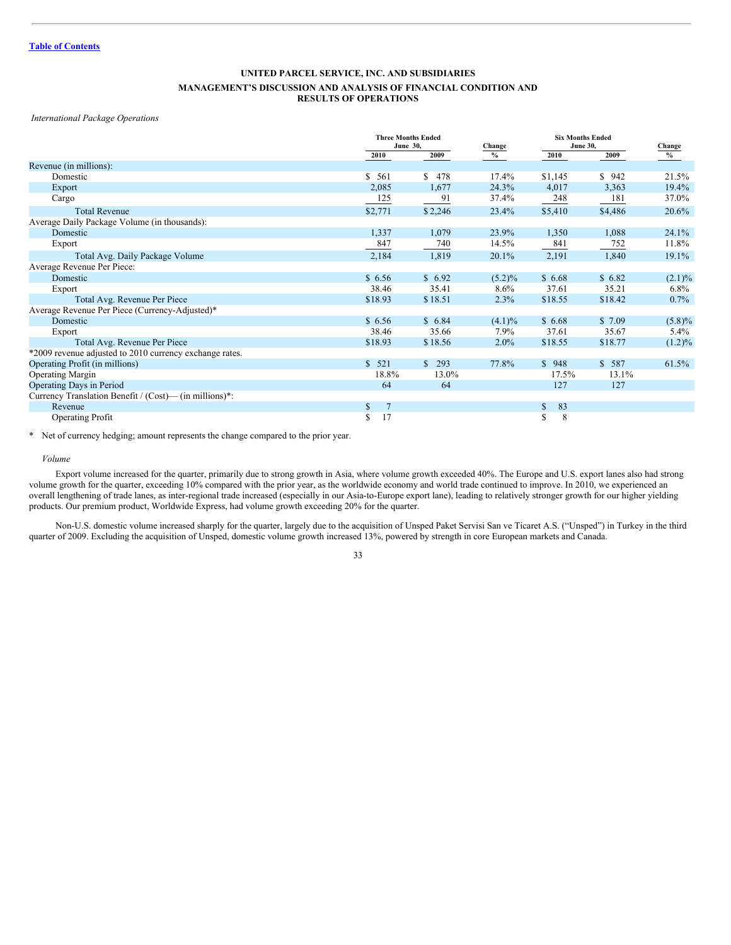<span id="page-34-0"></span>*International Package Operations*

|                                                         |                       | <b>Three Months Ended</b><br><b>June 30,</b> | Change        | <b>Six Months Ended</b><br><b>June 30,</b> |         | Change        |
|---------------------------------------------------------|-----------------------|----------------------------------------------|---------------|--------------------------------------------|---------|---------------|
|                                                         | 2010                  | 2009                                         | $\frac{0}{2}$ | 2010                                       | 2009    | $\frac{0}{0}$ |
| Revenue (in millions):                                  |                       |                                              |               |                                            |         |               |
| Domestic                                                | S.<br>561             | S.<br>478                                    | 17.4%         | \$1,145                                    | \$942   | 21.5%         |
| Export                                                  | 2,085                 | 1,677                                        | 24.3%         | 4,017                                      | 3,363   | 19.4%         |
| Cargo                                                   | 125                   | 91                                           | 37.4%         | 248                                        | 181     | 37.0%         |
| <b>Total Revenue</b>                                    | \$2,771               | \$2,246                                      | 23.4%         | \$5,410                                    | \$4,486 | 20.6%         |
| Average Daily Package Volume (in thousands):            |                       |                                              |               |                                            |         |               |
| Domestic                                                | 1,337                 | 1,079                                        | 23.9%         | 1,350                                      | 1,088   | $24.1\%$      |
| Export                                                  | 847                   | 740                                          | 14.5%         | 841                                        | 752     | 11.8%         |
| Total Avg. Daily Package Volume                         | 2,184                 | 1,819                                        | 20.1%         | 2,191                                      | 1,840   | 19.1%         |
| Average Revenue Per Piece:                              |                       |                                              |               |                                            |         |               |
| Domestic                                                | \$6.56                | \$6.92                                       | $(5.2)\%$     | \$6.68                                     | \$6.82  | $(2.1)\%$     |
| Export                                                  | 38.46                 | 35.41                                        | $8.6\%$       | 37.61                                      | 35.21   | $6.8\%$       |
| Total Avg. Revenue Per Piece                            | \$18.93               | \$18.51                                      | 2.3%          | \$18.55                                    | \$18.42 | $0.7\%$       |
| Average Revenue Per Piece (Currency-Adjusted)*          |                       |                                              |               |                                            |         |               |
| Domestic                                                | \$6.56                | \$6.84                                       | $(4.1)\%$     | \$6.68                                     | \$7.09  | $(5.8)\%$     |
| Export                                                  | 38.46                 | 35.66                                        | $7.9\%$       | 37.61                                      | 35.67   | $5.4\%$       |
| Total Avg. Revenue Per Piece                            | \$18.93               | \$18.56                                      | $2.0\%$       | \$18.55                                    | \$18.77 | $(1.2)\%$     |
| *2009 revenue adjusted to 2010 currency exchange rates. |                       |                                              |               |                                            |         |               |
| Operating Profit (in millions)                          | \$521                 | \$293                                        | 77.8%         | \$948                                      | \$ 587  | 61.5%         |
| <b>Operating Margin</b>                                 | 18.8%                 | 13.0%                                        |               | 17.5%                                      | 13.1%   |               |
| Operating Days in Period                                | 64                    | 64                                           |               | 127                                        | 127     |               |
| Currency Translation Benefit / (Cost)— (in millions)*:  |                       |                                              |               |                                            |         |               |
| Revenue                                                 | $7\phantom{.0}$<br>\$ |                                              |               | <sup>\$</sup><br>83                        |         |               |
| <b>Operating Profit</b>                                 | 17<br>\$              |                                              |               | S<br>8                                     |         |               |

\* Net of currency hedging; amount represents the change compared to the prior year.

#### *Volume*

Export volume increased for the quarter, primarily due to strong growth in Asia, where volume growth exceeded 40%. The Europe and U.S. export lanes also had strong volume growth for the quarter, exceeding 10% compared with the prior year, as the worldwide economy and world trade continued to improve. In 2010, we experienced an overall lengthening of trade lanes, as inter-regional trade increased (especially in our Asia-to-Europe export lane), leading to relatively stronger growth for our higher yielding products. Our premium product, Worldwide Express, had volume growth exceeding 20% for the quarter.

Non-U.S. domestic volume increased sharply for the quarter, largely due to the acquisition of Unsped Paket Servisi San ve Ticaret A.S. ("Unsped") in Turkey in the third quarter of 2009. Excluding the acquisition of Unsped, domestic volume growth increased 13%, powered by strength in core European markets and Canada.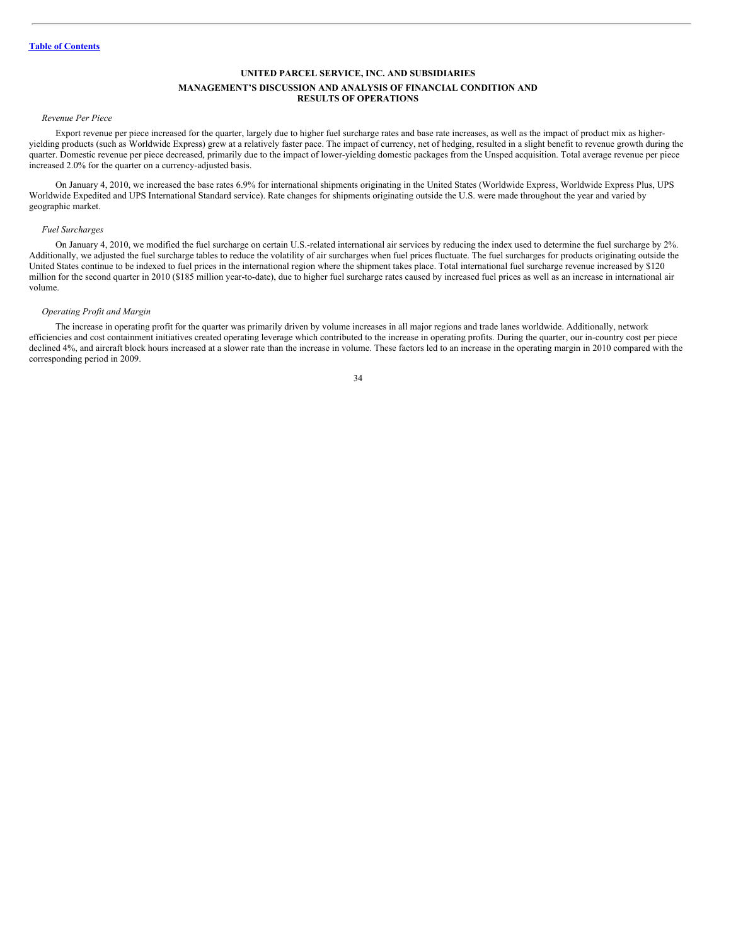#### *Revenue Per Piece*

Export revenue per piece increased for the quarter, largely due to higher fuel surcharge rates and base rate increases, as well as the impact of product mix as higheryielding products (such as Worldwide Express) grew at a relatively faster pace. The impact of currency, net of hedging, resulted in a slight benefit to revenue growth during the quarter. Domestic revenue per piece decreased, primarily due to the impact of lower-yielding domestic packages from the Unsped acquisition. Total average revenue per piece increased 2.0% for the quarter on a currency-adjusted basis.

On January 4, 2010, we increased the base rates 6.9% for international shipments originating in the United States (Worldwide Express, Worldwide Express Plus, UPS Worldwide Expedited and UPS International Standard service). Rate changes for shipments originating outside the U.S. were made throughout the year and varied by geographic market.

#### *Fuel Surcharges*

On January 4, 2010, we modified the fuel surcharge on certain U.S.-related international air services by reducing the index used to determine the fuel surcharge by 2%. Additionally, we adjusted the fuel surcharge tables to reduce the volatility of air surcharges when fuel prices fluctuate. The fuel surcharges for products originating outside the United States continue to be indexed to fuel prices in the international region where the shipment takes place. Total international fuel surcharge revenue increased by \$120 million for the second quarter in 2010 (\$185 million year-to-date), due to higher fuel surcharge rates caused by increased fuel prices as well as an increase in international air volume.

#### *Operating Profit and Margin*

The increase in operating profit for the quarter was primarily driven by volume increases in all major regions and trade lanes worldwide. Additionally, network efficiencies and cost containment initiatives created operating leverage which contributed to the increase in operating profits. During the quarter, our in-country cost per piece declined 4%, and aircraft block hours increased at a slower rate than the increase in volume. These factors led to an increase in the operating margin in 2010 compared with the corresponding period in 2009.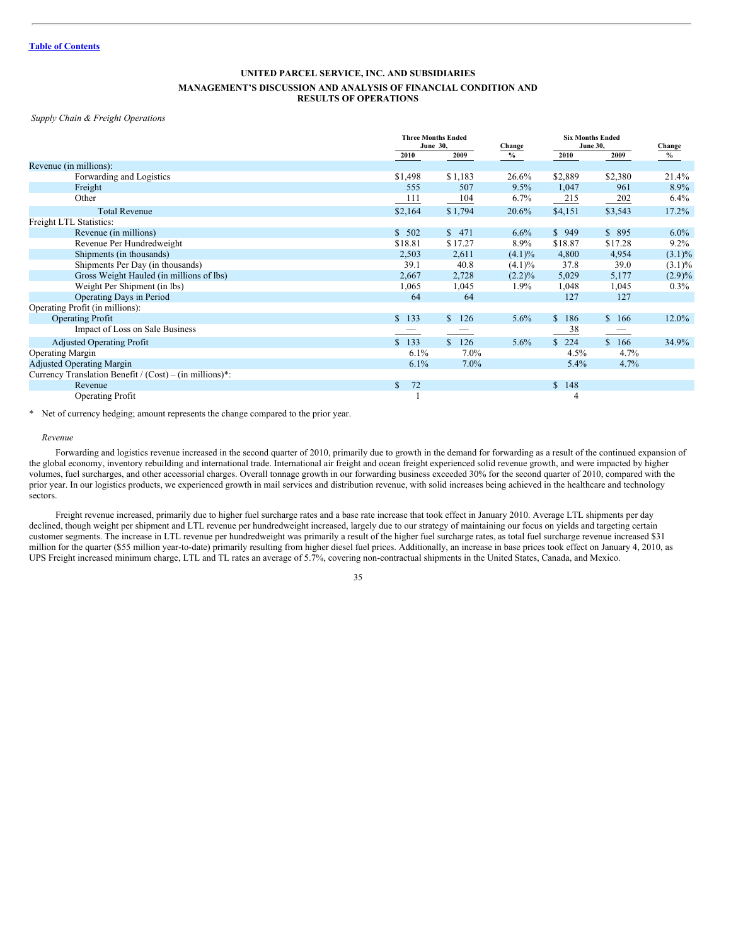<span id="page-36-0"></span>*Supply Chain & Freight Operations*

|                                                           |                    | <b>Three Months Ended</b><br><b>June 30.</b> | Change        |         | <b>Six Months Ended</b><br><b>June 30.</b> |                         |
|-----------------------------------------------------------|--------------------|----------------------------------------------|---------------|---------|--------------------------------------------|-------------------------|
|                                                           | 2010               | 2009                                         | $\frac{0}{0}$ | 2010    | 2009                                       | Change<br>$\frac{0}{0}$ |
| Revenue (in millions):                                    |                    |                                              |               |         |                                            |                         |
| Forwarding and Logistics                                  | \$1,498            | \$1,183                                      | 26.6%         | \$2,889 | \$2,380                                    | 21.4%                   |
| Freight                                                   | 555                | 507                                          | 9.5%          | 1,047   | 961                                        | 8.9%                    |
| Other                                                     | 111                | 104                                          | 6.7%          | 215     | 202                                        | $6.4\%$                 |
| <b>Total Revenue</b>                                      | \$2,164            | \$1,794                                      | 20.6%         | \$4,151 | \$3,543                                    | 17.2%                   |
| Freight LTL Statistics:                                   |                    |                                              |               |         |                                            |                         |
| Revenue (in millions)                                     | \$.<br>502         | \$471                                        | 6.6%          | \$949   | \$895                                      | $6.0\%$                 |
| Revenue Per Hundredweight                                 | \$18.81            | \$17.27                                      | 8.9%          | \$18.87 | \$17.28                                    | $9.2\%$                 |
| Shipments (in thousands)                                  | 2,503              | 2,611                                        | $(4.1)\%$     | 4,800   | 4,954                                      | $(3.1)\%$               |
| Shipments Per Day (in thousands)                          | 39.1               | 40.8                                         | $(4.1)\%$     | 37.8    | 39.0                                       | $(3.1)\%$               |
| Gross Weight Hauled (in millions of lbs)                  | 2,667              | 2,728                                        | $(2.2)\%$     | 5,029   | 5,177                                      | $(2.9)\%$               |
| Weight Per Shipment (in lbs)                              | 1,065              | 1,045                                        | 1.9%          | 1,048   | 1,045                                      | $0.3\%$                 |
| Operating Days in Period                                  | 64                 | 64                                           |               | 127     | 127                                        |                         |
| Operating Profit (in millions):                           |                    |                                              |               |         |                                            |                         |
| <b>Operating Profit</b>                                   | \$133              | $\mathbb{S}$<br>126                          | 5.6%          | \$186   | \$166                                      | 12.0%                   |
| Impact of Loss on Sale Business                           |                    |                                              |               | 38      |                                            |                         |
| <b>Adjusted Operating Profit</b>                          | \$133              | \$126                                        | 5.6%          | \$224   | \$166                                      | 34.9%                   |
| <b>Operating Margin</b>                                   | 6.1%               | $7.0\%$                                      |               | 4.5%    | 4.7%                                       |                         |
| <b>Adjusted Operating Margin</b>                          | 6.1%               | $7.0\%$                                      |               | 5.4%    | 4.7%                                       |                         |
| Currency Translation Benefit / $(Cost) - (in$ millions)*: |                    |                                              |               |         |                                            |                         |
| Revenue                                                   | 72<br>$\mathbb{S}$ |                                              |               | \$148   |                                            |                         |
| <b>Operating Profit</b>                                   |                    |                                              |               | 4       |                                            |                         |

\* Net of currency hedging; amount represents the change compared to the prior year.

#### *Revenue*

Forwarding and logistics revenue increased in the second quarter of 2010, primarily due to growth in the demand for forwarding as a result of the continued expansion of the global economy, inventory rebuilding and international trade. International air freight and ocean freight experienced solid revenue growth, and were impacted by higher volumes, fuel surcharges, and other accessorial charges. Overall tonnage growth in our forwarding business exceeded 30% for the second quarter of 2010, compared with the prior year. In our logistics products, we experienced growth in mail services and distribution revenue, with solid increases being achieved in the healthcare and technology sectors.

Freight revenue increased, primarily due to higher fuel surcharge rates and a base rate increase that took effect in January 2010. Average LTL shipments per day declined, though weight per shipment and LTL revenue per hundredweight increased, largely due to our strategy of maintaining our focus on yields and targeting certain customer segments. The increase in LTL revenue per hundredweight was primarily a result of the higher fuel surcharge rates, as total fuel surcharge revenue increased \$31 million for the quarter (\$55 million year-to-date) primarily resulting from higher diesel fuel prices. Additionally, an increase in base prices took effect on January 4, 2010, as UPS Freight increased minimum charge, LTL and TL rates an average of 5.7%, covering non-contractual shipments in the United States, Canada, and Mexico.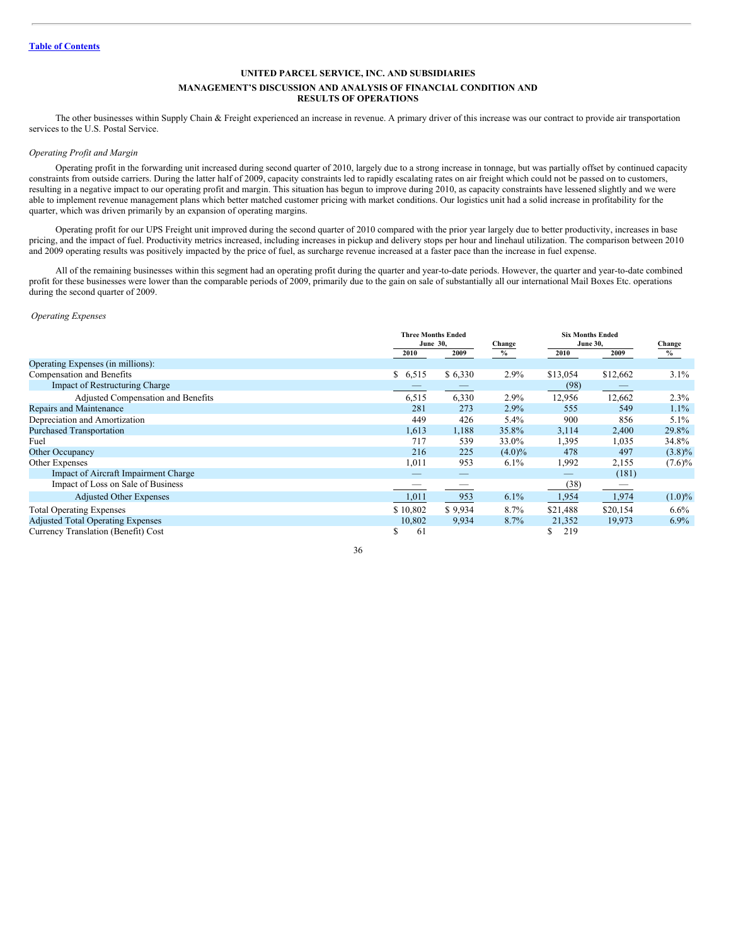The other businesses within Supply Chain & Freight experienced an increase in revenue. A primary driver of this increase was our contract to provide air transportation services to the U.S. Postal Service.

#### *Operating Profit and Margin*

Operating profit in the forwarding unit increased during second quarter of 2010, largely due to a strong increase in tonnage, but was partially offset by continued capacity constraints from outside carriers. During the latter half of 2009, capacity constraints led to rapidly escalating rates on air freight which could not be passed on to customers, resulting in a negative impact to our operating profit and margin. This situation has begun to improve during 2010, as capacity constraints have lessened slightly and we were able to implement revenue management plans which better matched customer pricing with market conditions. Our logistics unit had a solid increase in profitability for the quarter, which was driven primarily by an expansion of operating margins.

Operating profit for our UPS Freight unit improved during the second quarter of 2010 compared with the prior year largely due to better productivity, increases in base pricing, and the impact of fuel. Productivity metrics increased, including increases in pickup and delivery stops per hour and linehaul utilization. The comparison between 2010 and 2009 operating results was positively impacted by the price of fuel, as surcharge revenue increased at a faster pace than the increase in fuel expense.

All of the remaining businesses within this segment had an operating profit during the quarter and year-to-date periods. However, the quarter and year-to-date combined profit for these businesses were lower than the comparable periods of 2009, primarily due to the gain on sale of substantially all our international Mail Boxes Etc. operations during the second quarter of 2009.

#### <span id="page-37-0"></span>*Operating Expenses*

|                                          |          | <b>Three Months Ended</b><br><b>June 30,</b> |                | <b>Six Months Ended</b><br><b>June 30,</b> |          | Change    |
|------------------------------------------|----------|----------------------------------------------|----------------|--------------------------------------------|----------|-----------|
|                                          | 2010     | 2009                                         | Change<br>$\%$ | 2010                                       | 2009     | $\%$      |
| Operating Expenses (in millions):        |          |                                              |                |                                            |          |           |
| Compensation and Benefits                | \$6,515  | \$6,330                                      | 2.9%           | \$13,054                                   | \$12,662 | $3.1\%$   |
| Impact of Restructuring Charge           |          |                                              |                | (98)                                       |          |           |
| Adjusted Compensation and Benefits       | 6,515    | 6,330                                        | 2.9%           | 12,956                                     | 12,662   | 2.3%      |
| Repairs and Maintenance                  | 281      | 273                                          | 2.9%           | 555                                        | 549      | $1.1\%$   |
| Depreciation and Amortization            | 449      | 426                                          | 5.4%           | 900                                        | 856      | 5.1%      |
| <b>Purchased Transportation</b>          | 1,613    | 1,188                                        | 35.8%          | 3,114                                      | 2,400    | 29.8%     |
| Fuel                                     | 717      | 539                                          | 33.0%          | 1,395                                      | 1,035    | 34.8%     |
| Other Occupancy                          | 216      | 225                                          | $(4.0)\%$      | 478                                        | 497      | $(3.8)\%$ |
| Other Expenses                           | 1,011    | 953                                          | $6.1\%$        | 1,992                                      | 2,155    | $(7.6)\%$ |
| Impact of Aircraft Impairment Charge     |          |                                              |                |                                            | (181)    |           |
| Impact of Loss on Sale of Business       |          |                                              |                | (38)                                       |          |           |
| <b>Adjusted Other Expenses</b>           | 1,011    | 953                                          | 6.1%           | 1,954                                      | 1,974    | $(1.0)\%$ |
| <b>Total Operating Expenses</b>          | \$10,802 | \$9,934                                      | 8.7%           | \$21,488                                   | \$20,154 | 6.6%      |
| <b>Adjusted Total Operating Expenses</b> | 10,802   | 9,934                                        | 8.7%           | 21,352                                     | 19,973   | $6.9\%$   |
| Currency Translation (Benefit) Cost      | -61<br>ъ |                                              |                | 219<br>S                                   |          |           |

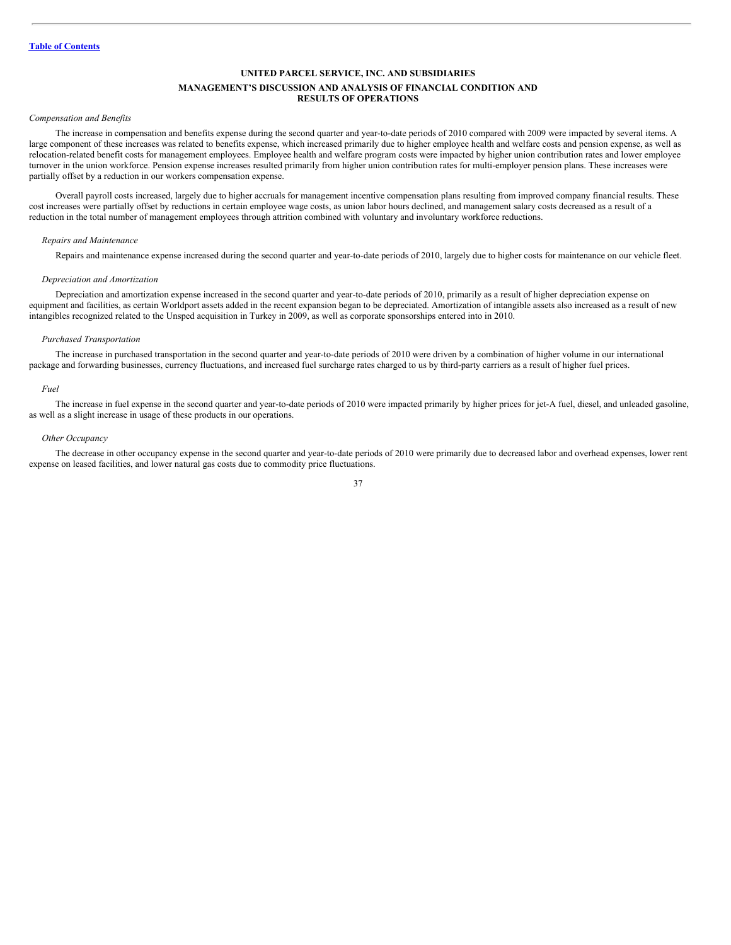#### *Compensation and Benefits*

The increase in compensation and benefits expense during the second quarter and year-to-date periods of 2010 compared with 2009 were impacted by several items. A large component of these increases was related to benefits expense, which increased primarily due to higher employee health and welfare costs and pension expense, as well as relocation-related benefit costs for management employees. Employee health and welfare program costs were impacted by higher union contribution rates and lower employee turnover in the union workforce. Pension expense increases resulted primarily from higher union contribution rates for multi-employer pension plans. These increases were partially offset by a reduction in our workers compensation expense.

Overall payroll costs increased, largely due to higher accruals for management incentive compensation plans resulting from improved company financial results. These cost increases were partially offset by reductions in certain employee wage costs, as union labor hours declined, and management salary costs decreased as a result of a reduction in the total number of management employees through attrition combined with voluntary and involuntary workforce reductions.

#### *Repairs and Maintenance*

Repairs and maintenance expense increased during the second quarter and year-to-date periods of 2010, largely due to higher costs for maintenance on our vehicle fleet.

#### *Depreciation and Amortization*

Depreciation and amortization expense increased in the second quarter and year-to-date periods of 2010, primarily as a result of higher depreciation expense on equipment and facilities, as certain Worldport assets added in the recent expansion began to be depreciated. Amortization of intangible assets also increased as a result of new intangibles recognized related to the Unsped acquisition in Turkey in 2009, as well as corporate sponsorships entered into in 2010.

#### *Purchased Transportation*

The increase in purchased transportation in the second quarter and year-to-date periods of 2010 were driven by a combination of higher volume in our international package and forwarding businesses, currency fluctuations, and increased fuel surcharge rates charged to us by third-party carriers as a result of higher fuel prices.

#### *Fuel*

The increase in fuel expense in the second quarter and year-to-date periods of 2010 were impacted primarily by higher prices for jet-A fuel, diesel, and unleaded gasoline, as well as a slight increase in usage of these products in our operations.

#### *Other Occupancy*

The decrease in other occupancy expense in the second quarter and year-to-date periods of 2010 were primarily due to decreased labor and overhead expenses, lower rent expense on leased facilities, and lower natural gas costs due to commodity price fluctuations.

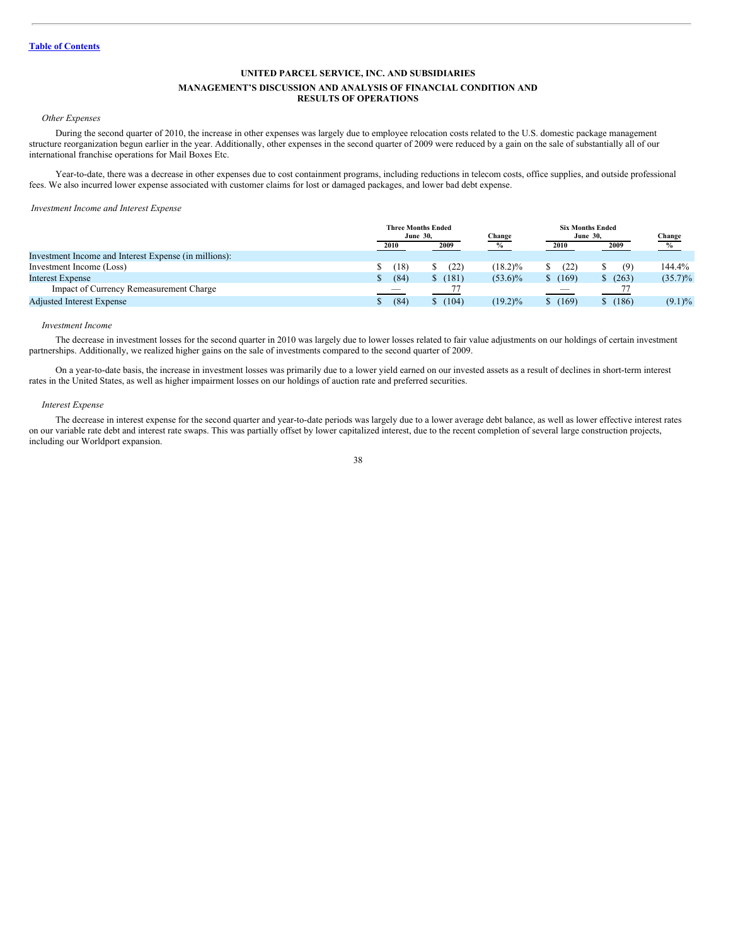#### *Other Expenses*

During the second quarter of 2010, the increase in other expenses was largely due to employee relocation costs related to the U.S. domestic package management structure reorganization begun earlier in the year. Additionally, other expenses in the second quarter of 2009 were reduced by a gain on the sale of substantially all of our international franchise operations for Mail Boxes Etc.

Year-to-date, there was a decrease in other expenses due to cost containment programs, including reductions in telecom costs, office supplies, and outside professional fees. We also incurred lower expense associated with customer claims for lost or damaged packages, and lower bad debt expense.

### <span id="page-39-0"></span>*Investment Income and Interest Expense*

|                                                       | <b>Three Months Ended</b><br><b>June 30,</b><br>2010<br>2009 |       | Change     | <b>Six Months Ended</b><br><b>June 30,</b> |          | <b>Change</b> |
|-------------------------------------------------------|--------------------------------------------------------------|-------|------------|--------------------------------------------|----------|---------------|
|                                                       |                                                              |       | $\%$       | 2010<br>2009                               |          | $\%$          |
| Investment Income and Interest Expense (in millions): |                                                              |       |            |                                            |          |               |
| Investment Income (Loss)                              | (18)                                                         | (22)  | $(18.2)\%$ | (22)                                       | (9)      | 144.4%        |
| <b>Interest Expense</b>                               | (84)                                                         | (181) | $(53.6)\%$ | \$(169)                                    | \$ (263) | $(35.7)\%$    |
| Impact of Currency Remeasurement Charge               |                                                              |       |            |                                            |          |               |
| <b>Adjusted Interest Expense</b>                      | (84)                                                         | (104) | $(19.2)\%$ | \$(169)                                    | \$(186)  | $(9.1)\%$     |

#### *Investment Income*

The decrease in investment losses for the second quarter in 2010 was largely due to lower losses related to fair value adjustments on our holdings of certain investment partnerships. Additionally, we realized higher gains on the sale of investments compared to the second quarter of 2009.

On a year-to-date basis, the increase in investment losses was primarily due to a lower yield earned on our invested assets as a result of declines in short-term interest rates in the United States, as well as higher impairment losses on our holdings of auction rate and preferred securities.

#### *Interest Expense*

The decrease in interest expense for the second quarter and year-to-date periods was largely due to a lower average debt balance, as well as lower effective interest rates on our variable rate debt and interest rate swaps. This was partially offset by lower capitalized interest, due to the recent completion of several large construction projects, including our Worldport expansion.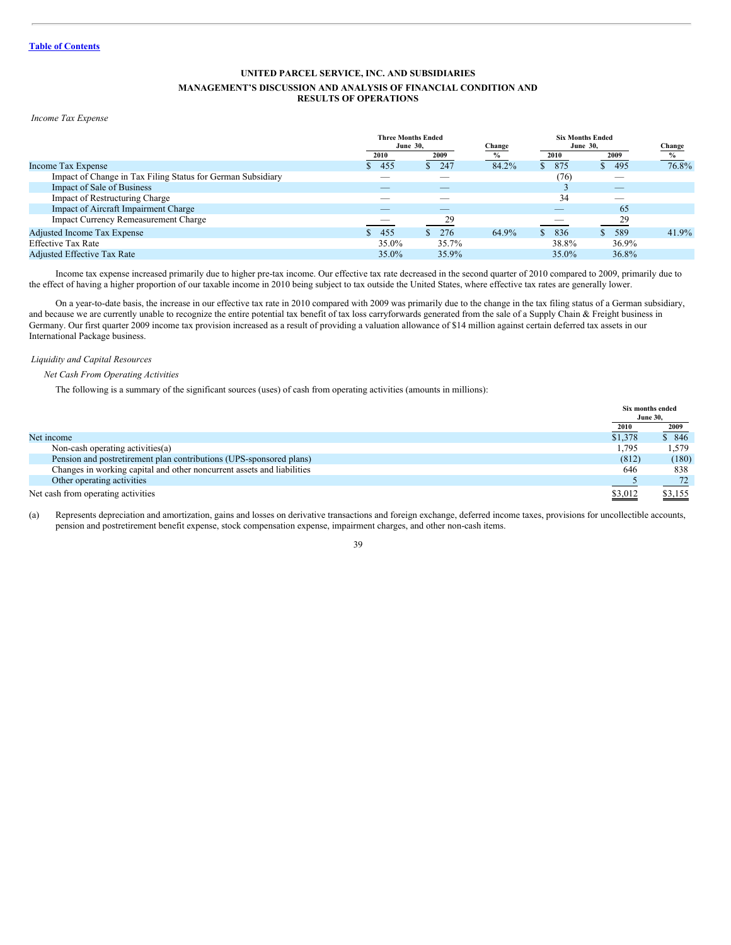<span id="page-40-0"></span>*Income Tax Expense*

|                                                             | <b>Three Months Ended</b><br><b>June 30,</b><br>2009<br>2010 |                          | Change | <b>Six Months Ended</b><br>June 30, |            |                                     |  |  |
|-------------------------------------------------------------|--------------------------------------------------------------|--------------------------|--------|-------------------------------------|------------|-------------------------------------|--|--|
|                                                             |                                                              |                          | $\%$   | 2010                                | 2009       | $\frac{\text{Change}}{\frac{9}{6}}$ |  |  |
| Income Tax Expense                                          | 455                                                          | \$247                    | 84.2%  | 875                                 | 495<br>\$. | 76.8%                               |  |  |
| Impact of Change in Tax Filing Status for German Subsidiary |                                                              | _                        |        | (76)                                |            |                                     |  |  |
| Impact of Sale of Business                                  |                                                              |                          |        |                                     |            |                                     |  |  |
| Impact of Restructuring Charge                              |                                                              |                          |        | 34                                  | _          |                                     |  |  |
| Impact of Aircraft Impairment Charge                        |                                                              | $\overline{\phantom{a}}$ |        | _                                   | 65         |                                     |  |  |
| <b>Impact Currency Remeasurement Charge</b>                 |                                                              | 29                       |        |                                     | 29         |                                     |  |  |
| <b>Adjusted Income Tax Expense</b>                          | 455                                                          | \$276                    | 64.9%  | 836                                 | 589        | 41.9%                               |  |  |
| <b>Effective Tax Rate</b>                                   | 35.0%                                                        | 35.7%                    |        | 38.8%                               | 36.9%      |                                     |  |  |
| <b>Adjusted Effective Tax Rate</b>                          | 35.0%                                                        | 35.9%                    |        | 35.0%                               | 36.8%      |                                     |  |  |

Income tax expense increased primarily due to higher pre-tax income. Our effective tax rate decreased in the second quarter of 2010 compared to 2009, primarily due to the effect of having a higher proportion of our taxable income in 2010 being subject to tax outside the United States, where effective tax rates are generally lower.

On a year-to-date basis, the increase in our effective tax rate in 2010 compared with 2009 was primarily due to the change in the tax filing status of a German subsidiary, and because we are currently unable to recognize the entire potential tax benefit of tax loss carryforwards generated from the sale of a Supply Chain & Freight business in Germany. Our first quarter 2009 income tax provision increased as a result of providing a valuation allowance of \$14 million against certain deferred tax assets in our International Package business.

### <span id="page-40-1"></span>*Liquidity and Capital Resources*

#### <span id="page-40-2"></span>*Net Cash From Operating Activities*

The following is a summary of the significant sources (uses) of cash from operating activities (amounts in millions):

|                                                                        | Six months ended |         |  |
|------------------------------------------------------------------------|------------------|---------|--|
|                                                                        | <b>June 30,</b>  |         |  |
|                                                                        | 2010             | 2009    |  |
| Net income                                                             | \$1,378          | \$846   |  |
| Non-cash operating activities(a)                                       | 1,795            | 1,579   |  |
| Pension and postretirement plan contributions (UPS-sponsored plans)    | (812)            | (180)   |  |
| Changes in working capital and other noncurrent assets and liabilities | 646              | 838     |  |
| Other operating activities                                             |                  | 72      |  |
| Net cash from operating activities                                     | \$3,012          | \$3,155 |  |

(a) Represents depreciation and amortization, gains and losses on derivative transactions and foreign exchange, deferred income taxes, provisions for uncollectible accounts, pension and postretirement benefit expense, stock compensation expense, impairment charges, and other non-cash items.

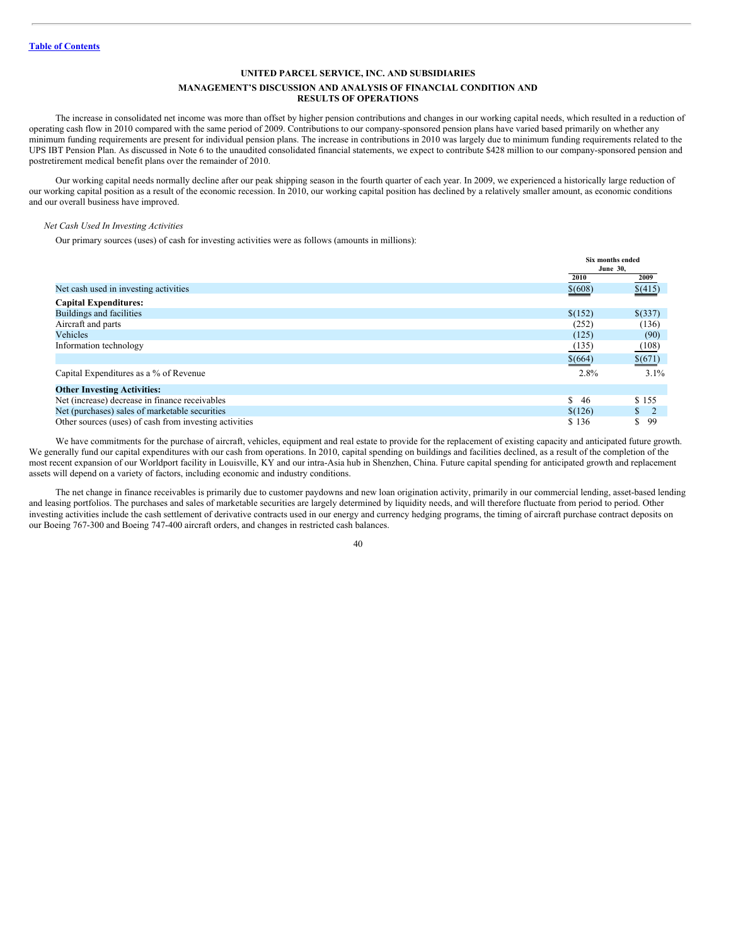### **MANAGEMENT'S DISCUSSION AND ANALYSIS OF FINANCIAL CONDITION AND RESULTS OF OPERATIONS**

The increase in consolidated net income was more than offset by higher pension contributions and changes in our working capital needs, which resulted in a reduction of operating cash flow in 2010 compared with the same period of 2009. Contributions to our company-sponsored pension plans have varied based primarily on whether any minimum funding requirements are present for individual pension plans. The increase in contributions in 2010 was largely due to minimum funding requirements related to the UPS IBT Pension Plan. As discussed in Note 6 to the unaudited consolidated financial statements, we expect to contribute \$428 million to our company-sponsored pension and postretirement medical benefit plans over the remainder of 2010.

Our working capital needs normally decline after our peak shipping season in the fourth quarter of each year. In 2009, we experienced a historically large reduction of our working capital position as a result of the economic recession. In 2010, our working capital position has declined by a relatively smaller amount, as economic conditions and our overall business have improved.

#### <span id="page-41-0"></span>*Net Cash Used In Investing Activities*

Our primary sources (uses) of cash for investing activities were as follows (amounts in millions):

|                                                        | Six months ended |               |
|--------------------------------------------------------|------------------|---------------|
|                                                        | <b>June 30.</b>  |               |
|                                                        | 2010             | 2009          |
| Net cash used in investing activities                  | \$ (608)         | \$(415)       |
| <b>Capital Expenditures:</b>                           |                  |               |
| <b>Buildings and facilities</b>                        | \$(152)          | \$(337)       |
| Aircraft and parts                                     | (252)            | (136)         |
| Vehicles                                               | (125)            | (90)          |
| Information technology                                 | (135)            | (108)         |
|                                                        | \$ (664)         | \$(671)       |
| Capital Expenditures as a % of Revenue                 | 2.8%             | $3.1\%$       |
| <b>Other Investing Activities:</b>                     |                  |               |
| Net (increase) decrease in finance receivables         | \$46             | \$155         |
| Net (purchases) sales of marketable securities         | \$(126)          | $\frac{1}{2}$ |
| Other sources (uses) of cash from investing activities | \$136            | -99<br>S.     |

We have commitments for the purchase of aircraft, vehicles, equipment and real estate to provide for the replacement of existing capacity and anticipated future growth. We generally fund our capital expenditures with our cash from operations. In 2010, capital spending on buildings and facilities declined, as a result of the completion of the most recent expansion of our Worldport facility in Louisville, KY and our intra-Asia hub in Shenzhen, China. Future capital spending for anticipated growth and replacement assets will depend on a variety of factors, including economic and industry conditions.

The net change in finance receivables is primarily due to customer paydowns and new loan origination activity, primarily in our commercial lending, asset-based lending and leasing portfolios. The purchases and sales of marketable securities are largely determined by liquidity needs, and will therefore fluctuate from period to period. Other investing activities include the cash settlement of derivative contracts used in our energy and currency hedging programs, the timing of aircraft purchase contract deposits on our Boeing 767-300 and Boeing 747-400 aircraft orders, and changes in restricted cash balances.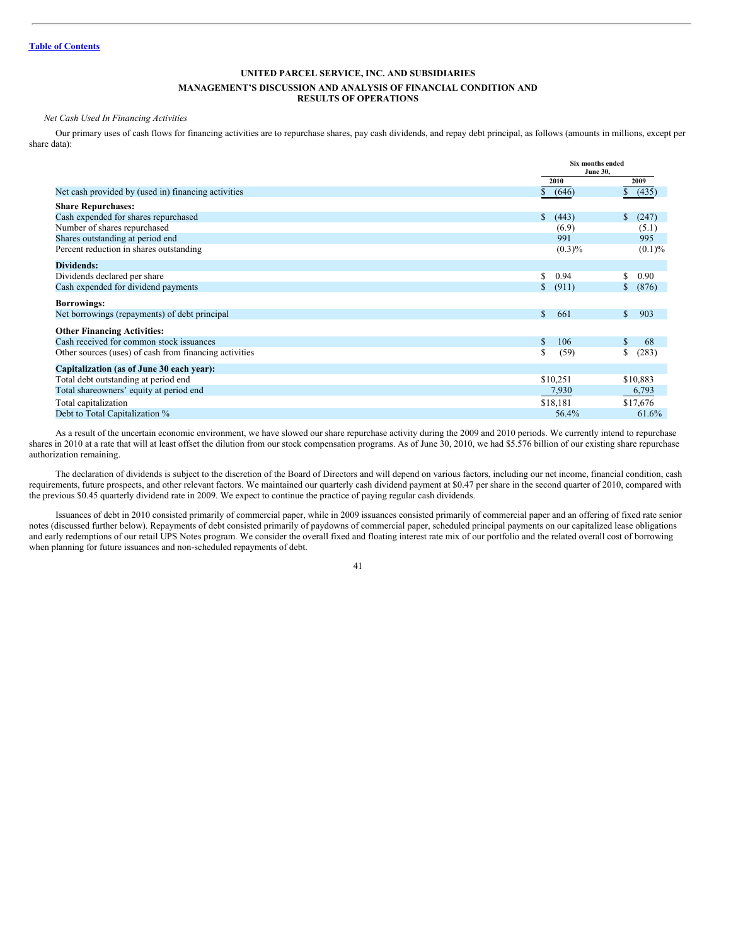#### <span id="page-42-0"></span>*Net Cash Used In Financing Activities*

Our primary uses of cash flows for financing activities are to repurchase shares, pay cash dividends, and repay debt principal, as follows (amounts in millions, except per share data):

|                                                        |           | Six months ended |           |  |
|--------------------------------------------------------|-----------|------------------|-----------|--|
|                                                        |           | <b>June 30,</b>  |           |  |
|                                                        | 2010      |                  | 2009      |  |
| Net cash provided by (used in) financing activities    | \$        | (646)<br>\$      | (435)     |  |
| <b>Share Repurchases:</b>                              |           |                  |           |  |
| Cash expended for shares repurchased                   | \$        | \$<br>(443)      | (247)     |  |
| Number of shares repurchased                           |           | (6.9)            | (5.1)     |  |
| Shares outstanding at period end                       |           | 991              | 995       |  |
| Percent reduction in shares outstanding                |           | $(0.3)\%$        | $(0.1)\%$ |  |
| <b>Dividends:</b>                                      |           |                  |           |  |
| Dividends declared per share                           | S<br>0.94 | S                | 0.90      |  |
| Cash expended for dividend payments                    | \$        | \$<br>(911)      | (876)     |  |
| <b>Borrowings:</b>                                     |           |                  |           |  |
| Net borrowings (repayments) of debt principal          | \$        | \$<br>661        | 903       |  |
| <b>Other Financing Activities:</b>                     |           |                  |           |  |
| Cash received for common stock issuances               | \$        | \$<br>106        | 68        |  |
| Other sources (uses) of cash from financing activities | \$        | \$<br>(59)       | (283)     |  |
| Capitalization (as of June 30 each year):              |           |                  |           |  |
| Total debt outstanding at period end                   | \$10,251  |                  | \$10,883  |  |
| Total shareowners' equity at period end                | 7,930     |                  | 6,793     |  |
| Total capitalization                                   | \$18,181  |                  | \$17,676  |  |
| Debt to Total Capitalization %                         |           | 56.4%            | 61.6%     |  |

As a result of the uncertain economic environment, we have slowed our share repurchase activity during the 2009 and 2010 periods. We currently intend to repurchase shares in 2010 at a rate that will at least offset the dilution from our stock compensation programs. As of June 30, 2010, we had \$5.576 billion of our existing share repurchase authorization remaining.

The declaration of dividends is subject to the discretion of the Board of Directors and will depend on various factors, including our net income, financial condition, cash requirements, future prospects, and other relevant factors. We maintained our quarterly cash dividend payment at \$0.47 per share in the second quarter of 2010, compared with the previous \$0.45 quarterly dividend rate in 2009. We expect to continue the practice of paying regular cash dividends.

Issuances of debt in 2010 consisted primarily of commercial paper, while in 2009 issuances consisted primarily of commercial paper and an offering of fixed rate senior notes (discussed further below). Repayments of debt consisted primarily of paydowns of commercial paper, scheduled principal payments on our capitalized lease obligations and early redemptions of our retail UPS Notes program. We consider the overall fixed and floating interest rate mix of our portfolio and the related overall cost of borrowing when planning for future issuances and non-scheduled repayments of debt.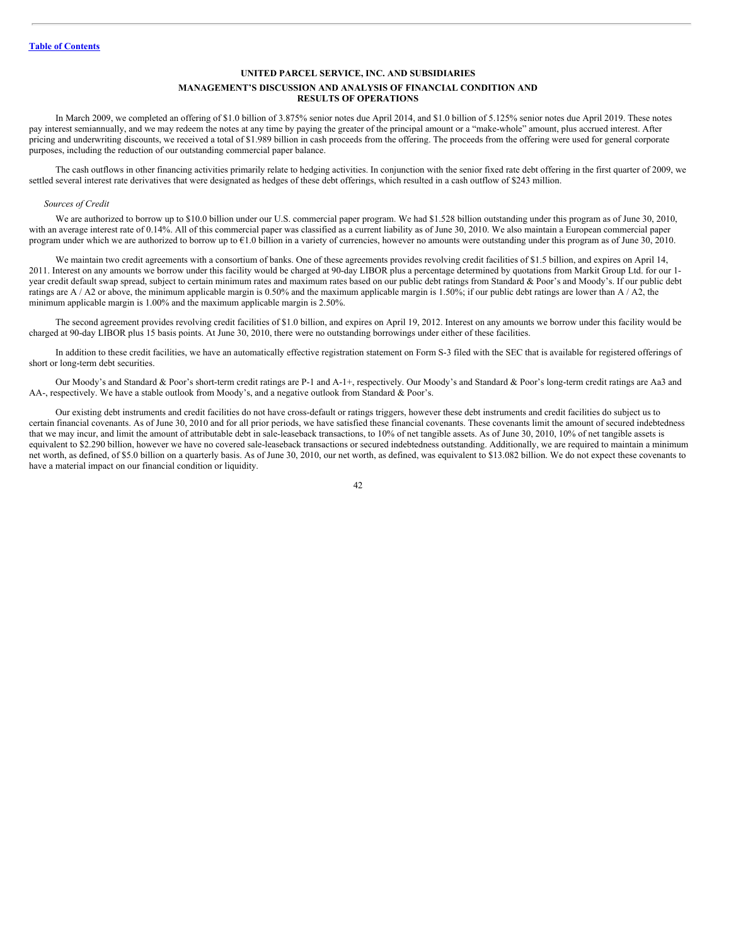### **MANAGEMENT'S DISCUSSION AND ANALYSIS OF FINANCIAL CONDITION AND RESULTS OF OPERATIONS**

In March 2009, we completed an offering of \$1.0 billion of 3.875% senior notes due April 2014, and \$1.0 billion of 5.125% senior notes due April 2019. These notes pay interest semiannually, and we may redeem the notes at any time by paying the greater of the principal amount or a "make-whole" amount, plus accrued interest. After pricing and underwriting discounts, we received a total of \$1.989 billion in cash proceeds from the offering. The proceeds from the offering were used for general corporate purposes, including the reduction of our outstanding commercial paper balance.

The cash outflows in other financing activities primarily relate to hedging activities. In conjunction with the senior fixed rate debt offering in the first quarter of 2009, we settled several interest rate derivatives that were designated as hedges of these debt offerings, which resulted in a cash outflow of \$243 million.

#### <span id="page-43-0"></span>*Sources of Credit*

We are authorized to borrow up to \$10.0 billion under our U.S. commercial paper program. We had \$1.528 billion outstanding under this program as of June 30, 2010, with an average interest rate of 0.14%. All of this commercial paper was classified as a current liability as of June 30, 2010. We also maintain a European commercial paper program under which we are authorized to borrow up to  $61.0$  billion in a variety of currencies, however no amounts were outstanding under this program as of June 30, 2010.

We maintain two credit agreements with a consortium of banks. One of these agreements provides revolving credit facilities of \$1.5 billion, and expires on April 14, 2011. Interest on any amounts we borrow under this facility would be charged at 90-day LIBOR plus a percentage determined by quotations from Markit Group Ltd. for our 1year credit default swap spread, subject to certain minimum rates and maximum rates based on our public debt ratings from Standard & Poor's and Moody's. If our public debt ratings are A / A2 or above, the minimum applicable margin is 0.50% and the maximum applicable margin is 1.50%; if our public debt ratings are lower than A / A2, the minimum applicable margin is 1.00% and the maximum applicable margin is 2.50%.

The second agreement provides revolving credit facilities of \$1.0 billion, and expires on April 19, 2012. Interest on any amounts we borrow under this facility would be charged at 90-day LIBOR plus 15 basis points. At June 30, 2010, there were no outstanding borrowings under either of these facilities.

In addition to these credit facilities, we have an automatically effective registration statement on Form S-3 filed with the SEC that is available for registered offerings of short or long-term debt securities.

Our Moody's and Standard & Poor's short-term credit ratings are P-1 and A-1+, respectively. Our Moody's and Standard & Poor's long-term credit ratings are Aa3 and AA-, respectively. We have a stable outlook from Moody's, and a negative outlook from Standard & Poor's.

Our existing debt instruments and credit facilities do not have cross-default or ratings triggers, however these debt instruments and credit facilities do subject us to certain financial covenants. As of June 30, 2010 and for all prior periods, we have satisfied these financial covenants. These covenants limit the amount of secured indebtedness that we may incur, and limit the amount of attributable debt in sale-leaseback transactions, to 10% of net tangible assets. As of June 30, 2010, 10% of net tangible assets is equivalent to \$2.290 billion, however we have no covered sale-leaseback transactions or secured indebtedness outstanding. Additionally, we are required to maintain a minimum net worth, as defined, of \$5.0 billion on a quarterly basis. As of June 30, 2010, our net worth, as defined, was equivalent to \$13.082 billion. We do not expect these covenants to have a material impact on our financial condition or liquidity.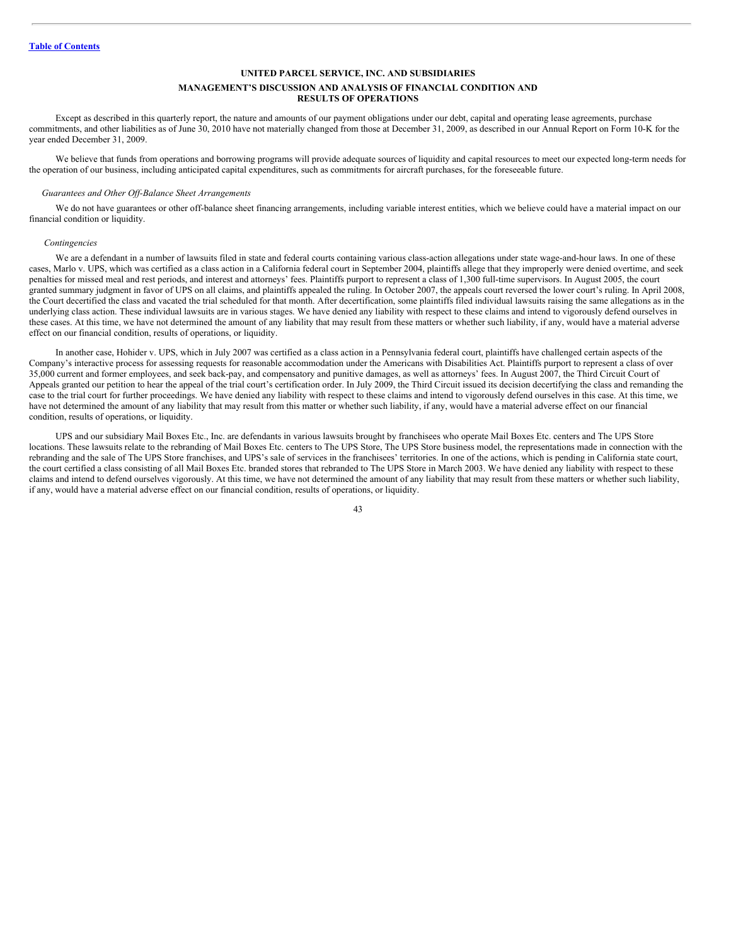### **MANAGEMENT'S DISCUSSION AND ANALYSIS OF FINANCIAL CONDITION AND RESULTS OF OPERATIONS**

Except as described in this quarterly report, the nature and amounts of our payment obligations under our debt, capital and operating lease agreements, purchase commitments, and other liabilities as of June 30, 2010 have not materially changed from those at December 31, 2009, as described in our Annual Report on Form 10-K for the year ended December 31, 2009.

We believe that funds from operations and borrowing programs will provide adequate sources of liquidity and capital resources to meet our expected long-term needs for the operation of our business, including anticipated capital expenditures, such as commitments for aircraft purchases, for the foreseeable future.

#### *Guarantees and Other Of -Balance Sheet Arrangements*

We do not have guarantees or other off-balance sheet financing arrangements, including variable interest entities, which we believe could have a material impact on our financial condition or liquidity.

#### <span id="page-44-0"></span>*Contingencies*

We are a defendant in a number of lawsuits filed in state and federal courts containing various class-action allegations under state wage-and-hour laws. In one of these cases, Marlo v. UPS, which was certified as a class action in a California federal court in September 2004, plaintiffs allege that they improperly were denied overtime, and seek penalties for missed meal and rest periods, and interest and attorneys' fees. Plaintiffs purport to represent a class of 1,300 full-time supervisors. In August 2005, the court granted summary judgment in favor of UPS on all claims, and plaintiffs appealed the ruling. In October 2007, the appeals court reversed the lower court's ruling. In April 2008, the Court decertified the class and vacated the trial scheduled for that month. After decertification, some plaintiffs filed individual lawsuits raising the same allegations as in the underlying class action. These individual lawsuits are in various stages. We have denied any liability with respect to these claims and intend to vigorously defend ourselves in these cases. At this time, we have not determined the amount of any liability that may result from these matters or whether such liability, if any, would have a material adverse effect on our financial condition, results of operations, or liquidity.

In another case, Hohider v. UPS, which in July 2007 was certified as a class action in a Pennsylvania federal court, plaintiffs have challenged certain aspects of the Company's interactive process for assessing requests for reasonable accommodation under the Americans with Disabilities Act. Plaintiffs purport to represent a class of over 35,000 current and former employees, and seek back-pay, and compensatory and punitive damages, as well as attorneys' fees. In August 2007, the Third Circuit Court of Appeals granted our petition to hear the appeal of the trial court's certification order. In July 2009, the Third Circuit issued its decision decertifying the class and remanding the case to the trial court for further proceedings. We have denied any liability with respect to these claims and intend to vigorously defend ourselves in this case. At this time, we have not determined the amount of any liability that may result from this matter or whether such liability, if any, would have a material adverse effect on our financial condition, results of operations, or liquidity.

UPS and our subsidiary Mail Boxes Etc., Inc. are defendants in various lawsuits brought by franchisees who operate Mail Boxes Etc. centers and The UPS Store locations. These lawsuits relate to the rebranding of Mail Boxes Etc. centers to The UPS Store, The UPS Store business model, the representations made in connection with the rebranding and the sale of The UPS Store franchises, and UPS's sale of services in the franchisees' territories. In one of the actions, which is pending in California state court, the court certified a class consisting of all Mail Boxes Etc. branded stores that rebranded to The UPS Store in March 2003. We have denied any liability with respect to these claims and intend to defend ourselves vigorously. At this time, we have not determined the amount of any liability that may result from these matters or whether such liability, if any, would have a material adverse effect on our financial condition, results of operations, or liquidity.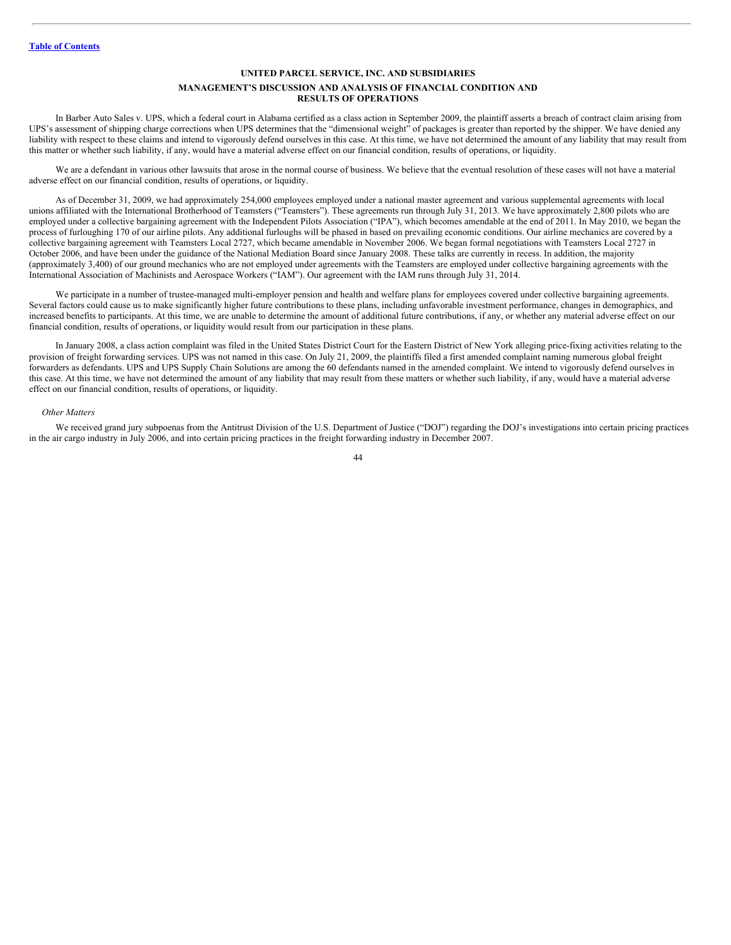### **MANAGEMENT'S DISCUSSION AND ANALYSIS OF FINANCIAL CONDITION AND RESULTS OF OPERATIONS**

In Barber Auto Sales v. UPS, which a federal court in Alabama certified as a class action in September 2009, the plaintiff asserts a breach of contract claim arising from UPS's assessment of shipping charge corrections when UPS determines that the "dimensional weight" of packages is greater than reported by the shipper. We have denied any liability with respect to these claims and intend to vigorously defend ourselves in this case. At this time, we have not determined the amount of any liability that may result from this matter or whether such liability, if any, would have a material adverse effect on our financial condition, results of operations, or liquidity.

We are a defendant in various other lawsuits that arose in the normal course of business. We believe that the eventual resolution of these cases will not have a material adverse effect on our financial condition, results of operations, or liquidity.

As of December 31, 2009, we had approximately 254,000 employees employed under a national master agreement and various supplemental agreements with local unions affiliated with the International Brotherhood of Teamsters ("Teamsters"). These agreements run through July 31, 2013. We have approximately 2,800 pilots who are employed under a collective bargaining agreement with the Independent Pilots Association ("IPA"), which becomes amendable at the end of 2011. In May 2010, we began the process of furloughing 170 of our airline pilots. Any additional furloughs will be phased in based on prevailing economic conditions. Our airline mechanics are covered by a collective bargaining agreement with Teamsters Local 2727, which became amendable in November 2006. We began formal negotiations with Teamsters Local 2727 in October 2006, and have been under the guidance of the National Mediation Board since January 2008. These talks are currently in recess. In addition, the majority (approximately 3,400) of our ground mechanics who are not employed under agreements with the Teamsters are employed under collective bargaining agreements with the International Association of Machinists and Aerospace Workers ("IAM"). Our agreement with the IAM runs through July 31, 2014.

We participate in a number of trustee-managed multi-employer pension and health and welfare plans for employees covered under collective bargaining agreements. Several factors could cause us to make significantly higher future contributions to these plans, including unfavorable investment performance, changes in demographics, and increased benefits to participants. At this time, we are unable to determine the amount of additional future contributions, if any, or whether any material adverse effect on our financial condition, results of operations, or liquidity would result from our participation in these plans.

In January 2008, a class action complaint was filed in the United States District Court for the Eastern District of New York alleging price-fixing activities relating to the provision of freight forwarding services. UPS was not named in this case. On July 21, 2009, the plaintiffs filed a first amended complaint naming numerous global freight forwarders as defendants. UPS and UPS Supply Chain Solutions are among the 60 defendants named in the amended complaint. We intend to vigorously defend ourselves in this case. At this time, we have not determined the amount of any liability that may result from these matters or whether such liability, if any, would have a material adverse effect on our financial condition, results of operations, or liquidity.

### *Other Matters*

We received grand jury subpoenas from the Antitrust Division of the U.S. Department of Justice ("DOJ") regarding the DOJ's investigations into certain pricing practices in the air cargo industry in July 2006, and into certain pricing practices in the freight forwarding industry in December 2007.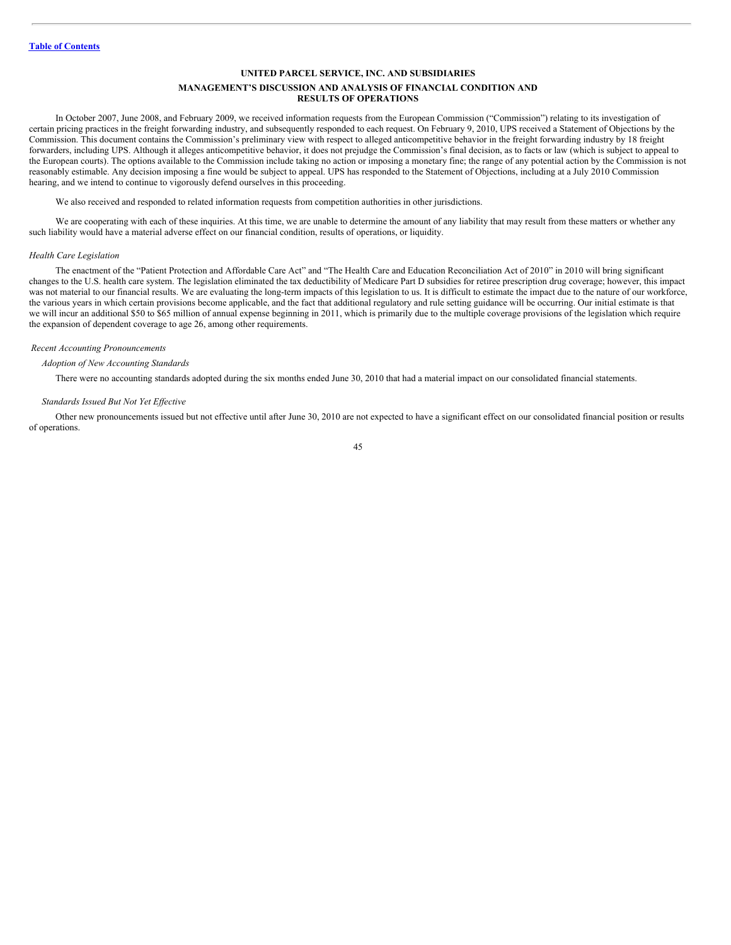### **MANAGEMENT'S DISCUSSION AND ANALYSIS OF FINANCIAL CONDITION AND RESULTS OF OPERATIONS**

In October 2007, June 2008, and February 2009, we received information requests from the European Commission ("Commission") relating to its investigation of certain pricing practices in the freight forwarding industry, and subsequently responded to each request. On February 9, 2010, UPS received a Statement of Objections by the Commission. This document contains the Commission's preliminary view with respect to alleged anticompetitive behavior in the freight forwarding industry by 18 freight forwarders, including UPS. Although it alleges anticompetitive behavior, it does not prejudge the Commission's final decision, as to facts or law (which is subject to appeal to the European courts). The options available to the Commission include taking no action or imposing a monetary fine; the range of any potential action by the Commission is not reasonably estimable. Any decision imposing a fine would be subject to appeal. UPS has responded to the Statement of Objections, including at a July 2010 Commission hearing, and we intend to continue to vigorously defend ourselves in this proceeding.

We also received and responded to related information requests from competition authorities in other jurisdictions.

We are cooperating with each of these inquiries. At this time, we are unable to determine the amount of any liability that may result from these matters or whether any such liability would have a material adverse effect on our financial condition, results of operations, or liquidity.

#### *Health Care Legislation*

The enactment of the "Patient Protection and Affordable Care Act" and "The Health Care and Education Reconciliation Act of 2010" in 2010 will bring significant changes to the U.S. health care system. The legislation eliminated the tax deductibility of Medicare Part D subsidies for retiree prescription drug coverage; however, this impact was not material to our financial results. We are evaluating the long-term impacts of this legislation to us. It is difficult to estimate the impact due to the nature of our workforce, the various years in which certain provisions become applicable, and the fact that additional regulatory and rule setting guidance will be occurring. Our initial estimate is that we will incur an additional \$50 to \$65 million of annual expense beginning in 2011, which is primarily due to the multiple coverage provisions of the legislation which require the expansion of dependent coverage to age 26, among other requirements.

#### <span id="page-46-0"></span>*Recent Accounting Pronouncements*

### *Adoption of New Accounting Standards*

There were no accounting standards adopted during the six months ended June 30, 2010 that had a material impact on our consolidated financial statements.

#### *Standards Issued But Not Yet Ef ective*

Other new pronouncements issued but not effective until after June 30, 2010 are not expected to have a significant effect on our consolidated financial position or results of operations.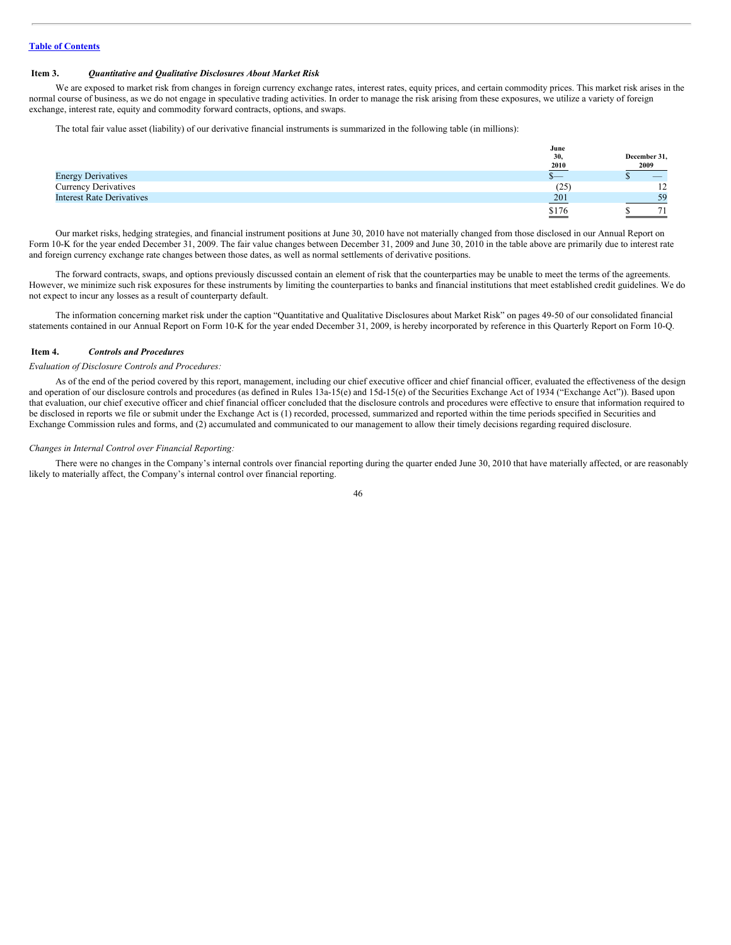### <span id="page-47-0"></span>**Item 3.** *Quantitative and Qualitative Disclosures About Market Risk*

We are exposed to market risk from changes in foreign currency exchange rates, interest rates, equity prices, and certain commodity prices. This market risk arises in the normal course of business, as we do not engage in speculative trading activities. In order to manage the risk arising from these exposures, we utilize a variety of foreign exchange, interest rate, equity and commodity forward contracts, options, and swaps.

The total fair value asset (liability) of our derivative financial instruments is summarized in the following table (in millions):

|                                  | June  |      |              |  |
|----------------------------------|-------|------|--------------|--|
|                                  | 30,   |      | December 31, |  |
|                                  | 2010  | 2009 |              |  |
| <b>Energy Derivatives</b>        | .ъ—   |      |              |  |
| <b>Currency Derivatives</b>      | (25   |      | $\sim$       |  |
| <b>Interest Rate Derivatives</b> | 201   |      | 59           |  |
|                                  | \$176 |      | 71           |  |

Our market risks, hedging strategies, and financial instrument positions at June 30, 2010 have not materially changed from those disclosed in our Annual Report on Form 10-K for the year ended December 31, 2009. The fair value changes between December 31, 2009 and June 30, 2010 in the table above are primarily due to interest rate and foreign currency exchange rate changes between those dates, as well as normal settlements of derivative positions.

The forward contracts, swaps, and options previously discussed contain an element of risk that the counterparties may be unable to meet the terms of the agreements. However, we minimize such risk exposures for these instruments by limiting the counterparties to banks and financial institutions that meet established credit guidelines. We do not expect to incur any losses as a result of counterparty default.

The information concerning market risk under the caption "Quantitative and Qualitative Disclosures about Market Risk" on pages 49-50 of our consolidated financial statements contained in our Annual Report on Form 10-K for the year ended December 31, 2009, is hereby incorporated by reference in this Quarterly Report on Form 10-Q.

#### <span id="page-47-1"></span>**Item 4.** *Controls and Procedures*

#### *Evaluation of Disclosure Controls and Procedures:*

As of the end of the period covered by this report, management, including our chief executive officer and chief financial officer, evaluated the effectiveness of the design and operation of our disclosure controls and procedures (as defined in Rules 13a-15(e) and 15d-15(e) of the Securities Exchange Act of 1934 ("Exchange Act")). Based upon that evaluation, our chief executive officer and chief financial officer concluded that the disclosure controls and procedures were effective to ensure that information required to be disclosed in reports we file or submit under the Exchange Act is (1) recorded, processed, summarized and reported within the time periods specified in Securities and Exchange Commission rules and forms, and (2) accumulated and communicated to our management to allow their timely decisions regarding required disclosure.

### *Changes in Internal Control over Financial Reporting:*

There were no changes in the Company's internal controls over financial reporting during the quarter ended June 30, 2010 that have materially affected, or are reasonably likely to materially affect, the Company's internal control over financial reporting.

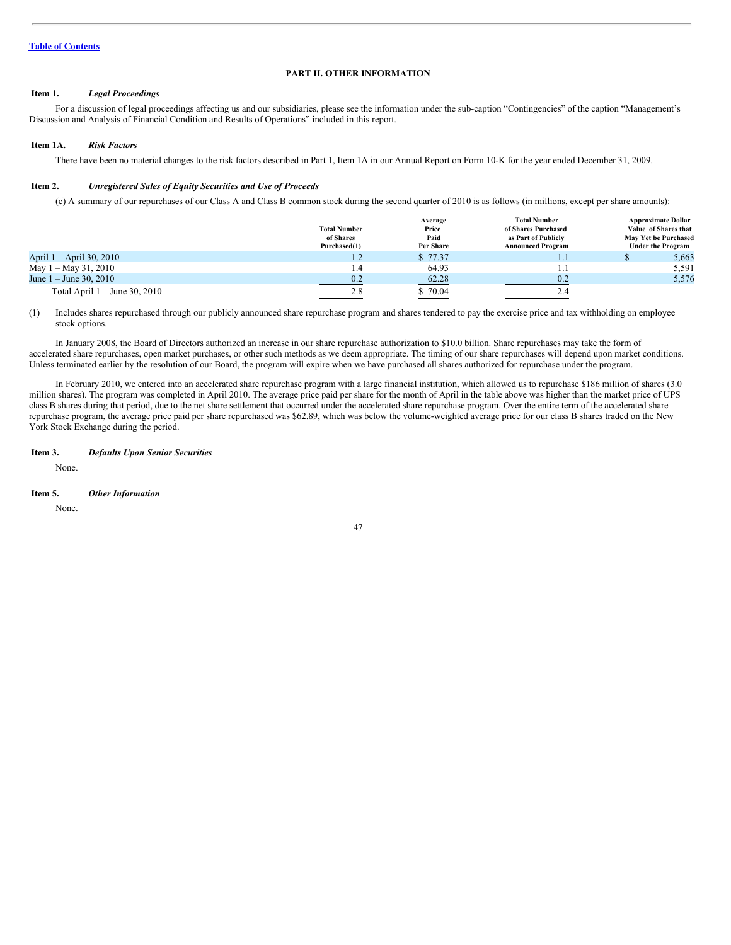# **PART II. OTHER INFORMATION**

### <span id="page-48-0"></span>**Item 1.** *Legal Proceedings*

For a discussion of legal proceedings affecting us and our subsidiaries, please see the information under the sub-caption "Contingencies" of the caption "Management's Discussion and Analysis of Financial Condition and Results of Operations" included in this report.

### <span id="page-48-1"></span>**Item 1A.** *Risk Factors*

There have been no material changes to the risk factors described in Part 1, Item 1A in our Annual Report on Form 10-K for the year ended December 31, 2009.

### <span id="page-48-2"></span>**Item 2.** *Unregistered Sales of Equity Securities and Use of Proceeds*

(c) A summary of our repurchases of our Class A and Class B common stock during the second quarter of 2010 is as follows (in millions, except per share amounts):

|                                 |                                 | Average   | <b>Total Number</b>      | <b>Approximate Dollar</b> |
|---------------------------------|---------------------------------|-----------|--------------------------|---------------------------|
|                                 | <b>Total Number</b><br>Price    |           | of Shares Purchased      | Value of Shares that      |
|                                 | of Shares                       | Paid      | as Part of Publicly      | May Yet be Purchased      |
|                                 | Purchased(1)                    | Per Share | <b>Announced Program</b> | <b>Under the Program</b>  |
| April 1 – April 30, 2010        | $\overline{1}$ . $\overline{2}$ | \$77.37   | 1.1                      | 5,663                     |
| May $1 -$ May 31, 2010          |                                 | 64.93     |                          | 5,591                     |
| June $1 -$ June 30, 2010        | 0.2                             | 62.28     | 0.2                      | 5,576                     |
| Total April $1 -$ June 30, 2010 | 2.8                             | \$70.04   | 2.4                      |                           |

(1) Includes shares repurchased through our publicly announced share repurchase program and shares tendered to pay the exercise price and tax withholding on employee stock options.

In January 2008, the Board of Directors authorized an increase in our share repurchase authorization to \$10.0 billion. Share repurchases may take the form of accelerated share repurchases, open market purchases, or other such methods as we deem appropriate. The timing of our share repurchases will depend upon market conditions. Unless terminated earlier by the resolution of our Board, the program will expire when we have purchased all shares authorized for repurchase under the program.

In February 2010, we entered into an accelerated share repurchase program with a large financial institution, which allowed us to repurchase \$186 million of shares (3.0 million shares). The program was completed in April 2010. The average price paid per share for the month of April in the table above was higher than the market price of UPS class B shares during that period, due to the net share settlement that occurred under the accelerated share repurchase program. Over the entire term of the accelerated share repurchase program, the average price paid per share repurchased was \$62.89, which was below the volume-weighted average price for our class B shares traded on the New York Stock Exchange during the period.

### <span id="page-48-3"></span>**Item 3.** *Defaults Upon Senior Securities*

None.

#### <span id="page-48-4"></span>**Item 5.** *Other Information*

None.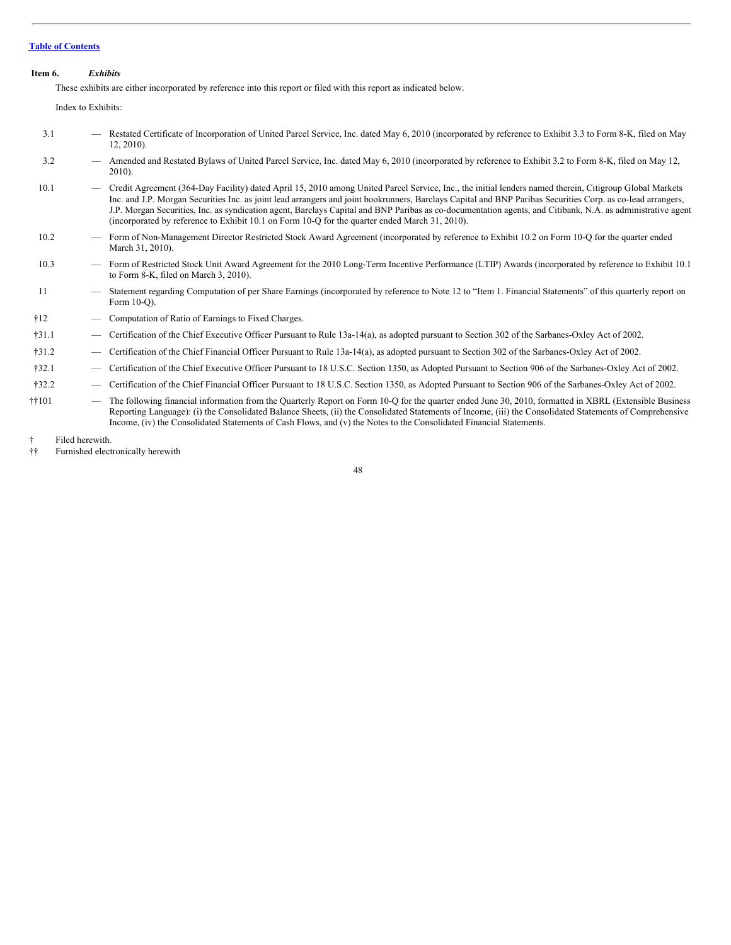#### <span id="page-49-0"></span>**Item 6.** *Exhibits*

These exhibits are either incorporated by reference into this report or filed with this report as indicated below.

Index to Exhibits:

- 3.1 Restated Certificate of Incorporation of United Parcel Service, Inc. dated May 6, 2010 (incorporated by reference to Exhibit 3.3 to Form 8-K, filed on May 12, 2010).
- 3.2 Amended and Restated Bylaws of United Parcel Service, Inc. dated May 6, 2010 (incorporated by reference to Exhibit 3.2 to Form 8-K, filed on May 12, 2010).
- 10.1 Credit Agreement (364-Day Facility) dated April 15, 2010 among United Parcel Service, Inc., the initial lenders named therein, Citigroup Global Markets Inc. and J.P. Morgan Securities Inc. as joint lead arrangers and joint bookrunners, Barclays Capital and BNP Paribas Securities Corp. as co-lead arrangers, J.P. Morgan Securities, Inc. as syndication agent, Barclays Capital and BNP Paribas as co-documentation agents, and Citibank, N.A. as administrative agent (incorporated by reference to Exhibit 10.1 on Form 10-Q for the quarter ended March 31, 2010).
- 10.2 Form of Non-Management Director Restricted Stock Award Agreement (incorporated by reference to Exhibit 10.2 on Form 10-Q for the quarter ended March 31, 2010).
- 10.3 Form of Restricted Stock Unit Award Agreement for the 2010 Long-Term Incentive Performance (LTIP) Awards (incorporated by reference to Exhibit 10.1 to Form 8-K, filed on March 3, 2010).
- 11 Statement regarding Computation of per Share Earnings (incorporated by reference to Note 12 to "Item 1. Financial Statements" of this quarterly report on Form 10-Q).
- †12 Computation of Ratio of Earnings to Fixed Charges.
- †31.1 Certification of the Chief Executive Officer Pursuant to Rule 13a-14(a), as adopted pursuant to Section 302 of the Sarbanes-Oxley Act of 2002.
- †31.2 Certification of the Chief Financial Officer Pursuant to Rule 13a-14(a), as adopted pursuant to Section 302 of the Sarbanes-Oxley Act of 2002.
- †32.1 Certification of the Chief Executive Officer Pursuant to 18 U.S.C. Section 1350, as Adopted Pursuant to Section 906 of the Sarbanes-Oxley Act of 2002.
- †32.2 Certification of the Chief Financial Officer Pursuant to 18 U.S.C. Section 1350, as Adopted Pursuant to Section 906 of the Sarbanes-Oxley Act of 2002.
- ††101 The following financial information from the Quarterly Report on Form 10-Q for the quarter ended June 30, 2010, formatted in XBRL (Extensible Business Reporting Language): (i) the Consolidated Balance Sheets, (ii) the Consolidated Statements of Income, (iii) the Consolidated Statements of Comprehensive Income, (iv) the Consolidated Statements of Cash Flows, and (v) the Notes to the Consolidated Financial Statements.

† Filed herewith.

†† Furnished electronically herewith

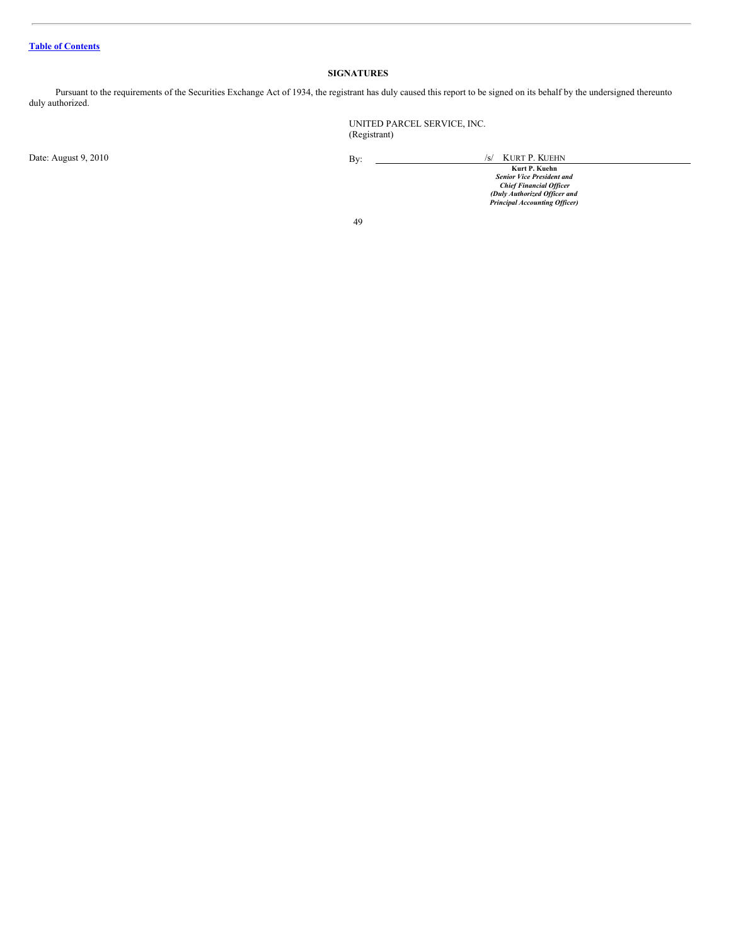## **SIGNATURES**

Pursuant to the requirements of the Securities Exchange Act of 1934, the registrant has duly caused this report to be signed on its behalf by the undersigned thereunto duly authorized.

> UNITED PARCEL SERVICE, INC. (Registrant)

Date: August 9, 2010 By:

/s/ KURT P. KUEHN

Kurt P. Kuehn<br>Senior Vice President and<br>Chief Financial Officer<br>(Duly Authorized Officer and<br>Principal Accounting Officer)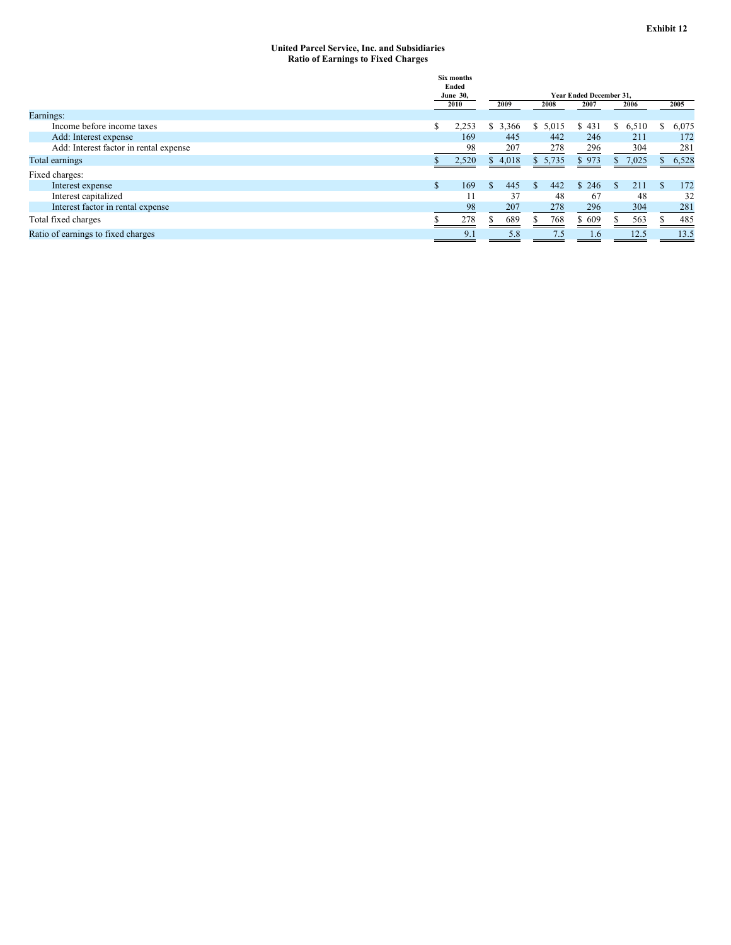#### **United Parcel Service, Inc. and Subsidiaries Ratio of Earnings to Fixed Charges**

|                                        |    | Six months<br>Ended |                         |         |     |            |         |     |       |  |
|----------------------------------------|----|---------------------|-------------------------|---------|-----|------------|---------|-----|-------|--|
|                                        |    | June 30,            | Year Ended December 31, |         |     |            |         |     |       |  |
|                                        |    | 2010                | 2009                    | 2008    |     | 2007       | 2006    |     | 2005  |  |
| Earnings:                              |    |                     |                         |         |     |            |         |     |       |  |
| Income before income taxes             | S  | 2,253               | \$3,366                 | \$5,015 |     | 431<br>S   | \$6,510 | \$. | 6,075 |  |
| Add: Interest expense                  |    | 169                 | 445                     |         | 442 | 246        | 211     |     | 172   |  |
| Add: Interest factor in rental expense |    | 98                  | 207                     |         | 278 | 296        | 304     |     | 281   |  |
| Total earnings                         |    | 2,520               | \$4,018                 | \$5,735 |     | \$973      | \$7,025 | S.  | 6,528 |  |
| Fixed charges:                         |    |                     |                         |         |     |            |         |     |       |  |
| Interest expense                       | \$ | 169                 | 445                     |         | 442 | 246<br>\$. | 211     |     | 172   |  |
| Interest capitalized                   |    | 11                  | 37                      |         | 48  | 67         | 48      |     | 32    |  |
| Interest factor in rental expense      |    | 98                  | 207                     |         | 278 | 296        | 304     |     | 281   |  |
| Total fixed charges                    |    | 278                 | 689                     | Ъ.      | 768 | \$609      | 563     |     | 485   |  |
| Ratio of earnings to fixed charges     |    | 9.1                 | 5.8                     |         | 7.5 | 1.6        | 12.5    |     | 13.5  |  |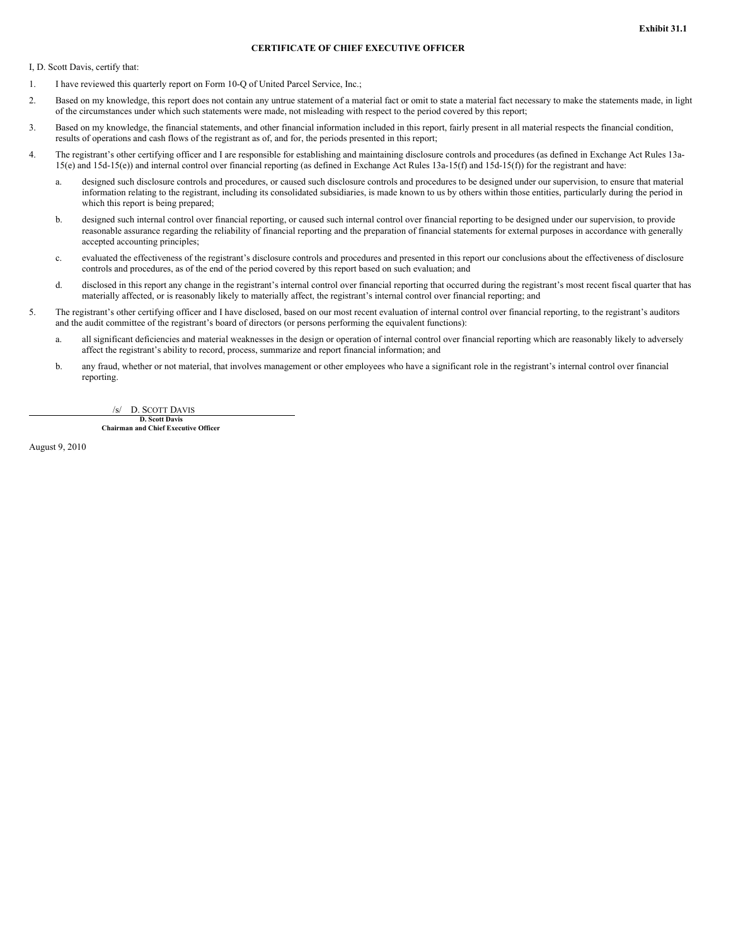# **CERTIFICATE OF CHIEF EXECUTIVE OFFICER**

I, D. Scott Davis, certify that:

- 1. I have reviewed this quarterly report on Form 10-Q of United Parcel Service, Inc.;
- 2. Based on my knowledge, this report does not contain any untrue statement of a material fact or omit to state a material fact necessary to make the statements made, in light of the circumstances under which such statements were made, not misleading with respect to the period covered by this report;
- 3. Based on my knowledge, the financial statements, and other financial information included in this report, fairly present in all material respects the financial condition, results of operations and cash flows of the registrant as of, and for, the periods presented in this report;
- 4. The registrant's other certifying officer and I are responsible for establishing and maintaining disclosure controls and procedures (as defined in Exchange Act Rules 13a-15(e) and 15d-15(e)) and internal control over financial reporting (as defined in Exchange Act Rules 13a-15(f) and 15d-15(f)) for the registrant and have:
	- a. designed such disclosure controls and procedures, or caused such disclosure controls and procedures to be designed under our supervision, to ensure that material information relating to the registrant, including its consolidated subsidiaries, is made known to us by others within those entities, particularly during the period in which this report is being prepared;
	- b. designed such internal control over financial reporting, or caused such internal control over financial reporting to be designed under our supervision, to provide reasonable assurance regarding the reliability of financial reporting and the preparation of financial statements for external purposes in accordance with generally accepted accounting principles;
	- c. evaluated the effectiveness of the registrant's disclosure controls and procedures and presented in this report our conclusions about the effectiveness of disclosure controls and procedures, as of the end of the period covered by this report based on such evaluation; and
	- d. disclosed in this report any change in the registrant's internal control over financial reporting that occurred during the registrant's most recent fiscal quarter that has materially affected, or is reasonably likely to materially affect, the registrant's internal control over financial reporting; and
- 5. The registrant's other certifying officer and I have disclosed, based on our most recent evaluation of internal control over financial reporting, to the registrant's auditors and the audit committee of the registrant's board of directors (or persons performing the equivalent functions):
	- a. all significant deficiencies and material weaknesses in the design or operation of internal control over financial reporting which are reasonably likely to adversely affect the registrant's ability to record, process, summarize and report financial information; and
	- b. any fraud, whether or not material, that involves management or other employees who have a significant role in the registrant's internal control over financial reporting.

/s/ D. SCOTT DAVIS **D. Scott Davis**

**Chairman and Chief Executive Officer**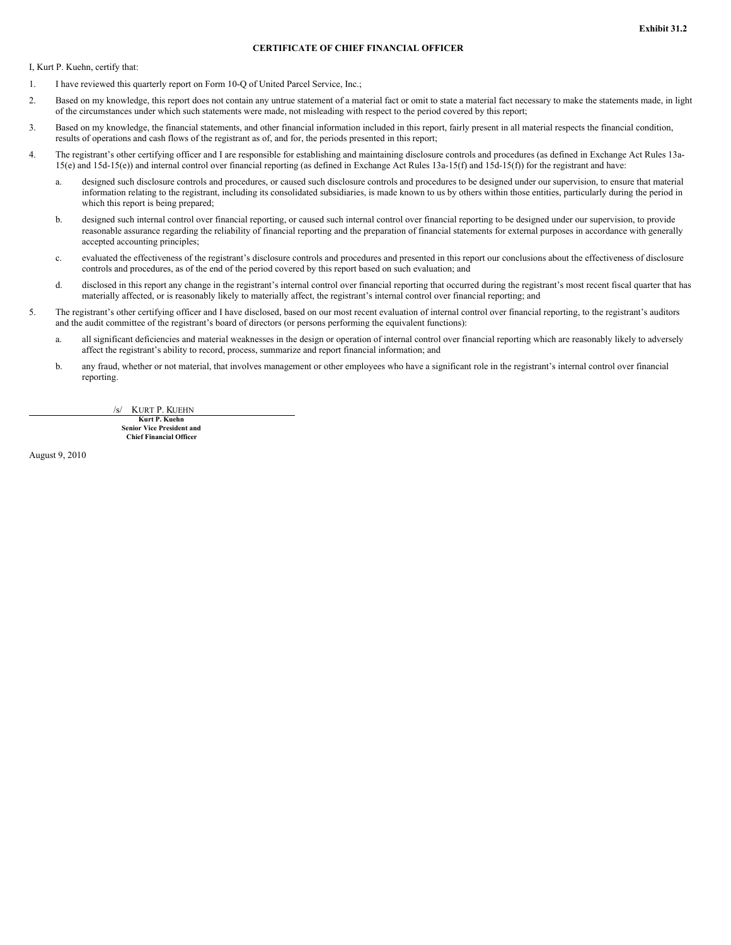### **CERTIFICATE OF CHIEF FINANCIAL OFFICER**

I, Kurt P. Kuehn, certify that:

- 1. I have reviewed this quarterly report on Form 10-Q of United Parcel Service, Inc.;
- 2. Based on my knowledge, this report does not contain any untrue statement of a material fact or omit to state a material fact necessary to make the statements made, in light of the circumstances under which such statements were made, not misleading with respect to the period covered by this report;
- 3. Based on my knowledge, the financial statements, and other financial information included in this report, fairly present in all material respects the financial condition, results of operations and cash flows of the registrant as of, and for, the periods presented in this report;
- 4. The registrant's other certifying officer and I are responsible for establishing and maintaining disclosure controls and procedures (as defined in Exchange Act Rules 13a-15(e) and 15d-15(e)) and internal control over financial reporting (as defined in Exchange Act Rules 13a-15(f) and 15d-15(f)) for the registrant and have:
	- a. designed such disclosure controls and procedures, or caused such disclosure controls and procedures to be designed under our supervision, to ensure that material information relating to the registrant, including its consolidated subsidiaries, is made known to us by others within those entities, particularly during the period in which this report is being prepared;
	- b. designed such internal control over financial reporting, or caused such internal control over financial reporting to be designed under our supervision, to provide reasonable assurance regarding the reliability of financial reporting and the preparation of financial statements for external purposes in accordance with generally accepted accounting principles;
	- c. evaluated the effectiveness of the registrant's disclosure controls and procedures and presented in this report our conclusions about the effectiveness of disclosure controls and procedures, as of the end of the period covered by this report based on such evaluation; and
	- d. disclosed in this report any change in the registrant's internal control over financial reporting that occurred during the registrant's most recent fiscal quarter that has materially affected, or is reasonably likely to materially affect, the registrant's internal control over financial reporting; and
- 5. The registrant's other certifying officer and I have disclosed, based on our most recent evaluation of internal control over financial reporting, to the registrant's auditors and the audit committee of the registrant's board of directors (or persons performing the equivalent functions):
	- a. all significant deficiencies and material weaknesses in the design or operation of internal control over financial reporting which are reasonably likely to adversely affect the registrant's ability to record, process, summarize and report financial information; and
	- b. any fraud, whether or not material, that involves management or other employees who have a significant role in the registrant's internal control over financial reporting.

/s/ KURT P. KUEHN

**Kurt P. Kuehn Senior Vice President and Chief Financial Officer**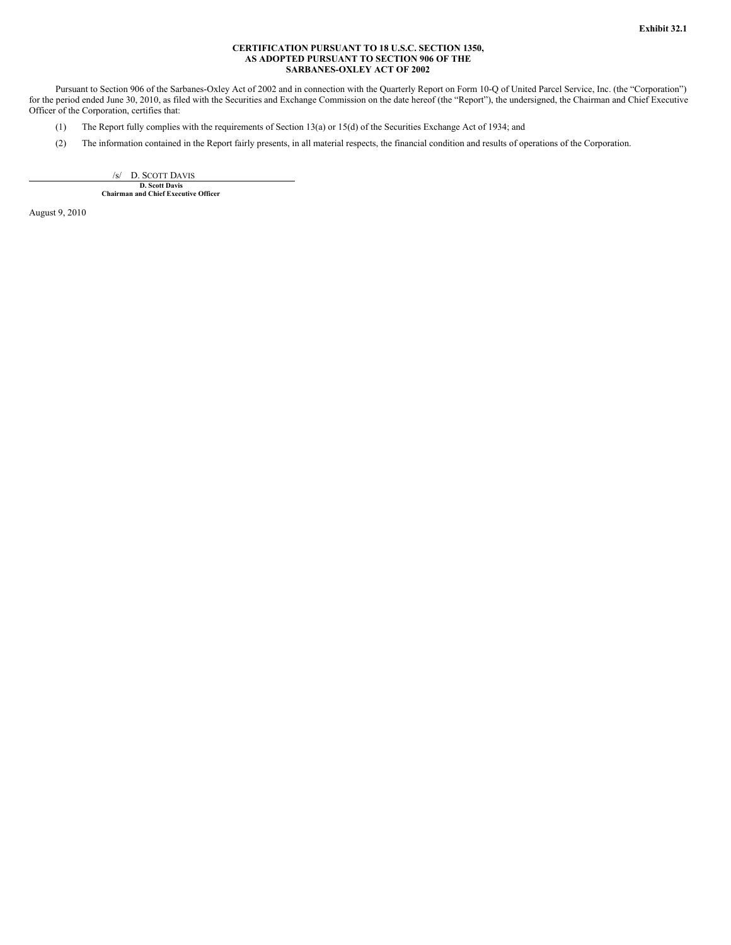### **CERTIFICATION PURSUANT TO 18 U.S.C. SECTION 1350, AS ADOPTED PURSUANT TO SECTION 906 OF THE SARBANES-OXLEY ACT OF 2002**

Pursuant to Section 906 of the Sarbanes-Oxley Act of 2002 and in connection with the Quarterly Report on Form 10-Q of United Parcel Service, Inc. (the "Corporation") for the period ended June 30, 2010, as filed with the Securities and Exchange Commission on the date hereof (the "Report"), the undersigned, the Chairman and Chief Executive Officer of the Corporation, certifies that:

- (1) The Report fully complies with the requirements of Section 13(a) or 15(d) of the Securities Exchange Act of 1934; and
- (2) The information contained in the Report fairly presents, in all material respects, the financial condition and results of operations of the Corporation.

/s/ D. SCOTT DAVIS **D. Scott Davis**

**Chairman and Chief Executive Officer**